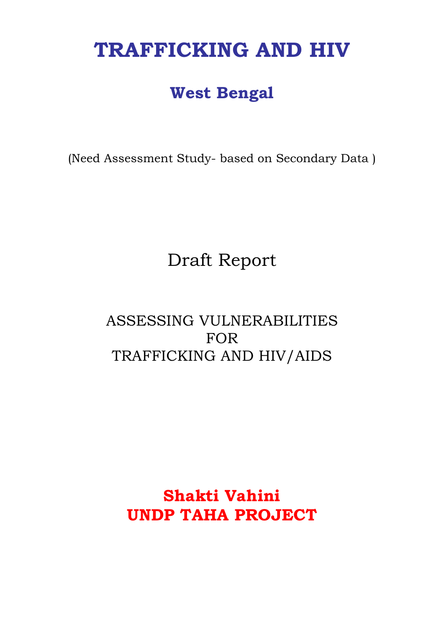# **TRAFFICKING AND HIV**

# **West Bengal**

(Need Assessment Study- based on Secondary Data )

# Draft Report

# ASSESSING VULNERABILITIES FOR TRAFFICKING AND HIV/AIDS

# **Shakti Vahini UNDP TAHA PROJECT**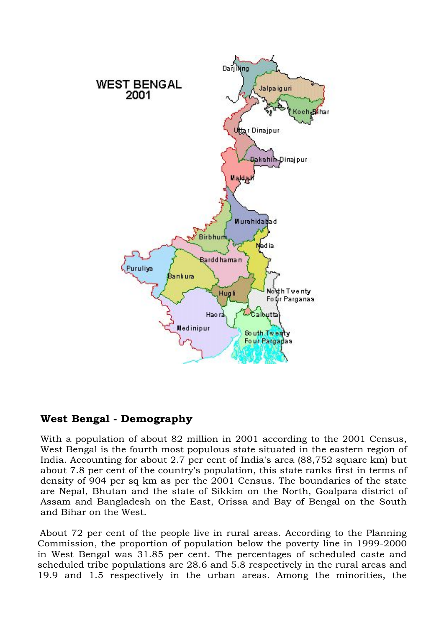

### **West Bengal - Demography**

With a population of about 82 million in 2001 according to the 2001 Census, West Bengal is the fourth most populous state situated in the eastern region of India. Accounting for about 2.7 per cent of India's area (88,752 square km) but about 7.8 per cent of the country's population, this state ranks first in terms of density of 904 per sq km as per the 2001 Census. The boundaries of the state are Nepal, Bhutan and the state of Sikkim on the North, Goalpara district of Assam and Bangladesh on the East, Orissa and Bay of Bengal on the South and Bihar on the West.

About 72 per cent of the people live in rural areas. According to the Planning Commission, the proportion of population below the poverty line in 1999-2000 in West Bengal was 31.85 per cent. The percentages of scheduled caste and scheduled tribe populations are 28.6 and 5.8 respectively in the rural areas and 19.9 and 1.5 respectively in the urban areas. Among the minorities, the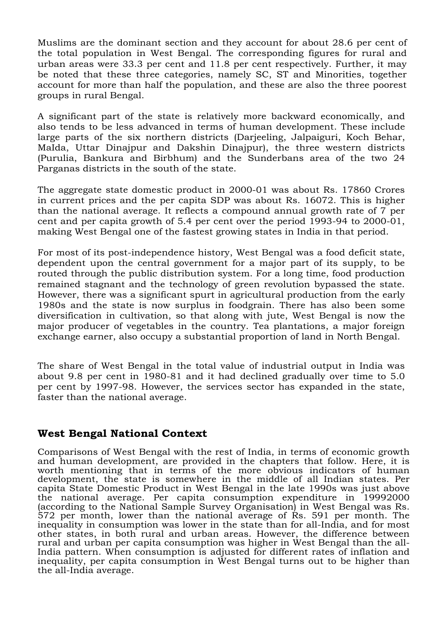Muslims are the dominant section and they account for about 28.6 per cent of the total population in West Bengal. The corresponding figures for rural and urban areas were 33.3 per cent and 11.8 per cent respectively. Further, it may be noted that these three categories, namely SC, ST and Minorities, together account for more than half the population, and these are also the three poorest groups in rural Bengal.

A significant part of the state is relatively more backward economically, and also tends to be less advanced in terms of human development. These include large parts of the six northern districts (Darjeeling, Jalpaiguri, Koch Behar, MaIda, Uttar Dinajpur and Dakshin Dinajpur), the three western districts (Purulia, Bankura and Birbhum) and the Sunderbans area of the two 24 Parganas districts in the south of the state.

The aggregate state domestic product in 2000-01 was about Rs. 17860 Crores in current prices and the per capita SDP was about Rs. 16072. This is higher than the national average. It reflects a compound annual growth rate of 7 per cent and per capita growth of 5.4 per cent over the period 1993-94 to 2000-01, making West Bengal one of the fastest growing states in India in that period.

For most of its post-independence history, West Bengal was a food deficit state, dependent upon the central government for a major part of its supply, to be routed through the public distribution system. For a long time, food production remained stagnant and the technology of green revolution bypassed the state. However, there was a significant spurt in agricultural production from the early 1980s and the state is now surplus in foodgrain. There has also been some diversification in cultivation, so that along with jute, West Bengal is now the major producer of vegetables in the country. Tea plantations, a major foreign exchange earner, also occupy a substantial proportion of land in North Bengal.

The share of West Bengal in the total value of industrial output in India was about 9.8 per cent in 1980-81 and it had declined gradually over time to 5.0 per cent by 1997-98. However, the services sector has expanded in the state, faster than the national average.

### **West Bengal National Context**

Comparisons of West Bengal with the rest of India, in terms of economic growth and human development, are provided in the chapters that follow. Here, it is worth mentioning that in terms of the more obvious indicators of human development, the state is somewhere in the middle of all Indian states. Per capita State Domestic Product in West Bengal in the late 1990s was just above the national average. Per capita consumption expenditure in 19992000 (according to the National Sample Survey Organisation) in West Bengal was Rs. 572 per month, lower than the national average of Rs. 591 per month. The inequality in consumption was lower in the state than for all-India, and for most other states, in both rural and urban areas. However, the difference between rural and urban per capita consumption was higher in West Bengal than the all-India pattern. When consumption is adjusted for different rates of inflation and inequality, per capita consumption in West Bengal turns out to be higher than the all-India average.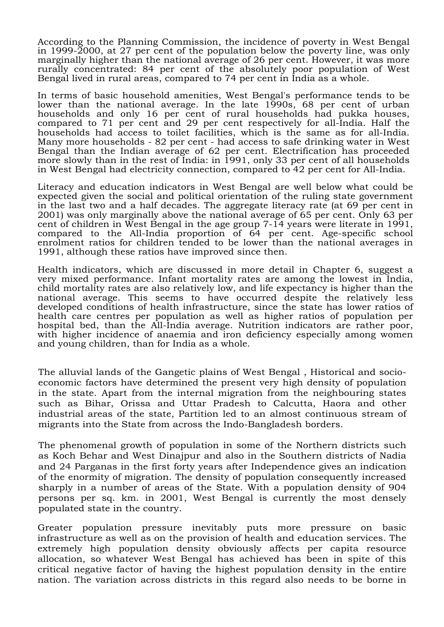According to the Planning Commission, the incidence of poverty in West Bengal in 1999-2000, at 27 per cent of the population below the poverty line, was only marginally higher than the national average of 26 per cent. However, it was more rurally concentrated: 84 per cent of the absolutely poor population of West Bengal lived in rural areas, compared to 74 per cent in India as a whole.

In terms of basic household amenities, West Bengal's performance tends to be lower than the national average. In the late 1990s, 68 per cent of urban households and only 16 per cent of rural households had pukka houses, compared to 71 per cent and 29 per cent respectively for all-India. Half the households had access to toilet facilities, which is the same as for all-India. Many more households - 82 per cent - had access to safe drinking water in West Bengal than the Indian average of 62 per cent. Electrification has proceeded more slowly than in the rest of India: in 1991, only 33 per cent of all households in West Bengal had electricity connection, compared to 42 per cent for All-India.

Literacy and education indicators in West Bengal are well below what could be expected given the social and political orientation of the ruling state government in the last two and a half decades. The aggregate literacy rate (at 69 per cent in 2001) was only marginally above the national average of 65 per cent. Only 63 per cent of children in West Bengal in the age group 7-14 years were literate in 1991, compared to the All-India proportion of 64 per cent. Age-specific school enrolment ratios for children tended to be lower than the national averages in 1991, although these ratios have improved since then.

Health indicators, which are discussed in more detail in Chapter 6, suggest a very mixed performance. Infant mortality rates are among the lowest in India, child mortality rates are also relatively low, and life expectancy is higher than the national average. This seems to have occurred despite the relatively less developed conditions of health infrastructure, since the state has lower ratios of health care centres per population as well as higher ratios of population per hospital bed, than the All-India average. Nutrition indicators are rather poor, with higher incidence of anaemia and iron deficiency especially among women and young children, than for India as a whole.

The alluvial lands of the Gangetic plains of West Bengal , Historical and socioeconomic factors have determined the present very high density of population in the state. Apart from the internal migration from the neighbouring states such as Bihar, Orissa and Uttar Pradesh to Calcutta, Haora and other industrial areas of the state, Partition led to an almost continuous stream of migrants into the State from across the Indo-Bangladesh borders.

The phenomenal growth of population in some of the Northern districts such as Koch Behar and West Dinajpur and also in the Southern districts of Nadia and 24 Parganas in the first forty years after Independence gives an indication of the enormity of migration. The density of population consequently increased sharply in a number of areas of the State. With a population density of 904 persons per sq. km. in 2001, West Bengal is currently the most densely populated state in the country.

Greater population pressure inevitably puts more pressure on basic infrastructure as well as on the provision of health and education services. The extremely high population density obviously affects per capita resource allocation, so whatever West Bengal has achieved has been in spite of this critical negative factor of having the highest population density in the entire nation. The variation across districts in this regard also needs to be borne in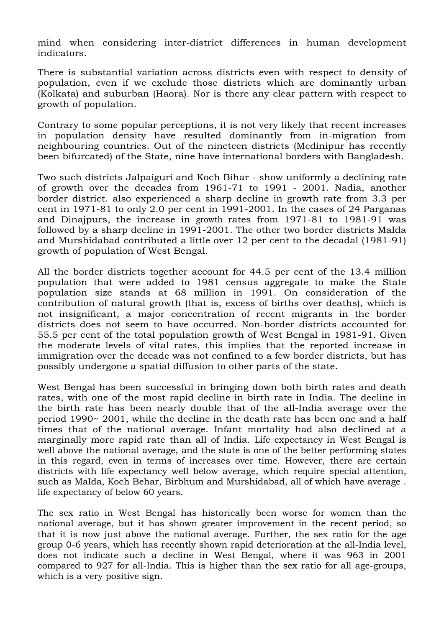mind when considering inter-district differences in human development indicators.

There is substantial variation across districts even with respect to density of population, even if we exclude those districts which are dominantly urban (Kolkata) and suburban (Haora). Nor is there any clear pattern with respect to growth of population.

Contrary to some popular perceptions, it is not very likely that recent increases in population density have resulted dominantly from in-migration from neighbouring countries. Out of the nineteen districts (Medinipur has recently been bifurcated) of the State, nine have international borders with Bangladesh.

Two such districts Jalpaiguri and Koch Bihar - show uniformly a declining rate of growth over the decades from 1961-71 to 1991 - 2001. Nadia, another border district. also experienced a sharp decline in growth rate from 3.3 per cent in 1971-81 to only 2.0 per cent in 1991-2001. In the cases of 24 Parganas and Dinajpurs, the increase in growth rates from 1971-81 to 1981-91 was followed by a sharp decline in 1991-2001. The other two border districts MaIda and Murshidabad contributed a little over 12 per cent to the decadal (1981-91) growth of population of West Bengal.

All the border districts together account for 44.5 per cent of the 13.4 million population that were added to 1981 census aggregate to make the State population size stands at 68 million in 1991. On consideration of the contribution of natural growth (that is, excess of births over deaths), which is not insignificant, a major concentration of recent migrants in the border districts does not seem to have occurred. Non-border districts accounted for 55.5 per cent of the total population growth of West Bengal in 1981-91. Given the moderate levels of vital rates, this implies that the reported increase in immigration over the decade was not confined to a few border districts, but has possibly undergone a spatial diffusion to other parts of the state.

West Bengal has been successful in bringing down both birth rates and death rates, with one of the most rapid decline in birth rate in India. The decline in the birth rate has been nearly double that of the all-India average over the period 1990~ 2001, while the decline in the death rate has been one and a half times that of the national average. Infant mortality had also declined at a marginally more rapid rate than all of India. Life expectancy in West Bengal is well above the national average, and the state is one of the better performing states in this regard, even in terms of increases over time. However, there are certain districts with life expectancy well below average, which require special attention, such as MaIda, Koch Behar, Birbhum and Murshidabad, all of which have average . life expectancy of below 60 years.

The sex ratio in West Bengal has historically been worse for women than the national average, but it has shown greater improvement in the recent period, so that it is now just above the national average. Further, the sex ratio for the age group 0-6 years, which has recently shown rapid deterioration at the all-India level, does not indicate such a decline in West Bengal, where it was 963 in 2001 compared to 927 for all-India. This is higher than the sex ratio for all age-groups, which is a very positive sign.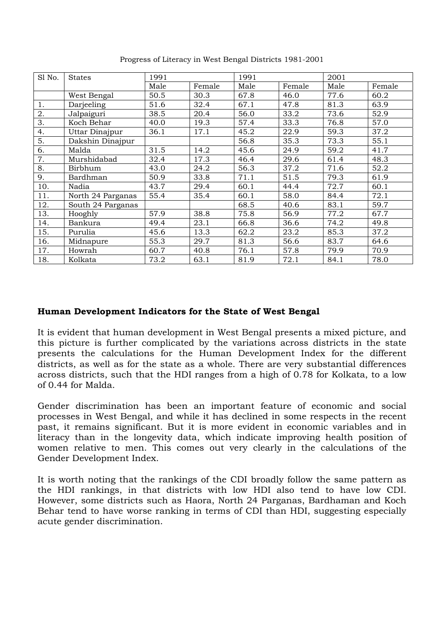| S1 No. | <b>States</b>     | 1991 |        | 1991 |        | 2001 |        |
|--------|-------------------|------|--------|------|--------|------|--------|
|        |                   | Male | Female | Male | Female | Male | Female |
|        | West Bengal       | 50.5 | 30.3   | 67.8 | 46.0   | 77.6 | 60.2   |
| 1.     | Darjeeling        | 51.6 | 32.4   | 67.1 | 47.8   | 81.3 | 63.9   |
| 2.     | Jalpaiguri        | 38.5 | 20.4   | 56.0 | 33.2   | 73.6 | 52.9   |
| 3.     | Koch Behar        | 40.0 | 19.3   | 57.4 | 33.3   | 76.8 | 57.0   |
| 4.     | Uttar Dinajpur    | 36.1 | 17.1   | 45.2 | 22.9   | 59.3 | 37.2   |
| 5.     | Dakshin Dinajpur  |      |        | 56.8 | 35.3   | 73.3 | 55.1   |
| 6.     | Malda             | 31.5 | 14.2   | 45.6 | 24.9   | 59.2 | 41.7   |
| 7.     | Murshidabad       | 32.4 | 17.3   | 46.4 | 29.6   | 61.4 | 48.3   |
| 8.     | Birbhum           | 43.0 | 24.2   | 56.3 | 37.2   | 71.6 | 52.2   |
| 9.     | Bardhman          | 50.9 | 33.8   | 71.1 | 51.5   | 79.3 | 61.9   |
| 10.    | Nadia             | 43.7 | 29.4   | 60.1 | 44.4   | 72.7 | 60.1   |
| 11.    | North 24 Parganas | 55.4 | 35.4   | 60.1 | 58.0   | 84.4 | 72.1   |
| 12.    | South 24 Parganas |      |        | 68.5 | 40.6   | 83.1 | 59.7   |
| 13.    | Hooghly           | 57.9 | 38.8   | 75.8 | 56.9   | 77.2 | 67.7   |
| 14.    | Bankura           | 49.4 | 23.1   | 66.8 | 36.6   | 74.2 | 49.8   |
| 15.    | Purulia           | 45.6 | 13.3   | 62.2 | 23.2   | 85.3 | 37.2   |
| 16.    | Midnapure         | 55.3 | 29.7   | 81.3 | 56.6   | 83.7 | 64.6   |
| 17.    | Howrah            | 60.7 | 40.8   | 76.1 | 57.8   | 79.9 | 70.9   |
| 18.    | Kolkata           | 73.2 | 63.1   | 81.9 | 72.1   | 84.1 | 78.0   |

Progress of Literacy in West Bengal Districts 1981-2001

### **Human Development Indicators for the State of West Bengal**

It is evident that human development in West Bengal presents a mixed picture, and this picture is further complicated by the variations across districts in the state presents the calculations for the Human Development Index for the different districts, as well as for the state as a whole. There are very substantial differences across districts, such that the HDI ranges from a high of 0.78 for Kolkata, to a low of 0.44 for Malda.

Gender discrimination has been an important feature of economic and social processes in West Bengal, and while it has declined in some respects in the recent past, it remains significant. But it is more evident in economic variables and in literacy than in the longevity data, which indicate improving health position of women relative to men. This comes out very clearly in the calculations of the Gender Development Index.

It is worth noting that the rankings of the CDI broadly follow the same pattern as the HDI rankings, in that districts with low HDI also tend to have low CDI. However, some districts such as Haora, North 24 Parganas, Bardhaman and Koch Behar tend to have worse ranking in terms of CDI than HDI, suggesting especially acute gender discrimination.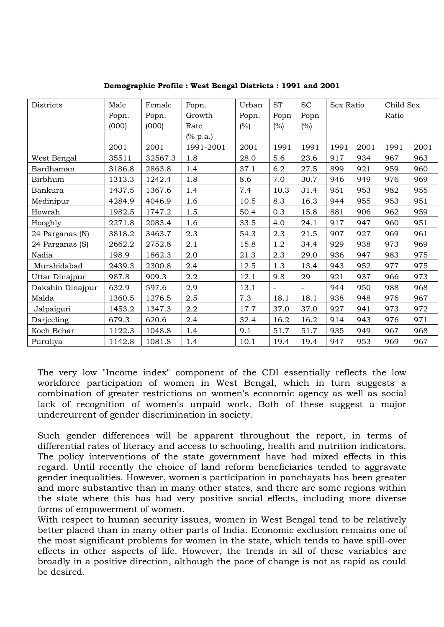| Districts        | Male   | Female  | Popn.     | Urban | <b>ST</b> | <b>SC</b> | Sex Ratio |      | Child Sex |      |
|------------------|--------|---------|-----------|-------|-----------|-----------|-----------|------|-----------|------|
|                  | Popn.  | Popn.   | Growth    | Popn. | Popn      | Popn      |           |      | Ratio     |      |
|                  | (000)  | (000)   | Rate      | (%)   | $(\%)$    | (%)       |           |      |           |      |
|                  |        |         | (% p.a.)  |       |           |           |           |      |           |      |
|                  | 2001   | 2001    | 1991-2001 | 2001  | 1991      | 1991      | 1991      | 2001 | 1991      | 2001 |
| West Bengal      | 35511  | 32567.3 | 1.8       | 28.0  | 5.6       | 23.6      | 917       | 934  | 967       | 963  |
| Bardhaman        | 3186.8 | 2863.8  | 1.4       | 37.1  | 6.2       | 27.5      | 899       | 921  | 959       | 960  |
| Birbhum          | 1313.3 | 1242.4  | 1.8       | 8.6   | 7.0       | 30.7      | 946       | 949  | 976       | 969  |
| Bankura          | 1437.5 | 1367.6  | 1.4       | 7.4   | 10.3      | 31.4      | 951       | 953  | 982       | 955  |
| Medinipur        | 4284.9 | 4046.9  | 1.6       | 10.5  | 8.3       | 16.3      | 944       | 955  | 953       | 951  |
| Howrah           | 1982.5 | 1747.2  | 1.5       | 50.4  | 0.3       | 15.8      | 881       | 906  | 962       | 959  |
| Hooghly          | 2271.8 | 2083.4  | 1.6       | 33.5  | 4.0       | 24.1      | 917       | 947  | 960       | 951  |
| 24 Parganas (N)  | 3818.2 | 3463.7  | 2.3       | 54.3  | 2.3       | 21.5      | 907       | 927  | 969       | 961  |
| 24 Parganas (S)  | 2662.2 | 2752.8  | 2.1       | 15.8  | 1.2       | 34.4      | 929       | 938  | 973       | 969  |
| Nadia            | 198.9  | 1862.3  | 2.0       | 21.3  | 2.3       | 29.0      | 936       | 947  | 983       | 975  |
| Murshidabad      | 2439.3 | 2300.8  | 2.4       | 12.5  | 1.3       | 13.4      | 943       | 952  | 977       | 975  |
| Uttar Dinajpur   | 987.8  | 909.3   | 2.2       | 12.1  | 9.8       | 29        | 921       | 937  | 966       | 973  |
| Dakshin Dinajpur | 632.9  | 597.6   | 2.9       | 13.1  |           |           | 944       | 950  | 988       | 968  |
| Malda            | 1360.5 | 1276.5  | 2.5       | 7.3   | 18.1      | 18.1      | 938       | 948  | 976       | 967  |
| Jalpaiguri       | 1453.2 | 1347.3  | 2.2       | 17.7  | 37.0      | 37.0      | 927       | 941  | 973       | 972  |
| Darjeeling       | 679.3  | 620.6   | 2.4       | 32.4  | 16.2      | 16.2      | 914       | 943  | 976       | 971  |
| Koch Behar       | 1122.3 | 1048.8  | 1.4       | 9.1   | 51.7      | 51.7      | 935       | 949  | 967       | 968  |
| Puruliya         | 1142.8 | 1081.8  | 1.4       | 10.1  | 19.4      | 19.4      | 947       | 953  | 969       | 967  |

**Demographic Profile : West Bengal Districts : 1991 and 2001** 

The very low "Income index" component of the CDI essentially reflects the low workforce participation of women in West Bengal, which in turn suggests a combination of greater restrictions on women's economic agency as well as social lack of recognition of women's unpaid work. Both of these suggest a major undercurrent of gender discrimination in society.

Such gender differences will be apparent throughout the report, in terms of differential rates of literacy and access to schooling, health and nutrition indicators. The policy interventions of the state government have had mixed effects in this regard. Until recently the choice of land reform beneficiaries tended to aggravate gender inequalities. However, women's participation in panchayats has been greater and more substantive than in many other states, and there are some regions within the state where this has had very positive social effects, including more diverse forms of empowerment of women.

With respect to human security issues, women in West Bengal tend to be relatively better placed than in many other parts of India. Economic exclusion remains one of the most significant problems for women in the state, which tends to have spill-over effects in other aspects of life. However, the trends in all of these variables are broadly in a positive direction, although the pace of change is not as rapid as could be desired.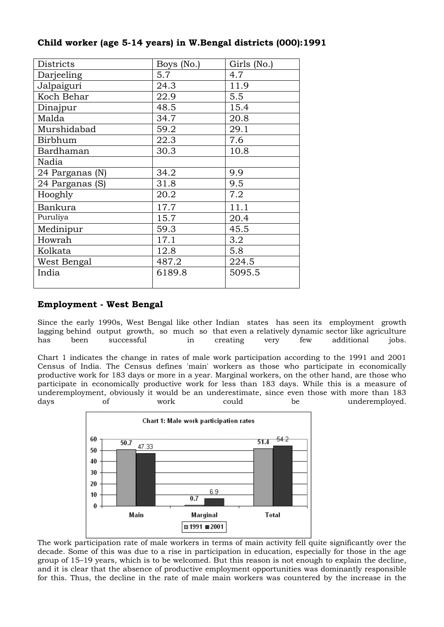| Districts       | Boys (No.) | Girls (No.) |
|-----------------|------------|-------------|
| Darjeeling      | 5.7        | 4.7         |
| Jalpaiguri      | 24.3       | 11.9        |
| Koch Behar      | 22.9       | 5.5         |
| Dinajpur        | 48.5       | 15.4        |
| Malda           | 34.7       | 20.8        |
| Murshidabad     | 59.2       | 29.1        |
| Birbhum         | 22.3       | 7.6         |
| Bardhaman       | 30.3       | 10.8        |
| Nadia           |            |             |
| 24 Parganas (N) | 34.2       | 9.9         |
| 24 Parganas (S) | 31.8       | 9.5         |
| Hooghly         | 20.2       | 7.2         |
| Bankura         | 17.7       | 11.1        |
| Puruliya        | 15.7       | 20.4        |
| Medinipur       | 59.3       | 45.5        |
| Howrah          | 17.1       | 3.2         |
| Kolkata         | 12.8       | 5.8         |
| West Bengal     | 487.2      | 224.5       |
| India           | 6189.8     | 5095.5      |

### **Child worker (age 5-14 years) in W.Bengal districts (000):1991**

#### **Employment - West Bengal**

Since the early 1990s, West Bengal like other Indian states has seen its employment growth lagging behind output growth, so much so that even a relatively dynamic sector like agriculture has been successful in creating very few additional jobs.

Chart 1 indicates the change in rates of male work participation according to the 1991 and 2001 Census of India. The Census defines 'main' workers as those who participate in economically productive work for 183 days or more in a year. Marginal workers, on the other hand, are those who participate in economically productive work for less than 183 days. While this is a measure of underemployment, obviously it would be an underestimate, since even those with more than 183 days of work could be underemployed.



The work participation rate of male workers in terms of main activity fell quite significantly over the decade. Some of this was due to a rise in participation in education, especially for those in the age group of 15–19 years, which is to be welcomed. But this reason is not enough to explain the decline, and it is clear that the absence of productive employment opportunities was dominantly responsible for this. Thus, the decline in the rate of male main workers was countered by the increase in the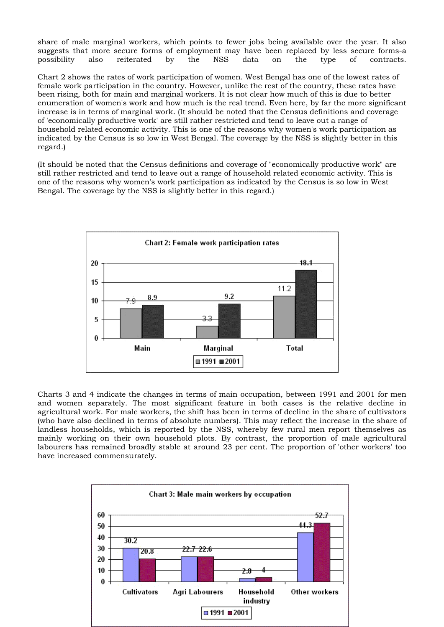share of male marginal workers, which points to fewer jobs being available over the year. It also suggests that more secure forms of employment may have been replaced by less secure forms-a possibility also reiterated by the NSS data on the type of contracts.

Chart 2 shows the rates of work participation of women. West Bengal has one of the lowest rates of female work participation in the country. However, unlike the rest of the country, these rates have been rising, both for main and marginal workers. It is not clear how much of this is due to better enumeration of women's work and how much is the real trend. Even here, by far the more significant increase is in terms of marginal work. (It should be noted that the Census definitions and coverage of 'economically productive work' are still rather restricted and tend to leave out a range of household related economic activity. This is one of the reasons why women's work participation as indicated by the Census is so low in West Bengal. The coverage by the NSS is slightly better in this regard.)

(It should be noted that the Census definitions and coverage of "economically productive work" are still rather restricted and tend to leave out a range of household related economic activity. This is one of the reasons why women's work participation as indicated by the Census is so low in West Bengal. The coverage by the NSS is slightly better in this regard.)



Charts 3 and 4 indicate the changes in terms of main occupation, between 1991 and 2001 for men and women separately. The most significant feature in both cases is the relative decline in agricultural work. For male workers, the shift has been in terms of decline in the share of cultivators (who have also declined in terms of absolute numbers). This may reflect the increase in the share of landless households, which is reported by the NSS, whereby few rural men report themselves as mainly working on their own household plots. By contrast, the proportion of male agricultural labourers has remained broadly stable at around 23 per cent. The proportion of 'other workers' too have increased commensurately.

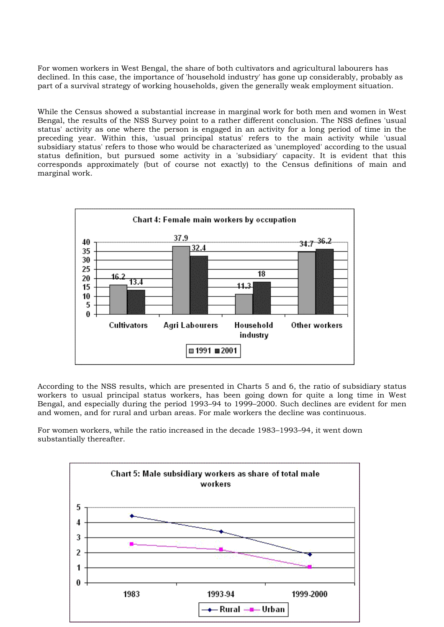For women workers in West Bengal, the share of both cultivators and agricultural labourers has declined. In this case, the importance of 'household industry' has gone up considerably, probably as part of a survival strategy of working households, given the generally weak employment situation.

While the Census showed a substantial increase in marginal work for both men and women in West Bengal, the results of the NSS Survey point to a rather different conclusion. The NSS defines 'usual status' activity as one where the person is engaged in an activity for a long period of time in the preceding year. Within this, 'usual principal status' refers to the main activity while 'usual subsidiary status' refers to those who would be characterized as 'unemployed' according to the usual status definition, but pursued some activity in a 'subsidiary' capacity. It is evident that this corresponds approximately (but of course not exactly) to the Census definitions of main and marginal work.



According to the NSS results, which are presented in Charts 5 and 6, the ratio of subsidiary status workers to usual principal status workers, has been going down for quite a long time in West Bengal, and especially during the period 1993–94 to 1999–2000. Such declines are evident for men and women, and for rural and urban areas. For male workers the decline was continuous.

For women workers, while the ratio increased in the decade 1983–1993–94, it went down substantially thereafter.

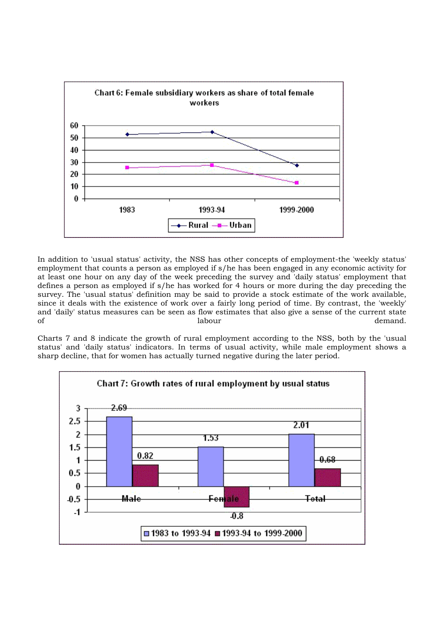

In addition to 'usual status' activity, the NSS has other concepts of employment-the 'weekly status' employment that counts a person as employed if s/he has been engaged in any economic activity for at least one hour on any day of the week preceding the survey and 'daily status' employment that defines a person as employed if s/he has worked for 4 hours or more during the day preceding the survey. The 'usual status' definition may be said to provide a stock estimate of the work available, since it deals with the existence of work over a fairly long period of time. By contrast, the 'weekly' and 'daily' status measures can be seen as flow estimates that also give a sense of the current state of a labour demand.

Charts 7 and 8 indicate the growth of rural employment according to the NSS, both by the 'usual status' and 'daily status' indicators. In terms of usual activity, while male employment shows a sharp decline, that for women has actually turned negative during the later period.

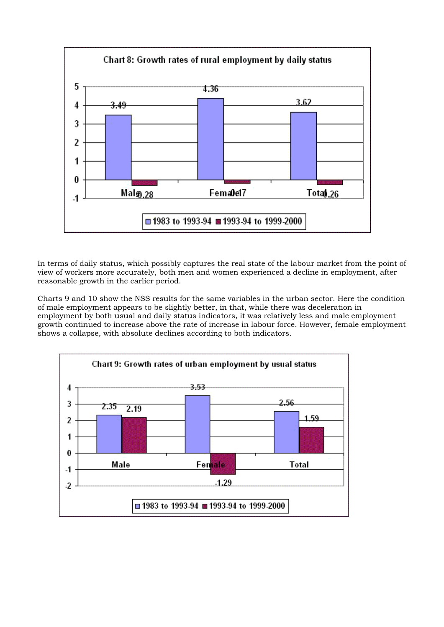

In terms of daily status, which possibly captures the real state of the labour market from the point of view of workers more accurately, both men and women experienced a decline in employment, after reasonable growth in the earlier period.

Charts 9 and 10 show the NSS results for the same variables in the urban sector. Here the condition of male employment appears to be slightly better, in that, while there was deceleration in employment by both usual and daily status indicators, it was relatively less and male employment growth continued to increase above the rate of increase in labour force. However, female employment shows a collapse, with absolute declines according to both indicators.

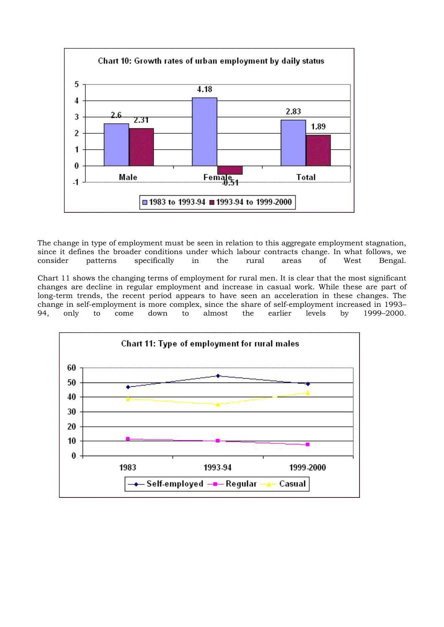

The change in type of employment must be seen in relation to this aggregate employment stagnation, since it defines the broader conditions under which labour contracts change. In what follows, we consider patterns specifically in the rural areas of West Bengal.

Chart 11 shows the changing terms of employment for rural men. It is clear that the most significant changes are decline in regular employment and increase in casual work. While these are part of long-term trends, the recent period appears to have seen an acceleration in these changes. The change in self-employment is more complex, since the share of self-employment increased in 1993–<br>94. only to come down to almost the earlier levels by 1999–2000. 94, only to come down to almost the earlier levels by 1999–2000.

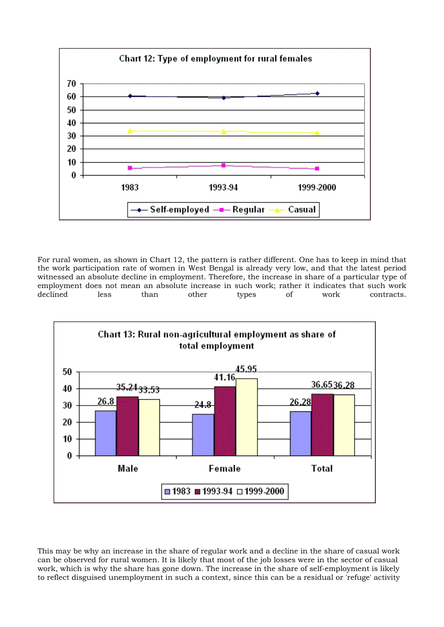

For rural women, as shown in Chart 12, the pattern is rather different. One has to keep in mind that the work participation rate of women in West Bengal is already very low, and that the latest period witnessed an absolute decline in employment. Therefore, the increase in share of a particular type of employment does not mean an absolute increase in such work; rather it indicates that such work declined less than other types of work contracts.



This may be why an increase in the share of regular work and a decline in the share of casual work can be observed for rural women. It is likely that most of the job losses were in the sector of casual work, which is why the share has gone down. The increase in the share of self-employment is likely to reflect disguised unemployment in such a context, since this can be a residual or 'refuge' activity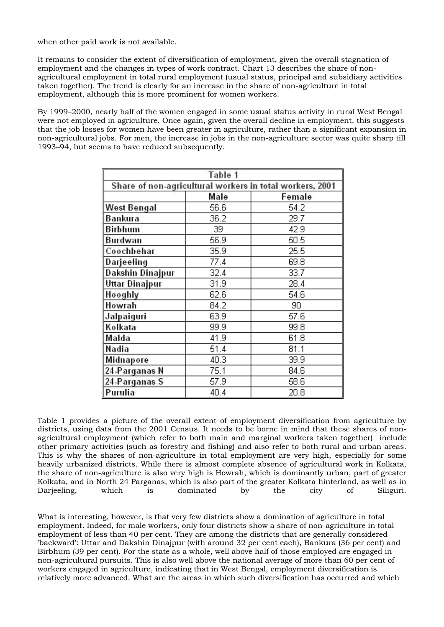when other paid work is not available.

It remains to consider the extent of diversification of employment, given the overall stagnation of employment and the changes in types of work contract. Chart 13 describes the share of nonagricultural employment in total rural employment (usual status, principal and subsidiary activities taken together). The trend is clearly for an increase in the share of non-agriculture in total employment, although this is more prominent for women workers.

By 1999–2000, nearly half of the women engaged in some usual status activity in rural West Bengal were not employed in agriculture. Once again, given the overall decline in employment, this suggests that the job losses for women have been greater in agriculture, rather than a significant expansion in non-agricultural jobs. For men, the increase in jobs in the non-agriculture sector was quite sharp till 1993–94, but seems to have reduced subsequently.

| Table 1                                                  |      |        |  |  |  |  |  |  |
|----------------------------------------------------------|------|--------|--|--|--|--|--|--|
| Share of non-agricultural workers in total workers, 2001 |      |        |  |  |  |  |  |  |
|                                                          | Male | Female |  |  |  |  |  |  |
| <b>West Bengal</b>                                       | 56.6 | 54.2   |  |  |  |  |  |  |
| Bankura                                                  | 36.2 | 29.7   |  |  |  |  |  |  |
| <b>Birbhum</b>                                           | 39   | 42.9   |  |  |  |  |  |  |
| Burdwan                                                  | 56.9 | 50.5   |  |  |  |  |  |  |
| Coochbehar                                               | 35.9 | 25.5   |  |  |  |  |  |  |
| Darjeeling                                               | 77.4 | 69.8   |  |  |  |  |  |  |
| Dakshin Dinajpur                                         | 32.4 | 33.7   |  |  |  |  |  |  |
| <b>Uttar Dinajpur</b>                                    | 31.9 | 28.4   |  |  |  |  |  |  |
| Hooghly                                                  | 62.6 | 54.6   |  |  |  |  |  |  |
| Howrah                                                   | 84.2 | 90     |  |  |  |  |  |  |
| Jalpaiguri                                               | 63.9 | 57.6   |  |  |  |  |  |  |
| Kolkata                                                  | 99.9 | 99.8   |  |  |  |  |  |  |
| Malda                                                    | 41.9 | 61.8   |  |  |  |  |  |  |
| Nadia                                                    | 51.4 | 81.1   |  |  |  |  |  |  |
| Midnapore                                                | 40.3 | 39.9   |  |  |  |  |  |  |
| 24-Parganas N                                            | 75.1 | 84.6   |  |  |  |  |  |  |
| 24-Parganas S                                            | 57.9 | 58.6   |  |  |  |  |  |  |
| Purulia                                                  | 40.4 | 20.8   |  |  |  |  |  |  |

Table 1 provides a picture of the overall extent of employment diversification from agriculture by districts, using data from the 2001 Census. It needs to be borne in mind that these shares of nonagricultural employment (which refer to both main and marginal workers taken together) include other primary activities (such as forestry and fishing) and also refer to both rural and urban areas. This is why the shares of non-agriculture in total employment are very high, especially for some heavily urbanized districts. While there is almost complete absence of agricultural work in Kolkata, the share of non-agriculture is also very high is Howrah, which is dominantly urban, part of greater Kolkata, and in North 24 Parganas, which is also part of the greater Kolkata hinterland, as well as in Darjeeling, which is dominated by the city of Siliguri.

What is interesting, however, is that very few districts show a domination of agriculture in total employment. Indeed, for male workers, only four districts show a share of non-agriculture in total employment of less than 40 per cent. They are among the districts that are generally considered 'backward': Uttar and Dakshin Dinajpur (with around 32 per cent each), Bankura (36 per cent) and Birbhum (39 per cent). For the state as a whole, well above half of those employed are engaged in non-agricultural pursuits. This is also well above the national average of more than 60 per cent of workers engaged in agriculture, indicating that in West Bengal, employment diversification is relatively more advanced. What are the areas in which such diversification has occurred and which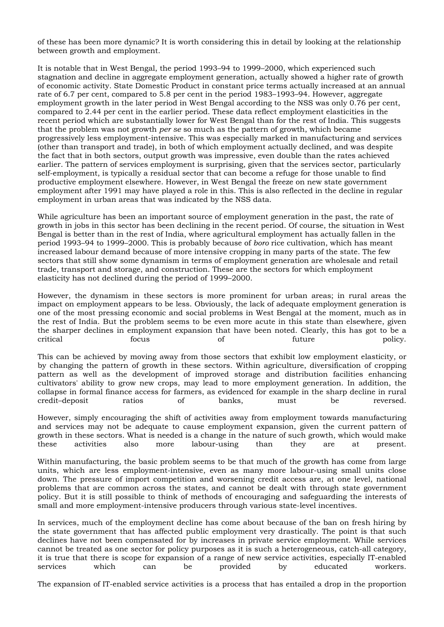of these has been more dynamic? It is worth considering this in detail by looking at the relationship between growth and employment.

It is notable that in West Bengal, the period 1993–94 to 1999–2000, which experienced such stagnation and decline in aggregate employment generation, actually showed a higher rate of growth of economic activity. State Domestic Product in constant price terms actually increased at an annual rate of 6.7 per cent, compared to 5.8 per cent in the period 1983–1993–94. However, aggregate employment growth in the later period in West Bengal according to the NSS was only 0.76 per cent, compared to 2.44 per cent in the earlier period. These data reflect employment elasticities in the recent period which are substantially lower for West Bengal than for the rest of India. This suggests that the problem was not growth *per se* so much as the pattern of growth, which became progressively less employment-intensive. This was especially marked in manufacturing and services (other than transport and trade), in both of which employment actually declined, and was despite the fact that in both sectors, output growth was impressive, even double than the rates achieved earlier. The pattern of services employment is surprising, given that the services sector, particularly self-employment, is typically a residual sector that can become a refuge for those unable to find productive employment elsewhere. However, in West Bengal the freeze on new state government employment after 1991 may have played a role in this. This is also reflected in the decline in regular employment in urban areas that was indicated by the NSS data.

While agriculture has been an important source of employment generation in the past, the rate of growth in jobs in this sector has been declining in the recent period. Of course, the situation in West Bengal is better than in the rest of India, where agricultural employment has actually fallen in the period 1993–94 to 1999–2000. This is probably because of *boro* rice cultivation, which has meant increased labour demand because of more intensive cropping in many parts of the state. The few sectors that still show some dynamism in terms of employment generation are wholesale and retail trade, transport and storage, and construction. These are the sectors for which employment elasticity has not declined during the period of 1999–2000.

However, the dynamism in these sectors is more prominent for urban areas; in rural areas the impact on employment appears to be less. Obviously, the lack of adequate employment generation is one of the most pressing economic and social problems in West Bengal at the moment, much as in the rest of India. But the problem seems to be even more acute in this state than elsewhere, given the sharper declines in employment expansion that have been noted. Clearly, this has got to be a critical focus of tuture policy. critical focus of future policy.

This can be achieved by moving away from those sectors that exhibit low employment elasticity, or by changing the pattern of growth in these sectors. Within agriculture, diversification of cropping pattern as well as the development of improved storage and distribution facilities enhancing cultivators' ability to grow new crops, may lead to more employment generation. In addition, the collapse in formal finance access for farmers, as evidenced for example in the sharp decline in rural credit–deposit ratios of banks, must be reversed.

However, simply encouraging the shift of activities away from employment towards manufacturing and services may not be adequate to cause employment expansion, given the current pattern of growth in these sectors. What is needed is a change in the nature of such growth, which would make these activities also more labour-using than they are at present.

Within manufacturing, the basic problem seems to be that much of the growth has come from large units, which are less employment-intensive, even as many more labour-using small units close down. The pressure of import competition and worsening credit access are, at one level, national problems that are common across the states, and cannot be dealt with through state government policy. But it is still possible to think of methods of encouraging and safeguarding the interests of small and more employment-intensive producers through various state-level incentives.

In services, much of the employment decline has come about because of the ban on fresh hiring by the state government that has affected public employment very drastically. The point is that such declines have not been compensated for by increases in private service employment. While services cannot be treated as one sector for policy purposes as it is such a heterogeneous, catch-all category, it is true that there is scope for expansion of a range of new service activities, especially IT-enabled services which can be provided by educated workers.

The expansion of IT-enabled service activities is a process that has entailed a drop in the proportion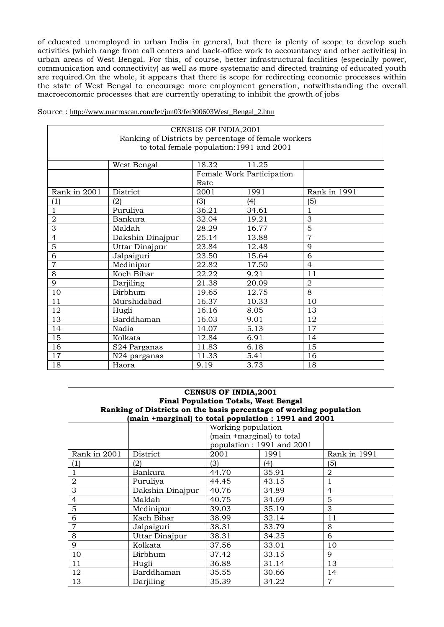of educated unemployed in urban India in general, but there is plenty of scope to develop such activities (which range from call centers and back-office work to accountancy and other activities) in urban areas of West Bengal. For this, of course, better infrastructural facilities (especially power, communication and connectivity) as well as more systematic and directed training of educated youth are required.On the whole, it appears that there is scope for redirecting economic processes within the state of West Bengal to encourage more employment generation, notwithstanding the overall macroeconomic processes that are currently operating to inhibit the growth of jobs

|  | Source: http://www.macroscan.com/fet/jun03/fet300603West Bengal 2.htm |  |  |
|--|-----------------------------------------------------------------------|--|--|
|  |                                                                       |  |  |

| CENSUS OF INDIA, 2001                                |                                           |                |                           |                |  |  |  |  |  |
|------------------------------------------------------|-------------------------------------------|----------------|---------------------------|----------------|--|--|--|--|--|
| Ranking of Districts by percentage of female workers |                                           |                |                           |                |  |  |  |  |  |
|                                                      | to total female population: 1991 and 2001 |                |                           |                |  |  |  |  |  |
|                                                      |                                           |                |                           |                |  |  |  |  |  |
| 18.32<br>11.25<br>West Bengal                        |                                           |                |                           |                |  |  |  |  |  |
|                                                      |                                           |                | Female Work Participation |                |  |  |  |  |  |
|                                                      |                                           | Rate           |                           |                |  |  |  |  |  |
| Rank in 2001                                         | District                                  | 2001           | 1991                      | Rank in 1991   |  |  |  |  |  |
| (1)                                                  | (2)                                       | (3)            | (4)                       | (5)            |  |  |  |  |  |
| 1                                                    | Puruliya                                  | 36.21          | 34.61                     | $\mathbf{1}$   |  |  |  |  |  |
| $\overline{2}$                                       | Bankura                                   | 32.04          | 19.21                     | 3              |  |  |  |  |  |
| 3                                                    | Maldah                                    | 28.29          | 16.77                     | 5              |  |  |  |  |  |
| 4                                                    | Dakshin Dinajpur                          | $\overline{7}$ |                           |                |  |  |  |  |  |
| 5                                                    | Uttar Dinajpur                            | 23.84          | 12.48                     | 9              |  |  |  |  |  |
| 6                                                    | Jalpaiguri                                | 23.50          | 15.64                     | 6              |  |  |  |  |  |
| $\overline{7}$                                       | Medinipur                                 | 22.82          | 17.50                     | $\overline{4}$ |  |  |  |  |  |
| 8                                                    | Koch Bihar                                | 22.22          | 9.21                      | 11             |  |  |  |  |  |
| 9                                                    | Darjiling                                 | 21.38          | 20.09                     | $\overline{2}$ |  |  |  |  |  |
| 10                                                   | Birbhum                                   | 19.65          | 12.75                     | $\overline{8}$ |  |  |  |  |  |
| 11                                                   | Murshidabad                               | 16.37          | 10.33                     | 10             |  |  |  |  |  |
| 12                                                   | Hugli                                     | 16.16          | 8.05                      | 13             |  |  |  |  |  |
| 13                                                   | Barddhaman                                | 16.03          | 9.01                      | 12             |  |  |  |  |  |
| 14                                                   | Nadia                                     | 14.07          | 5.13                      | 17             |  |  |  |  |  |
| 15                                                   | Kolkata                                   | 12.84          | 6.91                      | 14             |  |  |  |  |  |
| 16                                                   | S24 Parganas                              | 11.83          | 6.18                      | 15             |  |  |  |  |  |
| 17                                                   | N24 parganas                              | 11.33          | 5.41                      | 16             |  |  |  |  |  |
| 18                                                   | Haora                                     | 9.19           | 3.73                      | 18             |  |  |  |  |  |

| <b>CENSUS OF INDIA, 2001</b>                                       |                  |                           |                           |                |  |  |  |  |  |
|--------------------------------------------------------------------|------------------|---------------------------|---------------------------|----------------|--|--|--|--|--|
| <b>Final Population Totals, West Bengal</b>                        |                  |                           |                           |                |  |  |  |  |  |
| Ranking of Districts on the basis percentage of working population |                  |                           |                           |                |  |  |  |  |  |
| (main +marginal) to total population : 1991 and 2001               |                  |                           |                           |                |  |  |  |  |  |
|                                                                    |                  | Working population        |                           |                |  |  |  |  |  |
|                                                                    |                  | (main +marginal) to total |                           |                |  |  |  |  |  |
|                                                                    |                  |                           | population: 1991 and 2001 |                |  |  |  |  |  |
| Rank in 2001                                                       | District         | 2001                      | 1991                      | Rank in 1991   |  |  |  |  |  |
| (1)                                                                | (2)              | (3)                       | (4)                       | (5)            |  |  |  |  |  |
|                                                                    | Bankura          | 44.70                     | 35.91                     | $\overline{2}$ |  |  |  |  |  |
| 2                                                                  | Puruliya         | 44.45                     | 43.15                     | 1              |  |  |  |  |  |
| 3                                                                  | Dakshin Dinajpur | 40.76                     | 34.89                     | 4              |  |  |  |  |  |
| $\overline{4}$                                                     | Maldah           | 40.75                     | 34.69                     | 5              |  |  |  |  |  |
| 5                                                                  | Medinipur        | 39.03                     | 35.19                     | 3              |  |  |  |  |  |
| 6                                                                  | Kach Bihar       | 38.99                     | 32.14                     | 11             |  |  |  |  |  |
| $\overline{7}$                                                     | Jalpaiguri       | 38.31                     | 33.79                     | 8              |  |  |  |  |  |
| 8                                                                  | Uttar Dinajpur   | 38.31                     | 34.25                     | 6              |  |  |  |  |  |
| 9                                                                  | Kolkata          | 37.56                     | 33.01                     | 10             |  |  |  |  |  |
| 10                                                                 | Birbhum          | 37.42                     | 33.15                     | 9              |  |  |  |  |  |
| 11                                                                 | Hugli            | 36.88                     | 31.14                     | 13             |  |  |  |  |  |
| 12                                                                 | Barddhaman       | 35.55                     | 30.66                     | 14             |  |  |  |  |  |
| 13                                                                 | Darjiling        | 35.39                     | 34.22                     | $\overline{7}$ |  |  |  |  |  |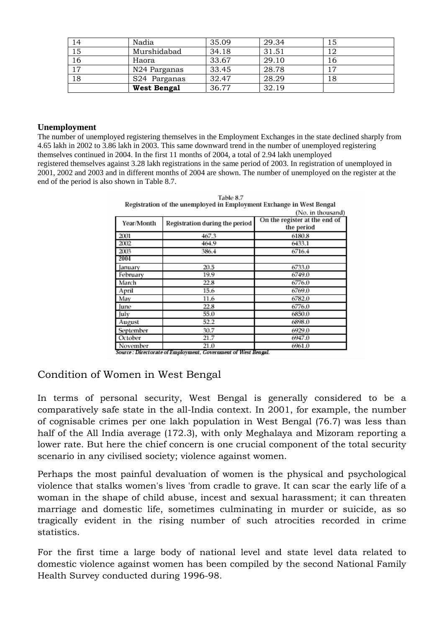| 14 | Nadia                    | 35.09 | 29.34 | 15 |
|----|--------------------------|-------|-------|----|
| 15 | Murshidabad              | 34.18 | 31.51 | 12 |
| 16 | Haora                    | 33.67 | 29.10 | 16 |
| 17 | N24 Parganas             | 33.45 | 28.78 |    |
| 18 | S <sub>24</sub> Parganas | 32.47 | 28.29 | 18 |
|    | West Bengal              | 36.77 | 32.19 |    |

#### **Unemployment**

The number of unemployed registering themselves in the Employment Exchanges in the state declined sharply from 4.65 lakh in 2002 to 3.86 lakh in 2003. This same downward trend in the number of unemployed registering themselves continued in 2004. In the first 11 months of 2004, a total of 2.94 lakh unemployed registered themselves against 3.28 lakh registrations in the same period of 2003. In registration of unemployed in 2001, 2002 and 2003 and in different months of 2004 are shown. The number of unemployed on the register at the end of the period is also shown in Table 8.7.

|            |                                | (No. in thousand)                           |
|------------|--------------------------------|---------------------------------------------|
| Year/Month | Registration during the period | On the register at the end of<br>the period |
| 2001       | 467.3                          | 6180.8                                      |
| 2002       | 464.9                          | 6433.1                                      |
| 2003       | 386.4                          | 6716.4                                      |
| 2004       |                                |                                             |
| January    | 20.5                           | 6733.0                                      |
| February   | 19.9                           | 6749.0                                      |
| March      | 22.8                           | 6776.0                                      |
| April      | 15.6                           | 6769.0                                      |
| May        | 11.6                           | 6782.0                                      |
| June       | 22.8                           | 6776.0                                      |
| July       | 55.0                           | 6850.0                                      |
| August     | 52.2                           | 6898.0                                      |
| September  | 30.7                           | 6929.0                                      |
| October    | 21.7                           | 6947.0                                      |
| November   | 21.0                           | 6961.0                                      |

Table 8.7 Registration of the unemployed in Employment Exchange in West Bengal

Source: Directorate of Employment, Government of West Bengal.

### Condition of Women in West Bengal

In terms of personal security, West Bengal is generally considered to be a comparatively safe state in the all-India context. In 2001, for example, the number of cognisable crimes per one lakh population in West Bengal (76.7) was less than half of the All India average (172.3), with only Meghalaya and Mizoram reporting a lower rate. But here the chief concern is one crucial component of the total security scenario in any civilised society; violence against women.

Perhaps the most painful devaluation of women is the physical and psychological violence that stalks women's lives 'from cradle to grave. It can scar the early life of a woman in the shape of child abuse, incest and sexual harassment; it can threaten marriage and domestic life, sometimes culminating in murder or suicide, as so tragically evident in the rising number of such atrocities recorded in crime statistics.

For the first time a large body of national level and state level data related to domestic violence against women has been compiled by the second National Family Health Survey conducted during 1996-98.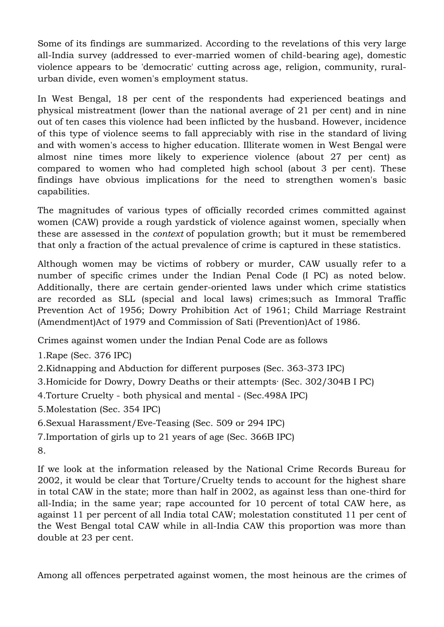Some of its findings are summarized. According to the revelations of this very large all-India survey (addressed to ever-married women of child-bearing age), domestic violence appears to be 'democratic' cutting across age, religion, community, ruralurban divide, even women's employment status.

In West Bengal, 18 per cent of the respondents had experienced beatings and physical mistreatment (lower than the national average of 21 per cent) and in nine out of ten cases this violence had been inflicted by the husband. However, incidence of this type of violence seems to fall appreciably with rise in the standard of living and with women's access to higher education. Illiterate women in West Bengal were almost nine times more likely to experience violence (about 27 per cent) as compared to women who had completed high school (about 3 per cent). These findings have obvious implications for the need to strengthen women's basic capabilities.

The magnitudes of various types of officially recorded crimes committed against women (CAW) provide a rough yardstick of violence against women, specially when these are assessed in the *context* of population growth; but it must be remembered that only a fraction of the actual prevalence of crime is captured in these statistics.

Although women may be victims of robbery or murder, CAW usually refer to a number of specific crimes under the Indian Penal Code (I PC) as noted below. Additionally, there are certain gender-oriented laws under which crime statistics are recorded as SLL (special and local laws) crimes;such as Immoral Traffic Prevention Act of 1956; Dowry Prohibition Act of 1961; Child Marriage Restraint (Amendment)Act of 1979 and Commission of Sati (Prevention)Act of 1986.

Crimes against women under the Indian Penal Code are as follows

1.Rape (Sec. 376 IPC)

2.Kidnapping and Abduction for different purposes (Sec. 363-373 IPC)

3.Homicide for Dowry, Dowry Deaths or their attempts· (Sec. 302/304B I PC)

- 4.Torture Cruelty both physical and mental (Sec.498A IPC)
- 5.Molestation (Sec. 354 IPC)

6.Sexual Harassment/Eve-Teasing (Sec. 509 or 294 IPC)

7.Importation of girls up to 21 years of age (Sec. 366B IPC)

8.

If we look at the information released by the National Crime Records Bureau for 2002, it would be clear that Torture/Cruelty tends to account for the highest share in total CAW in the state; more than half in 2002, as against less than one-third for all-India; in the same year; rape accounted for 10 percent of total CAW here, as against 11 per percent of all India total CAW; molestation constituted 11 per cent of the West Bengal total CAW while in all-India CAW this proportion was more than double at 23 per cent.

Among all offences perpetrated against women, the most heinous are the crimes of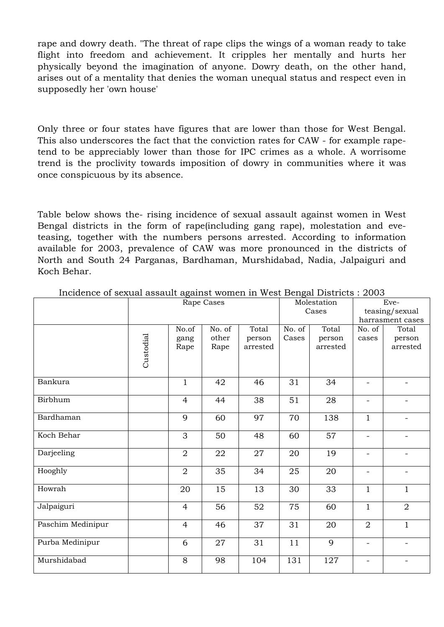rape and dowry death. "The threat of rape clips the wings of a woman ready to take flight into freedom and achievement. It cripples her mentally and hurts her physically beyond the imagination of anyone. Dowry death, on the other hand, arises out of a mentality that denies the woman unequal status and respect even in supposedly her 'own house'

Only three or four states have figures that are lower than those for West Bengal. This also underscores the fact that the conviction rates for CAW - for example rapetend to be appreciably lower than those for IPC crimes as a whole. A worrisome trend is the proclivity towards imposition of dowry in communities where it was once conspicuous by its absence.

Table below shows the- rising incidence of sexual assault against women in West Bengal districts in the form of rape(including gang rape), molestation and eveteasing, together with the numbers persons arrested. According to information available for 2003, prevalence of CAW was more pronounced in the districts of North and South 24 Parganas, Bardhaman, Murshidabad, Nadia, Jalpaiguri and Koch Behar.

|                   |           |                | Rape Cases |          |        | Molestation | Eve-                     |                          |  |
|-------------------|-----------|----------------|------------|----------|--------|-------------|--------------------------|--------------------------|--|
|                   |           |                |            |          |        | Cases       |                          | teasing/sexual           |  |
|                   |           |                |            |          |        |             |                          | harrasment cases         |  |
|                   |           | No.of          | No. of     | Total    | No. of | Total       | No. of                   | Total                    |  |
|                   |           | gang           | other      | person   | Cases  | person      | cases                    | person                   |  |
|                   |           | Rape           | Rape       | arrested |        | arrested    |                          | arrested                 |  |
|                   | Custodial |                |            |          |        |             |                          |                          |  |
| Bankura           |           | $\mathbf{1}$   | 42         | 46       | 31     | 34          | -                        |                          |  |
| Birbhum           |           | $\overline{4}$ | 44         | 38       | 51     | 28          | $\overline{\phantom{0}}$ |                          |  |
| Bardhaman         |           | 9              | 60         | 97       | 70     | 138         | $\mathbf{1}$             | $\overline{\phantom{0}}$ |  |
| Koch Behar        |           | 3              | 50         | 48       | 60     | 57          | -                        |                          |  |
| Darjeeling        |           | $\overline{2}$ | 22         | 27       | 20     | 19          | -                        |                          |  |
| Hooghly           |           | $\overline{2}$ | 35         | 34       | 25     | 20          | -                        |                          |  |
| Howrah            |           | 20             | 15         | 13       | 30     | 33          | $\mathbf{1}$             | $\mathbf{1}$             |  |
| Jalpaiguri        |           | $\overline{4}$ | 56         | 52       | 75     | 60          | $\mathbf{1}$             | $\overline{2}$           |  |
| Paschim Medinipur |           | $\overline{4}$ | 46         | 37       | 31     | 20          | $\overline{a}$           | $\mathbf{1}$             |  |
| Purba Medinipur   |           | 6              | 27         | 31       | 11     | 9           | $\overline{\phantom{a}}$ | $\overline{\phantom{0}}$ |  |
| Murshidabad       |           | 8              | 98         | 104      | 131    | 127         |                          |                          |  |

Incidence of sexual assault against women in West Bengal Districts : 2003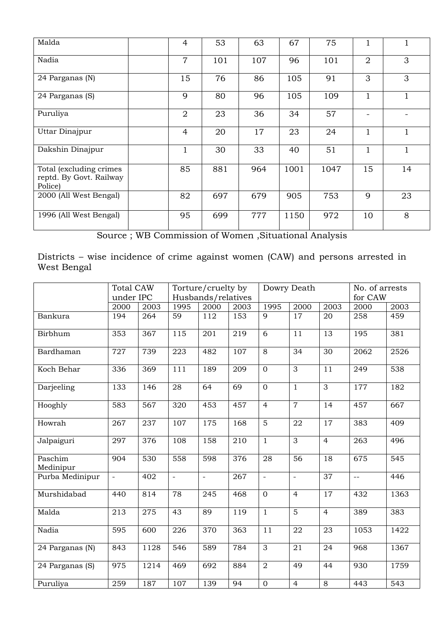| Malda                                                         | 4              | 53  | 63  | 67   | 75   |                |    |
|---------------------------------------------------------------|----------------|-----|-----|------|------|----------------|----|
| Nadia                                                         | $\overline{7}$ | 101 | 107 | 96   | 101  | $\overline{2}$ | 3  |
| 24 Parganas (N)                                               | 15             | 76  | 86  | 105  | 91   | 3              | 3  |
| 24 Parganas (S)                                               | 9              | 80  | 96  | 105  | 109  |                |    |
| Puruliya                                                      | $\overline{2}$ | 23  | 36  | 34   | 57   |                |    |
| Uttar Dinajpur                                                | $\overline{4}$ | 20  | 17  | 23   | 24   |                | 1  |
| Dakshin Dinajpur                                              | $\mathbf{1}$   | 30  | 33  | 40   | 51   | 1              | 1  |
| Total (excluding crimes<br>reptd. By Govt. Railway<br>Police) | 85             | 881 | 964 | 1001 | 1047 | 15             | 14 |
| 2000 (All West Bengal)                                        | 82             | 697 | 679 | 905  | 753  | 9              | 23 |
| 1996 (All West Bengal)                                        | 95             | 699 | 777 | 1150 | 972  | 10             | 8  |

Source ; WB Commission of Women ,Situational Analysis

Districts – wise incidence of crime against women (CAW) and persons arrested in West Bengal

|                      | <b>Total CAW</b><br>under IPC |      | Torture/cruelty by<br>Husbands/relatives |               |      |                | Dowry Death     | No. of arrests<br>for CAW |                          |      |
|----------------------|-------------------------------|------|------------------------------------------|---------------|------|----------------|-----------------|---------------------------|--------------------------|------|
|                      | 2000                          | 2003 | 1995                                     | 2000          | 2003 | 1995           | 2000            | 2003                      | 2000                     | 2003 |
| Bankura              | 194                           | 264  | 59                                       | 112           | 153  | 9              | 17              | 20                        | 258                      | 459  |
| Birbhum              | 353                           | 367  | 115                                      | 201           | 219  | $\overline{6}$ | 11              | $\overline{13}$           | 195                      | 381  |
| Bardhaman            | 727                           | 739  | 223                                      | 482           | 107  | $\overline{8}$ | $\overline{34}$ | $\overline{30}$           | 2062                     | 2526 |
| Koch Behar           | 336                           | 369  | 111                                      | 189           | 209  | $\overline{0}$ | $\overline{3}$  | 11                        | 249                      | 538  |
| Darjeeling           | 133                           | 146  | 28                                       | 64            | 69   | $\overline{0}$ | $\overline{1}$  | $\overline{3}$            | 177                      | 182  |
| Hooghly              | 583                           | 567  | 320                                      | 453           | 457  | $\overline{4}$ | $\overline{7}$  | $\overline{14}$           | 457                      | 667  |
| Howrah               | 267                           | 237  | 107                                      | 175           | 168  | $\overline{5}$ | 22              | $\overline{17}$           | 383                      | 409  |
| Jalpaiguri           | 297                           | 376  | 108                                      | 158           | 210  | $\mathbf{1}$   | $\overline{3}$  | $\overline{4}$            | 263                      | 496  |
| Paschim<br>Medinipur | 904                           | 530  | 558                                      | 598           | 376  | 28             | 56              | 18                        | 675                      | 545  |
| Purba Medinipur      | $\equiv$                      | 402  | $\bar{\phantom{a}}$                      | $\frac{1}{2}$ | 267  | $\equiv$       | $\Box$          | 37                        | $\overline{\phantom{m}}$ | 446  |
| Murshidabad          | 440                           | 814  | 78                                       | 245           | 468  | $\overline{0}$ | $\overline{4}$  | 17                        | 432                      | 1363 |
| Malda                | 213                           | 275  | 43                                       | 89            | 119  | $\mathbf{1}$   | $\overline{5}$  | $\overline{4}$            | 389                      | 383  |
| Nadia                | 595                           | 600  | 226                                      | 370           | 363  | 11             | 22              | 23                        | 1053                     | 1422 |
| 24 Parganas (N)      | 843                           | 1128 | 546                                      | 589           | 784  | 3              | 21              | 24                        | 968                      | 1367 |
| 24 Parganas (S)      | 975                           | 1214 | 469                                      | 692           | 884  | $\overline{2}$ | 49              | 44                        | 930                      | 1759 |
| Puruliya             | 259                           | 187  | 107                                      | 139           | 94   | $\mathbf 0$    | $\overline{4}$  | $8\,$                     | 443                      | 543  |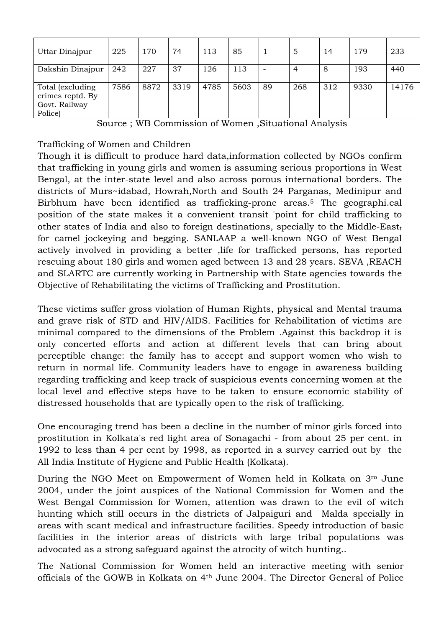| Uttar Dinajpur    | 225  | 170  | 74   | 113  | 85   |    | 5   | 14  | 179  | 233   |
|-------------------|------|------|------|------|------|----|-----|-----|------|-------|
|                   |      |      |      |      |      |    |     |     |      |       |
| Dakshin Dinajpur  | 242  | 227  | 37   | 126  | 113  |    | 4   | 8   | 193  | 440   |
|                   |      |      |      |      |      |    |     |     |      |       |
| Total (excluding) | 7586 | 8872 | 3319 | 4785 | 5603 | 89 | 268 | 312 | 9330 | 14176 |
| crimes reptd. By  |      |      |      |      |      |    |     |     |      |       |
| Govt. Railway     |      |      |      |      |      |    |     |     |      |       |
| Police)           |      |      |      |      |      |    |     |     |      |       |

Source ; WB Commission of Women ,Situational Analysis

Trafficking of Women and Children

Though it is difficult to produce hard data,information collected by NGOs confirm that trafficking in young girls and women is assuming serious proportions in West Bengal, at the inter-state level and also across porous international borders. The districts of Murs~idabad, Howrah,North and South 24 Parganas, Medinipur and Birbhum have been identified as trafficking-prone areas.5 The geographi.cal position of the state makes it a convenient transit 'point for child trafficking to other states of India and also to foreign destinations, specially to the Middle-East $<sub>t</sub>$ </sub> for camel jockeying and begging. SANLAAP a well-known NGO of West Bengal actively involved in providing a better ,life for trafficked persons, has reported rescuing about 180 girls and women aged between 13 and 28 years. SEVA ,REACH and SLARTC are currently working in Partnership with State agencies towards the Objective of Rehabilitating the victims of Trafficking and Prostitution.

These victims suffer gross violation of Human Rights, physical and Mental trauma and grave risk of STD and HIV/AIDS. Facilities for Rehabilitation of victims are minimal compared to the dimensions of the Problem .Against this backdrop it is only concerted efforts and action at different levels that can bring about perceptible change: the family has to accept and support women who wish to return in normal life. Community leaders have to engage in awareness building regarding trafficking and keep track of suspicious events concerning women at the local level and effective steps have to be taken to ensure economic stability of distressed households that are typically open to the risk of trafficking.

One encouraging trend has been a decline in the number of minor girls forced into prostitution in Kolkata's red light area of Sonagachi - from about 25 per cent. in 1992 to less than 4 per cent by 1998, as reported in a survey carried out by the All India Institute of Hygiene and Public Health (Kolkata).

During the NGO Meet on Empowerment of Women held in Kolkata on 3ro June 2004, under the joint auspices of the National Commission for Women and the West Bengal Commission for Women, attention was drawn to the evil of witch hunting which still occurs in the districts of Jalpaiguri and Malda specially in areas with scant medical and infrastructure facilities. Speedy introduction of basic facilities in the interior areas of districts with large tribal populations was advocated as a strong safeguard against the atrocity of witch hunting..

The National Commission for Women held an interactive meeting with senior officials of the GOWB in Kolkata on 4th June 2004. The Director General of Police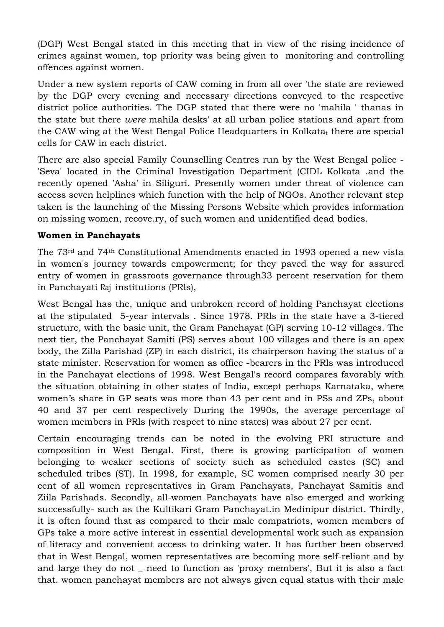(DGP) West Bengal stated in this meeting that in view of the rising incidence of crimes against women, top priority was being given to monitoring and controlling offences against women.

Under a new system reports of CAW coming in from all over 'the state are reviewed by the DGP every evening and necessary directions conveyed to the respective district police authorities. The DGP stated that there were no 'mahila ' thanas in the state but there *were* mahila desks' at all urban police stations and apart from the CAW wing at the West Bengal Police Headquarters in Kolkatat there are special cells for CAW in each district.

There are also special Family Counselling Centres run by the West Bengal police - 'Seva' located in the Criminal Investigation Department (CIDL Kolkata .and the recently opened 'Asha' in Siliguri. Presently women under threat of violence can access seven helplines which function with the help of NGOs. Another relevant step taken is the launching of the Missing Persons Website which provides information on missing women, recove.ry, of such women and unidentified dead bodies.

### **Women in Panchayats**

The 73rd and 74th Constitutional Amendments enacted in 1993 opened a new vista in women's journey towards empowerment; for they paved the way for assured entry of women in grassroots governance through33 percent reservation for them in Panchayati Raj institutions (PRls),

West Bengal has the, unique and unbroken record of holding Panchayat elections at the stipulated 5-year intervals . Since 1978. PRls in the state have a 3-tiered structure, with the basic unit, the Gram Panchayat (GP) serving 10-12 villages. The next tier, the Panchayat Samiti (PS) serves about 100 villages and there is an apex body, the Zilla Parishad (ZP) in each district, its chairperson having the status of a state minister. Reservation for women as office -bearers in the PRls was introduced in the Panchayat elections of 1998. West Bengal's record compares favorably with the situation obtaining in other states of India, except perhaps Karnataka, where women's share in GP seats was more than 43 per cent and in PSs and ZPs, about 40 and 37 per cent respectively During the 1990s, the average percentage of women members in PRls (with respect to nine states) was about 27 per cent.

Certain encouraging trends can be noted in the evolving PRI structure and composition in West Bengal. First, there is growing participation of women belonging to weaker sections of society such as scheduled castes (SC) and scheduled tribes (ST). In 1998, for example, SC women comprised nearly 30 per cent of all women representatives in Gram Panchayats, Panchayat Samitis and Ziila Parishads. Secondly, all-women Panchayats have also emerged and working successfully- such as the Kultikari Gram Panchayat.in Medinipur district. Thirdly, it is often found that as compared to their male compatriots, women members of GPs take a more active interest in essential developmental work such as expansion of literacy and convenient access to drinking water. It has further been observed that in West Bengal, women representatives are becoming more self-reliant and by and large they do not \_ need to function as 'proxy members', But it is also a fact that. women panchayat members are not always given equal status with their male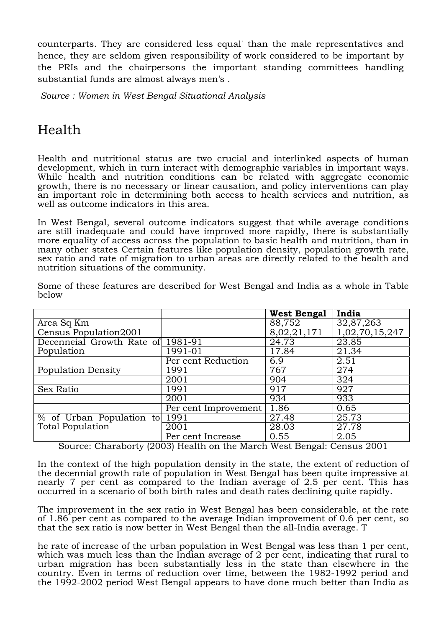counterparts. They are considered less equal' than the male representatives and hence, they are seldom given responsibility of work considered to be important by the PRIs and the chairpersons the important standing committees handling substantial funds are almost always men's .

*Source : Women in West Bengal Situational Analysis* 

## Health

Health and nutritional status are two crucial and interlinked aspects of human development, which in turn interact with demographic variables in important ways. While health and nutrition conditions can be related with aggregate economic growth, there is no necessary or linear causation, and policy interventions can play an important role in determining both access to health services and nutrition, as well as outcome indicators in this area.

In West Bengal, several outcome indicators suggest that while average conditions are still inadequate and could have improved more rapidly, there is substantially more equality of access across the population to basic health and nutrition, than in many other states Certain features like population density, population growth rate, sex ratio and rate of migration to urban areas are directly related to the health and nutrition situations of the community.

|                                             |                      | West Bengal | India          |
|---------------------------------------------|----------------------|-------------|----------------|
| Area Sq Km                                  |                      | 88,752      | 32,87,263      |
| Census Population2001                       |                      | 8,02,21,171 | 1,02,70,15,247 |
| Decenneial Growth Rate of 1981-91           |                      | 24.73       | 23.85          |
| Population                                  | 1991-01              | 17.84       | 21.34          |
|                                             | Per cent Reduction   | 6.9         | 2.51           |
| Population Density                          | 1991                 | 767         | 274            |
|                                             | 2001                 | 904         | 324            |
| <b>Sex Ratio</b>                            | 1991                 | 917         | 927            |
|                                             | 2001                 | 934         | 933            |
|                                             | Per cent Improvement | 1.86        | 0.65           |
| $\frac{6}{100}$ of Urban Population to 1991 |                      | 27.48       | 25.73          |
| Total Population                            | 2001                 | 28.03       | 27.78          |
|                                             | Per cent Increase    | 0.55        | 2.05           |

Some of these features are described for West Bengal and India as a whole in Table below

Source: Charaborty (2003) Health on the March West Bengal: Census 2001

In the context of the high population density in the state, the extent of reduction of the decennial growth rate of population in West Bengal has been quite impressive at nearly 7 per cent as compared to the Indian average of 2.5 per cent. This has occurred in a scenario of both birth rates and death rates declining quite rapidly.

The improvement in the sex ratio in West Bengal has been considerable, at the rate of 1.86 per cent as compared to the average Indian improvement of 0.6 per cent, so that the sex ratio is now better in West Bengal than the all-India average. T

he rate of increase of the urban population in West Bengal was less than 1 per cent, which was much less than the Indian average of 2 per cent, indicating that rural to urban migration has been substantially less in the state than elsewhere in the country. Even in terms of reduction over time, between the 1982-1992 period and the 1992-2002 period West Bengal appears to have done much better than India as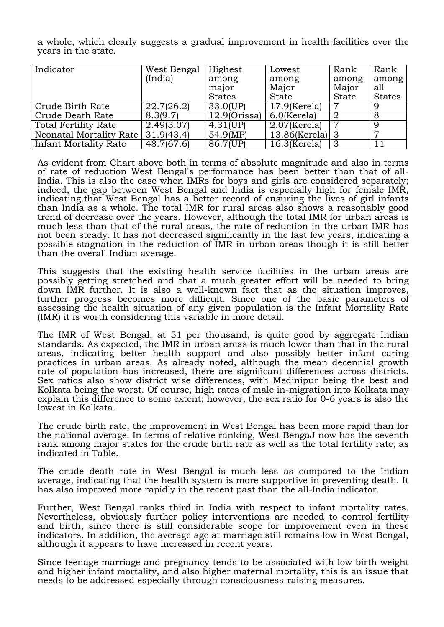a whole, which clearly suggests a gradual improvement in health facilities over the years in the state.

| Indicator                            | West Bengal | Highest                    | Lowest                     | Rank           | Rank          |
|--------------------------------------|-------------|----------------------------|----------------------------|----------------|---------------|
|                                      | (India)     | among                      | among                      | among          | among         |
|                                      |             | major                      | Major                      | Major          | all           |
|                                      |             | <b>States</b>              | <b>State</b>               | State          | <b>States</b> |
| Crude Birth Rate                     | 22.7(26.2)  | 33.0(UP)                   | $\overline{17.9}$ (Kerela) | 7              | 9             |
| Crude Death Rate                     | 8.3(9.7)    | $\overline{12.9}$ (Orissa) | $\vert$ 6.0(Kerela)        | $\overline{2}$ | 8             |
| <b>Total Fertility Rate</b>          | 2.49(3.07)  | 4.31(UP)                   | $2.07$ (Kerela)            |                | <sup>Q</sup>  |
| Neonatal Mortality Rate   31.9(43.4) |             | 54.9(MP)                   | $13.86$ (Kerela) 3         |                |               |
| Infant Mortality Rate                | 48.7(67.6)  | 86.7(UP)                   | $16.3$ (Kerela)            | -3             |               |

As evident from Chart above both in terms of absolute magnitude and also in terms of rate of reduction West Bengal's performance has been better than that of all-India. This is also the case when IMRs for boys and girls are considered separately; indeed, the gap between West Bengal and India is especially high for female IMR, indicating.that West Bengal has a better record of ensuring the lives of girl infants than India as a whole. The total IMR for rural areas also shows a reasonably good trend of decrease over the years. However, although the total IMR for urban areas is much less than that of the rural areas, the rate of reduction in the urban IMR has not been steady. It has not decreased significantly in the last few years, indicating a possible stagnation in the reduction of IMR in urban areas though it is still better than the overall Indian average.

This suggests that the existing health service facilities in the urban areas are possibly getting stretched and that a much greater effort will be needed to bring down IMR further. It is also a well-known fact that as the situation improves, further progress becomes more difficult. Since one of the basic parameters of assessing the health situation of any given population is the Infant Mortality Rate (IMR) it is worth considering this variable in more detail.

The IMR of West Bengal, at 51 per thousand, is quite good by aggregate Indian standards. As expected, the IMR in urban areas is much lower than that in the rural areas, indicating better health support and also possibly better infant caring practices in urban areas. As already noted, although the mean decennial growth rate of population has increased, there are significant differences across districts. Sex ratios also show district wise differences, with Medinipur being the best and Kolkata being the worst. Of course, high rates of male in-migration into Kolkata may explain this difference to some extent; however, the sex ratio for 0-6 years is also the lowest in Kolkata.

The crude birth rate, the improvement in West Bengal has been more rapid than for the national average. In terms of relative ranking, West BengaJ now has the seventh rank among major states for the crude birth rate as well as the total fertility rate, as indicated in Table.

The crude death rate in West Bengal is much less as compared to the Indian average, indicating that the health system is more supportive in preventing death. It has also improved more rapidly in the recent past than the all-India indicator.

Further, West Bengal ranks third in India with respect to infant mortality rates. Nevertheless, obviously further policy interventions are needed to control fertility and birth, since there is still considerable scope for improvement even in these indicators. In addition, the average age at marriage still remains low in West Bengal, although it appears to have increased in recent years.

Since teenage marriage and pregnancy tends to be associated with low birth weight and higher infant mortality, and also higher maternal mortality, this is an issue that needs to be addressed especially through consciousness-raising measures.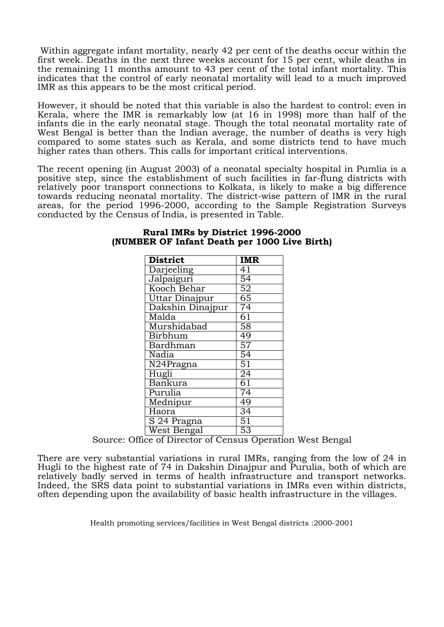Within aggregate infant mortality, nearly 42 per cent of the deaths occur within the first week. Deaths in the next three weeks account for 15 per cent, while deaths in the remaining 11 months amount to 43 per cent of the total infant mortality. This indicates that the control of early neonatal mortality will lead to a much improved IMR as this appears to be the most critical period.

However, it should be noted that this variable is also the hardest to control: even in Kerala, where the IMR is remarkably low (at 16 in 1998) more than half of the infants die in the early neonatal stage. Though the total neonatal mortality rate of West Bengal is better than the Indian average, the number of deaths is very high compared to some states such as Kerala, and some districts tend to have much higher rates than others. This calls for important critical interventions.

The recent opening (in August 2003) of a neonatal specialty hospital in Pumlia is a positive step, since the establishment of such facilities in far-flung districts with relatively poor transport connections to Kolkata, is likely to make a big difference towards reducing neonatal mortality. The district-wise pattern of IMR in the rural areas, for the period 1996-2000, according to the Sample Registration Surveys conducted by the Census of India, is presented in Table.

| <b>District</b>                | IMR              |
|--------------------------------|------------------|
| Darjeeling                     | 41               |
| Jalpaiguri                     | $\overline{54}$  |
| Kooch Behar                    | $\overline{52}$  |
| Uttar Dinajpur                 | 65               |
| Dakshin Dinajpur               | 74               |
| Malda                          | 61               |
| Murshidabad                    | 58               |
| Birbhum                        | 49               |
| Bardhman                       | $\overline{57}$  |
| Nadia                          | $5\overline{4}$  |
| $\overline{\text{N}24}$ Pragna | 51               |
| Hugli                          | $\overline{24}$  |
| Bankura                        | 61               |
| Purulia                        | $\overline{7}$ 4 |
| Mednipur                       | 49               |
| Haora                          | 34               |
| S 24 Pragna                    | $\overline{51}$  |
| West Bengal                    | 53               |

#### **Rural IMRs by District 1996-2000 (NUMBER OF Infant Death per 1000 Live Birth)**

Source: Office of Director of Census Operation West Bengal

There are very substantial variations in rural IMRs, ranging from the low of 24 in Hugli to the highest rate of 74 in Dakshin Dinajpur and Purulia, both of which are relatively badly served in terms of health infrastructure and transport networks. Indeed, the SRS data point to substantial variations in IMRs even within districts, often depending upon the availability of basic health infrastructure in the villages.

Health promoting services/facilities in West Bengal districts :2000-2001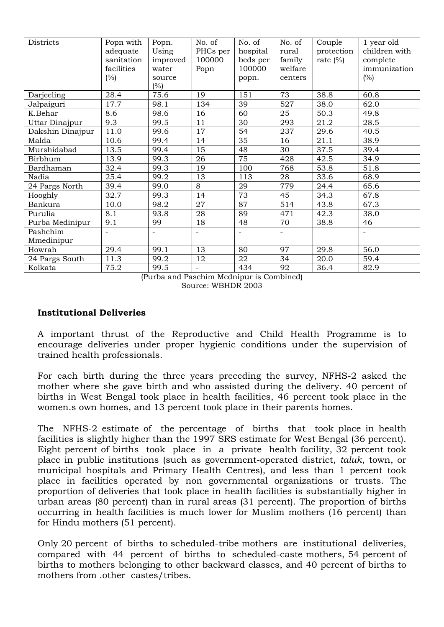| Districts        | Popn with<br>adequate<br>sanitation<br>facilities<br>(%) | Popn.<br>Using<br>improved<br>water<br>source<br>(%) | No. of<br>PHCs per<br>100000<br>Popn | No. of<br>hospital<br>beds per<br>100000<br>popn. | No. of<br>rural<br>family<br>welfare<br>centers | Couple<br>protection<br>rate $(\%)$ | 1 year old<br>children with<br>complete<br>immunization<br>$(\%)$ |
|------------------|----------------------------------------------------------|------------------------------------------------------|--------------------------------------|---------------------------------------------------|-------------------------------------------------|-------------------------------------|-------------------------------------------------------------------|
| Darjeeling       | 28.4                                                     | 75.6                                                 | 19                                   | 151                                               | 73                                              | 38.8                                | 60.8                                                              |
| Jalpaiguri       | 17.7                                                     | 98.1                                                 | 134                                  | 39                                                | 527                                             | 38.0                                | 62.0                                                              |
| K.Behar          | 8.6                                                      | 98.6                                                 | 16                                   | 60                                                | 25                                              | 50.3                                | 49.8                                                              |
| Uttar Dinajpur   | 9.3                                                      | 99.5                                                 | 11                                   | 30                                                | 293                                             | 21.2                                | 28.5                                                              |
| Dakshin Dinajpur | 11.0                                                     | 99.6                                                 | 17                                   | 54                                                | 237                                             | 29.6                                | 40.5                                                              |
| Malda            | 10.6                                                     | 99.4                                                 | 14                                   | 35                                                | 16                                              | 21.1                                | 38.9                                                              |
| Murshidabad      | 13.5                                                     | 99.4                                                 | 15                                   | 48                                                | 30                                              | 37.5                                | 39.4                                                              |
| <b>Birbhum</b>   | 13.9                                                     | 99.3                                                 | 26                                   | $\overline{75}$                                   | 428                                             | $\overline{42.5}$                   | 34.9                                                              |
| Bardhaman        | 32.4                                                     | 99.3                                                 | 19                                   | 100                                               | 768                                             | 53.8                                | 51.8                                                              |
| Nadia            | 25.4                                                     | 99.2                                                 | 13                                   | 113                                               | 28                                              | 33.6                                | 68.9                                                              |
| 24 Pargs North   | 39.4                                                     | 99.0                                                 | 8                                    | 29                                                | 779                                             | 24.4                                | 65.6                                                              |
| Hooghly          | 32.7                                                     | 99.3                                                 | 14                                   | 73                                                | 45                                              | 34.3                                | 67.8                                                              |
| Bankura          | 10.0                                                     | 98.2                                                 | 27                                   | 87                                                | 514                                             | 43.8                                | 67.3                                                              |
| Purulia          | 8.1                                                      | 93.8                                                 | 28                                   | 89                                                | 471                                             | 42.3                                | 38.0                                                              |
| Purba Medinipur  | 9.1                                                      | 99                                                   | 18                                   | 48                                                | 70                                              | 38.8                                | 46                                                                |
| Pashchim         | $\blacksquare$                                           | $\blacksquare$                                       |                                      |                                                   |                                                 |                                     |                                                                   |
| Mmedinipur       |                                                          |                                                      |                                      |                                                   |                                                 |                                     |                                                                   |
| Howrah           | 29.4                                                     | 99.1                                                 | 13                                   | 80                                                | 97                                              | 29.8                                | 56.0                                                              |
| 24 Pargs South   | 11.3                                                     | 99.2                                                 | 12                                   | 22                                                | 34                                              | 20.0                                | 59.4                                                              |
| Kolkata          | 75.2                                                     | 99.5                                                 | $\overline{\phantom{a}}$             | 434                                               | 92                                              | 36.4                                | 82.9                                                              |

(Purba and Paschim Mednipur is Combined) Source: WBHDR 2003

#### **Institutional Deliveries**

A important thrust of the Reproductive and Child Health Programme is to encourage deliveries under proper hygienic conditions under the supervision of trained health professionals.

For each birth during the three years preceding the survey, NFHS-2 asked the mother where she gave birth and who assisted during the delivery. 40 percent of births in West Bengal took place in health facilities, 46 percent took place in the women.s own homes, and 13 percent took place in their parents homes.

The NFHS-2 estimate of the percentage of births that took place in health facilities is slightly higher than the 1997 SRS estimate for West Bengal (36 percent). Eight percent of births took place in a private health facility, 32 percent took place in public institutions (such as government-operated district, *taluk*, town, or municipal hospitals and Primary Health Centres), and less than 1 percent took place in facilities operated by non governmental organizations or trusts. The proportion of deliveries that took place in health facilities is substantially higher in urban areas (80 percent) than in rural areas (31 percent). The proportion of births occurring in health facilities is much lower for Muslim mothers (16 percent) than for Hindu mothers (51 percent).

Only 20 percent of births to scheduled-tribe mothers are institutional deliveries, compared with 44 percent of births to scheduled-caste mothers, 54 percent of births to mothers belonging to other backward classes, and 40 percent of births to mothers from .other castes/tribes.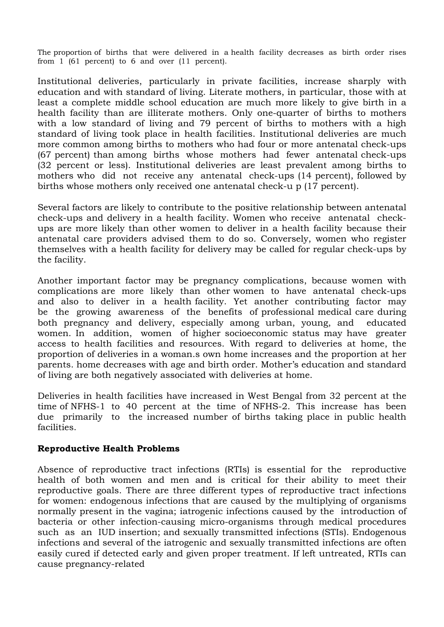The proportion of births that were delivered in a health facility decreases as birth order rises from 1 (61 percent) to 6 and over (11 percent).

Institutional deliveries, particularly in private facilities, increase sharply with education and with standard of living. Literate mothers, in particular, those with at least a complete middle school education are much more likely to give birth in a health facility than are illiterate mothers. Only one-quarter of births to mothers with a low standard of living and 79 percent of births to mothers with a high standard of living took place in health facilities. Institutional deliveries are much more common among births to mothers who had four or more antenatal check-ups (67 percent) than among births whose mothers had fewer antenatal check-ups (32 percent or less). Institutional deliveries are least prevalent among births to mothers who did not receive any antenatal check-ups (14 percent), followed by births whose mothers only received one antenatal check-u p (17 percent).

Several factors are likely to contribute to the positive relationship between antenatal check-ups and delivery in a health facility. Women who receive antenatal checkups are more likely than other women to deliver in a health facility because their antenatal care providers advised them to do so. Conversely, women who register themselves with a health facility for delivery may be called for regular check-ups by the facility.

Another important factor may be pregnancy complications, because women with complications are more likely than other women to have antenatal check-ups and also to deliver in a health facility. Yet another contributing factor may be the growing awareness of the benefits of professional medical care during both pregnancy and delivery, especially among urban, young, and educated women. In addition, women of higher socioeconomic status may have greater access to health facilities and resources. With regard to deliveries at home, the proportion of deliveries in a woman.s own home increases and the proportion at her parents. home decreases with age and birth order. Mother's education and standard of living are both negatively associated with deliveries at home.

Deliveries in health facilities have increased in West Bengal from 32 percent at the time of NFHS-1 to 40 percent at the time of NFHS-2. This increase has been due primarily to the increased number of births taking place in public health facilities.

#### **Reproductive Health Problems**

Absence of reproductive tract infections (RTIs) is essential for the reproductive health of both women and men and is critical for their ability to meet their reproductive goals. There are three different types of reproductive tract infections for women: endogenous infections that are caused by the multiplying of organisms normally present in the vagina; iatrogenic infections caused by the introduction of bacteria or other infection-causing micro-organisms through medical procedures such as an IUD insertion; and sexually transmitted infections (STIs). Endogenous infections and several of the iatrogenic and sexually transmitted infections are often easily cured if detected early and given proper treatment. If left untreated, RTIs can cause pregnancy-related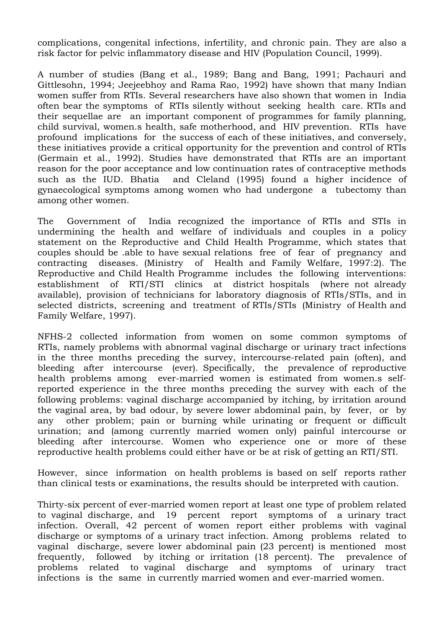complications, congenital infections, infertility, and chronic pain. They are also a risk factor for pelvic inflammatory disease and HIV (Population Council, 1999).

A number of studies (Bang et al., 1989; Bang and Bang, 1991; Pachauri and Gittlesohn, 1994; Jeejeebhoy and Rama Rao, 1992) have shown that many Indian women suffer from RTIs. Several researchers have also shown that women in India often bear the symptoms of RTIs silently without seeking health care. RTIs and their sequellae are an important component of programmes for family planning, child survival, women.s health, safe motherhood, and HIV prevention. RTIs have profound implications for the success of each of these initiatives, and conversely, these initiatives provide a critical opportunity for the prevention and control of RTIs (Germain et al., 1992). Studies have demonstrated that RTIs are an important reason for the poor acceptance and low continuation rates of contraceptive methods such as the IUD. Bhatia and Cleland (1995) found a higher incidence of gynaecological symptoms among women who had undergone a tubectomy than among other women.

The Government of India recognized the importance of RTIs and STIs in undermining the health and welfare of individuals and couples in a policy statement on the Reproductive and Child Health Programme, which states that couples should be .able to have sexual relations free of fear of pregnancy and contracting diseases. (Ministry of Health and Family Welfare, 1997:2). The Reproductive and Child Health Programme includes the following interventions: establishment of RTI/STI clinics at district hospitals (where not already available), provision of technicians for laboratory diagnosis of RTIs/STIs, and in selected districts, screening and treatment of RTIs/STIs (Ministry of Health and Family Welfare, 1997).

NFHS-2 collected information from women on some common symptoms of RTIs, namely problems with abnormal vaginal discharge or urinary tract infections in the three months preceding the survey, intercourse-related pain (often), and bleeding after intercourse (ever). Specifically, the prevalence of reproductive health problems among ever-married women is estimated from women.s selfreported experience in the three months preceding the survey with each of the following problems: vaginal discharge accompanied by itching, by irritation around the vaginal area, by bad odour, by severe lower abdominal pain, by fever, or by any other problem; pain or burning while urinating or frequent or difficult urination; and (among currently married women only) painful intercourse or bleeding after intercourse. Women who experience one or more of these reproductive health problems could either have or be at risk of getting an RTI/STI.

However, since information on health problems is based on self reports rather than clinical tests or examinations, the results should be interpreted with caution.

Thirty-six percent of ever-married women report at least one type of problem related to vaginal discharge, and 19 percent report symptoms of a urinary tract infection. Overall, 42 percent of women report either problems with vaginal discharge or symptoms of a urinary tract infection. Among problems related to vaginal discharge, severe lower abdominal pain (23 percent) is mentioned most frequently, followed by itching or irritation (18 percent). The prevalence of problems related to vaginal discharge and symptoms of urinary tract infections is the same in currently married women and ever-married women.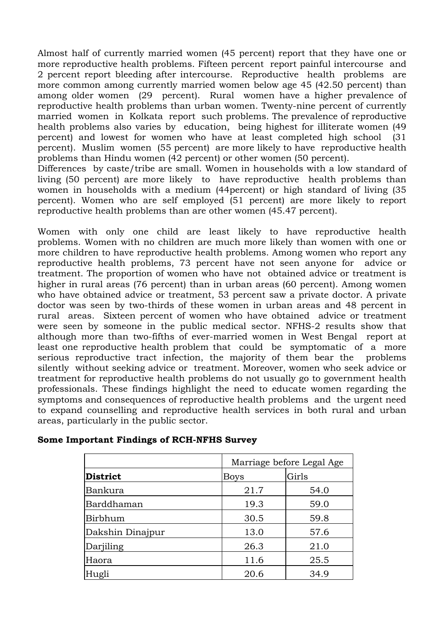Almost half of currently married women (45 percent) report that they have one or more reproductive health problems. Fifteen percent report painful intercourse and 2 percent report bleeding after intercourse. Reproductive health problems are more common among currently married women below age 45 (42.50 percent) than among older women (29 percent). Rural women have a higher prevalence of reproductive health problems than urban women. Twenty-nine percent of currently married women in Kolkata report such problems. The prevalence of reproductive health problems also varies by education, being highest for illiterate women (49 percent) and lowest for women who have at least completed high school (31 percent). Muslim women (55 percent) are more likely to have reproductive health problems than Hindu women (42 percent) or other women (50 percent).

Differences by caste/tribe are small. Women in households with a low standard of living (50 percent) are more likely to have reproductive health problems than women in households with a medium (44percent) or high standard of living (35 percent). Women who are self employed (51 percent) are more likely to report reproductive health problems than are other women (45.47 percent).

Women with only one child are least likely to have reproductive health problems. Women with no children are much more likely than women with one or more children to have reproductive health problems. Among women who report any reproductive health problems, 73 percent have not seen anyone for advice or treatment. The proportion of women who have not obtained advice or treatment is higher in rural areas (76 percent) than in urban areas (60 percent). Among women who have obtained advice or treatment, 53 percent saw a private doctor. A private doctor was seen by two-thirds of these women in urban areas and 48 percent in rural areas. Sixteen percent of women who have obtained advice or treatment were seen by someone in the public medical sector. NFHS-2 results show that although more than two-fifths of ever-married women in West Bengal report at least one reproductive health problem that could be symptomatic of a more serious reproductive tract infection, the majority of them bear the problems silently without seeking advice or treatment. Moreover, women who seek advice or treatment for reproductive health problems do not usually go to government health professionals. These findings highlight the need to educate women regarding the symptoms and consequences of reproductive health problems and the urgent need to expand counselling and reproductive health services in both rural and urban areas, particularly in the public sector.

|                  | Marriage before Legal Age |       |  |  |
|------------------|---------------------------|-------|--|--|
| District         | <b>Boys</b>               | Girls |  |  |
| Bankura          | 21.7                      | 54.0  |  |  |
| Barddhaman       | 19.3                      | 59.0  |  |  |
| Birbhum          | 30.5                      | 59.8  |  |  |
| Dakshin Dinajpur | 13.0                      | 57.6  |  |  |
| Darjiling        | 26.3                      | 21.0  |  |  |
| Haora            | 11.6                      | 25.5  |  |  |
| Hugli            | 20.6                      | 34.9  |  |  |

### **Some Important Findings of RCH-NFHS Survey**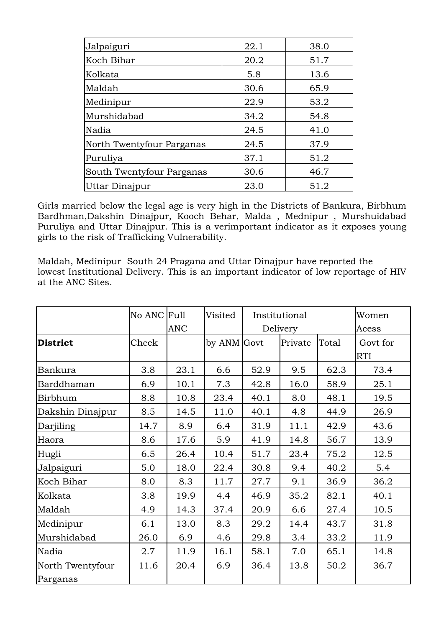| Jalpaiguri                | 22.1 | 38.0 |
|---------------------------|------|------|
| Koch Bihar                | 20.2 | 51.7 |
| Kolkata                   | 5.8  | 13.6 |
| Maldah                    | 30.6 | 65.9 |
| Medinipur                 | 22.9 | 53.2 |
| Murshidabad               | 34.2 | 54.8 |
| Nadia                     | 24.5 | 41.0 |
| North Twentyfour Parganas | 24.5 | 37.9 |
| Puruliya                  | 37.1 | 51.2 |
| South Twentyfour Parganas | 30.6 | 46.7 |
| Uttar Dinajpur            | 23.0 | 51.2 |

Girls married below the legal age is very high in the Districts of Bankura, Birbhum Bardhman,Dakshin Dinajpur, Kooch Behar, Malda , Mednipur , Murshuidabad Puruliya and Uttar Dinajpur. This is a verimportant indicator as it exposes young girls to the risk of Trafficking Vulnerability.

Maldah, Medinipur South 24 Pragana and Uttar Dinajpur have reported the lowest Institutional Delivery. This is an important indicator of low reportage of HIV at the ANC Sites.

|                              | No ANC Full | <b>ANC</b> | Visited     | Institutional<br>Delivery |         |       | Women<br>Acess         |
|------------------------------|-------------|------------|-------------|---------------------------|---------|-------|------------------------|
| <b>District</b>              | Check       |            | by ANM Govt |                           | Private | Total | Govt for<br><b>RTI</b> |
| <b>Bankura</b>               | 3.8         | 23.1       | 6.6         | 52.9                      | 9.5     | 62.3  | 73.4                   |
| Barddhaman                   | 6.9         | 10.1       | 7.3         | 42.8                      | 16.0    | 58.9  | 25.1                   |
| <b>Birbhum</b>               | 8.8         | 10.8       | 23.4        | 40.1                      | 8.0     | 48.1  | 19.5                   |
| Dakshin Dinajpur             | 8.5         | 14.5       | 11.0        | 40.1                      | 4.8     | 44.9  | 26.9                   |
| Darjiling                    | 14.7        | 8.9        | 6.4         | 31.9                      | 11.1    | 42.9  | 43.6                   |
| Haora                        | 8.6         | 17.6       | 5.9         | 41.9                      | 14.8    | 56.7  | 13.9                   |
| Hugli                        | 6.5         | 26.4       | 10.4        | 51.7                      | 23.4    | 75.2  | 12.5                   |
| Jalpaiguri                   | 5.0         | 18.0       | 22.4        | 30.8                      | 9.4     | 40.2  | 5.4                    |
| Koch Bihar                   | 8.0         | 8.3        | 11.7        | 27.7                      | 9.1     | 36.9  | 36.2                   |
| Kolkata                      | 3.8         | 19.9       | 4.4         | 46.9                      | 35.2    | 82.1  | 40.1                   |
| Maldah                       | 4.9         | 14.3       | 37.4        | 20.9                      | 6.6     | 27.4  | 10.5                   |
| Medinipur                    | 6.1         | 13.0       | 8.3         | 29.2                      | 14.4    | 43.7  | 31.8                   |
| Murshidabad                  | 26.0        | 6.9        | 4.6         | 29.8                      | 3.4     | 33.2  | 11.9                   |
| Nadia                        | 2.7         | 11.9       | 16.1        | 58.1                      | 7.0     | 65.1  | 14.8                   |
| North Twentyfour<br>Parganas | 11.6        | 20.4       | 6.9         | 36.4                      | 13.8    | 50.2  | 36.7                   |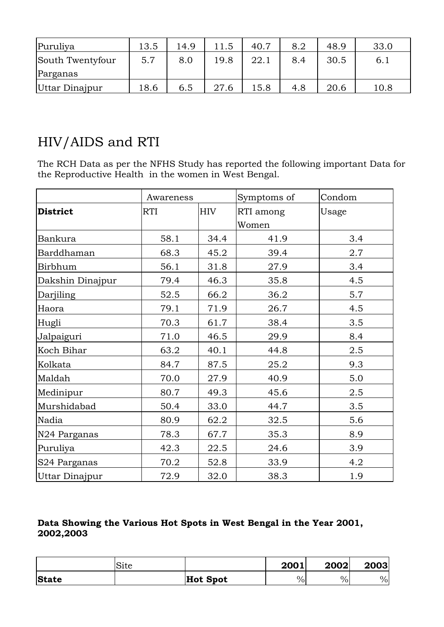| Puruliya         | 13.5 | 14.9 | 11.5 | 40.7 | 8.2 | 48.9 | 33.0 |
|------------------|------|------|------|------|-----|------|------|
| South Twentyfour | 5.7  | 8.0  | 19.8 | 22.1 | 8.4 | 30.5 | 6.1  |
| Parganas         |      |      |      |      |     |      |      |
| Uttar Dinajpur   | 18.6 | 6.5  | 27.6 | 15.8 | 4.8 | 20.6 | 10.8 |

## HIV/AIDS and RTI

The RCH Data as per the NFHS Study has reported the following important Data for the Reproductive Health in the women in West Bengal.

|                          |      | Awareness  |                    | Condom |
|--------------------------|------|------------|--------------------|--------|
| <b>District</b>          | RTI  | <b>HIV</b> | RTI among<br>Women | Usage  |
| Bankura                  | 58.1 | 34.4       | 41.9               | 3.4    |
| Barddhaman               | 68.3 | 45.2       | 39.4               | 2.7    |
| Birbhum                  | 56.1 | 31.8       | 27.9               | 3.4    |
| Dakshin Dinajpur         | 79.4 | 46.3       | 35.8               | 4.5    |
| Darjiling                | 52.5 | 66.2       | 36.2               | 5.7    |
| Haora                    | 79.1 | 71.9       | 26.7               | 4.5    |
| Hugli                    | 70.3 | 61.7       | 38.4               | 3.5    |
| Jalpaiguri               | 71.0 | 46.5       | 29.9               | 8.4    |
| Koch Bihar               | 63.2 | 40.1       | 44.8               | 2.5    |
| Kolkata                  | 84.7 | 87.5       | 25.2               | 9.3    |
| Maldah                   | 70.0 | 27.9       | 40.9               | 5.0    |
| Medinipur                | 80.7 | 49.3       | 45.6               | 2.5    |
| Murshidabad              | 50.4 | 33.0       | 44.7               | 3.5    |
| Nadia                    | 80.9 | 62.2       | 32.5               | 5.6    |
| N <sub>24</sub> Parganas | 78.3 | 67.7       | 35.3               | 8.9    |
| Puruliya                 | 42.3 | 22.5       | 24.6               | 3.9    |
| S24 Parganas             | 70.2 | 52.8       | 33.9               | 4.2    |
| Uttar Dinajpur           | 72.9 | 32.0       | 38.3               | 1.9    |

### **Data Showing the Various Hot Spots in West Bengal in the Year 2001, 2002,2003**

|              | Site |          | 2001 | 2002 | 2003 |
|--------------|------|----------|------|------|------|
| <b>State</b> |      | Hot Spot | $\%$ | $\%$ | $\%$ |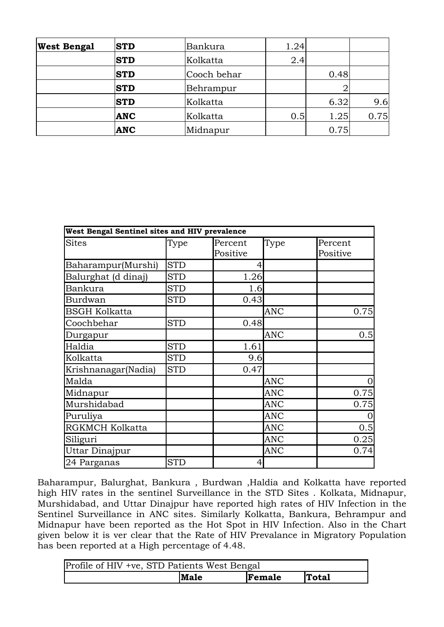| <b>West Bengal</b> | <b>STD</b> | Bankura     | 1.24 |      |      |
|--------------------|------------|-------------|------|------|------|
|                    | <b>STD</b> | Kolkatta    | 2.4  |      |      |
|                    | <b>STD</b> | Cooch behar |      | 0.48 |      |
|                    | <b>STD</b> | Behrampur   |      |      |      |
|                    | <b>STD</b> | Kolkatta    |      | 6.32 | 9.6  |
|                    | <b>ANC</b> | Kolkatta    | 0.5  | 1.25 | 0.75 |
|                    | <b>ANC</b> | Midnapur    |      | 0.75 |      |

| West Bengal Sentinel sites and HIV prevalence |            |                     |            |                     |
|-----------------------------------------------|------------|---------------------|------------|---------------------|
| <b>Sites</b>                                  | Type       | Percent<br>Positive | Type       | Percent<br>Positive |
| Baharampur(Murshi)                            | <b>STD</b> | 4                   |            |                     |
| Balurghat (d dinaj)                           | <b>STD</b> | 1.26                |            |                     |
| <b>Bankura</b>                                | <b>STD</b> | 1.6                 |            |                     |
| <b>Burdwan</b>                                | <b>STD</b> | 0.43                |            |                     |
| <b>BSGH Kolkatta</b>                          |            |                     | <b>ANC</b> | 0.75                |
| Coochbehar                                    | <b>STD</b> | 0.48                |            |                     |
| Durgapur                                      |            |                     | <b>ANC</b> | 0.5                 |
| Haldia                                        | <b>STD</b> | 1.61                |            |                     |
| Kolkatta                                      | <b>STD</b> | 9.6                 |            |                     |
| Krishnanagar(Nadia)                           | <b>STD</b> | 0.47                |            |                     |
| Malda                                         |            |                     | <b>ANC</b> | $\overline{0}$      |
| Midnapur                                      |            |                     | <b>ANC</b> | 0.75                |
| Murshidabad                                   |            |                     | <b>ANC</b> | 0.75                |
| Puruliya                                      |            |                     | <b>ANC</b> | $\overline{0}$      |
| RGKMCH Kolkatta                               |            |                     | <b>ANC</b> | 0.5                 |
| Siliguri                                      |            |                     | <b>ANC</b> | 0.25                |
| Uttar Dinajpur                                |            |                     | <b>ANC</b> | 0.74                |
| 24 Parganas                                   | <b>STD</b> | 4                   |            |                     |

Baharampur, Balurghat, Bankura , Burdwan ,Haldia and Kolkatta have reported high HIV rates in the sentinel Surveillance in the STD Sites . Kolkata, Midnapur, Murshidabad, and Uttar Dinajpur have reported high rates of HIV Infection in the Sentinel Surveillance in ANC sites. Similarly Kolkatta, Bankura, Behrampur and Midnapur have been reported as the Hot Spot in HIV Infection. Also in the Chart given below it is ver clear that the Rate of HIV Prevalance in Migratory Population has been reported at a High percentage of 4.48.

| Profile of HIV +ve, STD Patients West Bengal |             |        |              |
|----------------------------------------------|-------------|--------|--------------|
|                                              | <b>Male</b> | Female | <b>Total</b> |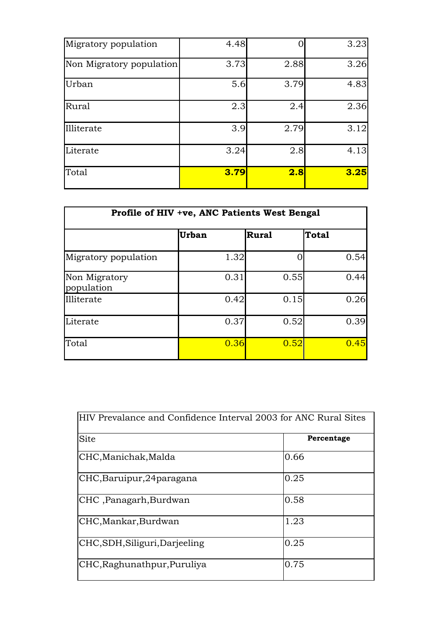| Migratory population     | 4.48 |      | 3.23 |
|--------------------------|------|------|------|
| Non Migratory population | 3.73 | 2.88 | 3.26 |
| Urban                    | 5.6  | 3.79 | 4.83 |
| Rural                    | 2.3  | 2.4  | 2.36 |
| Illiterate               | 3.9  | 2.79 | 3.12 |
| Literate                 | 3.24 | 2.8  | 4.13 |
| Total                    | 3.79 | 2.8  | 3.25 |

| Profile of HIV +ve, ANC Patients West Bengal |              |              |              |
|----------------------------------------------|--------------|--------------|--------------|
|                                              | <b>Urban</b> | <b>Rural</b> | <b>Total</b> |
| Migratory population                         | 1.32         |              | 0.54         |
| Non Migratory<br>population                  | 0.31         | 0.55         | 0.44         |
| Illiterate                                   | 0.42         | 0.15         | 0.26         |
| Literate                                     | 0.37         | 0.52         | 0.39         |
| Total                                        | 0.36         | 0.52         | 0.45         |

| HIV Prevalance and Confidence Interval 2003 for ANC Rural Sites |            |
|-----------------------------------------------------------------|------------|
| Site                                                            | Percentage |
| CHC,Manichak,Malda                                              | 0.66       |
| CHC,Baruipur,24paragana                                         | 0.25       |
| CHC ,Panagarh,Burdwan                                           | 0.58       |
| CHC,Mankar,Burdwan                                              | 1.23       |
| CHC, SDH, Siliguri, Darjeeling                                  | 0.25       |
| CHC,Raghunathpur,Puruliya                                       | 0.75       |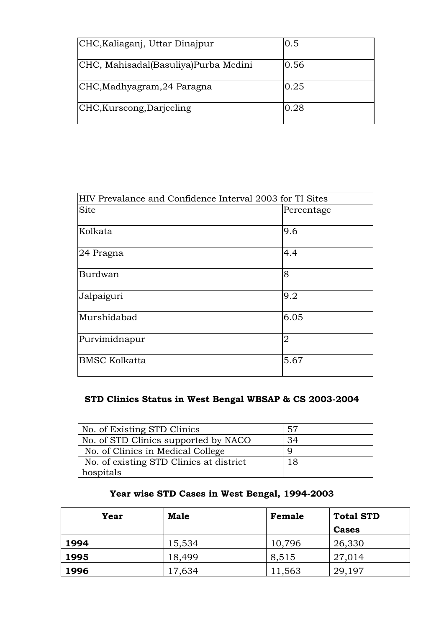| CHC, Kaliaganj, Uttar Dinajpur       | 0.5  |
|--------------------------------------|------|
| CHC, Mahisadal(Basuliya)Purba Medini | 0.56 |
| CHC, Madhyagram, 24 Paragna          | 0.25 |
| CHC, Kurseong, Darjeeling            | 0.28 |

| HIV Prevalance and Confidence Interval 2003 for TI Sites |                |  |
|----------------------------------------------------------|----------------|--|
| <b>Site</b>                                              | Percentage     |  |
| Kolkata                                                  | 9.6            |  |
| 24 Pragna                                                | 4.4            |  |
| Burdwan                                                  | 8              |  |
| Jalpaiguri                                               | 9.2            |  |
| Murshidabad                                              | 6.05           |  |
| Purvimidnapur                                            | $\overline{2}$ |  |
| <b>BMSC Kolkatta</b>                                     | 5.67           |  |

### **STD Clinics Status in West Bengal WBSAP & CS 2003-2004**

| No. of Existing STD Clinics             | -57 |
|-----------------------------------------|-----|
| No. of STD Clinics supported by NACO    | 34  |
| No. of Clinics in Medical College       |     |
| No. of existing STD Clinics at district | 18  |
| hospitals                               |     |

### **Year wise STD Cases in West Bengal, 1994-2003**

| Year | Male   | Female | <b>Total STD</b> |
|------|--------|--------|------------------|
|      |        |        | <b>Cases</b>     |
| 1994 | 15,534 | 10,796 | 26,330           |
| 1995 | 18,499 | 8,515  | 27,014           |
| 1996 | 17,634 | 11,563 | 29,197           |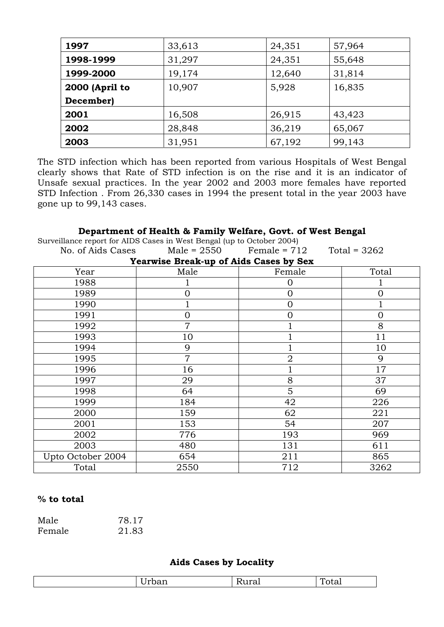| 1997           | 33,613 | 24,351 | 57,964 |
|----------------|--------|--------|--------|
| 1998-1999      | 31,297 | 24,351 | 55,648 |
| 1999-2000      | 19,174 | 12,640 | 31,814 |
| 2000 (April to | 10,907 | 5,928  | 16,835 |
| December)      |        |        |        |
| 2001           | 16,508 | 26,915 | 43,423 |
| 2002           | 28,848 | 36,219 | 65,067 |
| 2003           | 31,951 | 67,192 | 99,143 |

The STD infection which has been reported from various Hospitals of West Bengal clearly shows that Rate of STD infection is on the rise and it is an indicator of Unsafe sexual practices. In the year 2002 and 2003 more females have reported STD Infection . From 26,330 cases in 1994 the present total in the year 2003 have gone up to 99,143 cases.

### **Department of Health & Family Welfare, Govt. of West Bengal**

| Surveillance report for AIDS Cases in West Bengal (up to October 2004) |                                        |                                             |          |
|------------------------------------------------------------------------|----------------------------------------|---------------------------------------------|----------|
| No. of Aids Cases                                                      |                                        | Male = $2550$ Female = $712$ Total = $3262$ |          |
|                                                                        | Yearwise Break-up of Aids Cases by Sex |                                             |          |
| Year                                                                   | Male                                   | Female                                      | Total    |
| 1988                                                                   |                                        | 0                                           |          |
| 1989                                                                   | 0                                      | $\overline{0}$                              | $\Omega$ |
| 1990                                                                   |                                        | $\overline{0}$                              |          |
| 1991                                                                   | O                                      | Ω                                           | 0        |
| 1992                                                                   | 7                                      |                                             | 8        |
| 1993                                                                   | 10                                     |                                             | 11       |
| 1994                                                                   | 9                                      |                                             | 10       |
| 1995                                                                   | $\overline{7}$                         | $\overline{2}$                              | 9        |
| 1996                                                                   | 16                                     |                                             | 17       |
| 1997                                                                   | 29                                     | 8                                           | 37       |
| 1998                                                                   | 64                                     | 5                                           | 69       |
| 1999                                                                   | 184                                    | 42                                          | 226      |
| 2000                                                                   | 159                                    | 62                                          | 221      |
| 2001                                                                   | 153                                    | 54                                          | 207      |
| 2002                                                                   | 776                                    | 193                                         | 969      |
| 2003                                                                   | 480                                    | 131                                         | 611      |
| Upto October 2004                                                      | 654                                    | 211                                         | 865      |
| Total                                                                  | 2550                                   | 712                                         | 3262     |

### **% to total**

| Male   | 78.17 |
|--------|-------|
| Female | 21.83 |

### **Aids Cases by Locality**

| $\sim$<br>---<br>. . | .<br>$\sim$ $\sim$ | --<br>. . U. |
|----------------------|--------------------|--------------|
|                      |                    |              |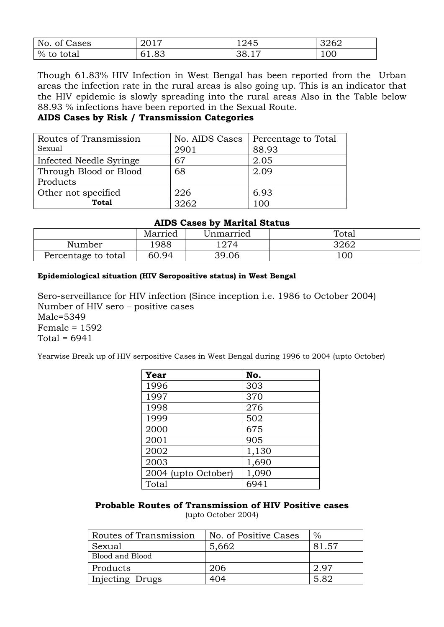| No. of Cases | 2017          | 1245  | 3262 |
|--------------|---------------|-------|------|
| % to total   | 6183<br>01.OJ | 38.17 | 100  |

Though 61.83% HIV Infection in West Bengal has been reported from the Urban areas the infection rate in the rural areas is also going up. This is an indicator that the HIV epidemic is slowly spreading into the rural areas Also in the Table below 88.93 % infections have been reported in the Sexual Route.

#### **AIDS Cases by Risk / Transmission Categories**

| Routes of Transmission  | No. AIDS Cases | Percentage to Total |
|-------------------------|----------------|---------------------|
| Sexual                  | 2901           | 88.93               |
| Infected Needle Syringe | 67             | 2.05                |
| Through Blood or Blood  | 68             | 2.09                |
| Products                |                |                     |
| Other not specified     | 226            | 6.93                |
| Total                   | 3262           | 100                 |

#### **AIDS Cases by Marital Status**

|                     | Married | Unmarried | Total |  |  |
|---------------------|---------|-----------|-------|--|--|
| Number              | 988     | 1274      | 3262  |  |  |
| Percentage to total | 60.94   | 39.06     | 100   |  |  |

#### **Epidemiological situation (HIV Seropositive status) in West Bengal**

Sero-serveillance for HIV infection (Since inception i.e. 1986 to October 2004) Number of HIV sero – positive cases Male=5349 Female = 1592 Total =  $6941$ 

Yearwise Break up of HIV serpositive Cases in West Bengal during 1996 to 2004 (upto October)

| Year                | No.   |
|---------------------|-------|
| 1996                | 303   |
| 1997                | 370   |
| 1998                | 276   |
| 1999                | 502   |
| 2000                | 675   |
| 2001                | 905   |
| 2002                | 1,130 |
| 2003                | 1,690 |
| 2004 (upto October) | 1,090 |
| Total               | 6941  |

## **Probable Routes of Transmission of HIV Positive cases**

(upto October 2004)

| Routes of Transmission | No. of Positive Cases | $\%$  |
|------------------------|-----------------------|-------|
| Sexual                 | 5,662                 | 81.57 |
| Blood and Blood        |                       |       |
| Products               | 206                   | 2.97  |
| Injecting Drugs        | 404                   | 5.82  |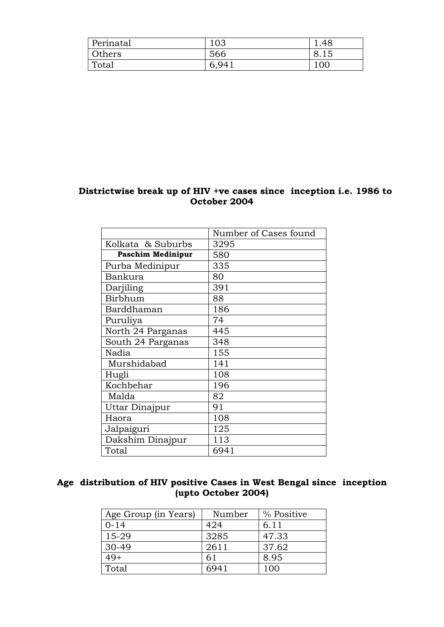| Perinatal | 103 | 48.ء |
|-----------|-----|------|
| Others    | 566 |      |
| Total     | 6   | 10C  |

## **Districtwise break up of HIV +ve cases since inception i.e. 1986 to October 2004**

|                          | Number of Cases found |
|--------------------------|-----------------------|
| Kolkata & Suburbs        | 3295                  |
| <b>Paschim Medinipur</b> | 580                   |
| Purba Medinipur          | 335                   |
| Bankura                  | 80                    |
| Darjiling                | 391                   |
| Birbhum                  | 88                    |
| Barddhaman               | 186                   |
| Puruliya                 | 74                    |
| North 24 Parganas        | 445                   |
| South 24 Parganas        | 348                   |
| Nadia                    | 155                   |
| Murshidabad              | 141                   |
| Hugli                    | 108                   |
| Kochbehar                | 196                   |
| Malda                    | 82                    |
| Uttar Dinajpur           | 91                    |
| Haora                    | 108                   |
| Jalpaiguri               | 125                   |
| Dakshim Dinajpur         | 113                   |
| Total                    | 6941                  |

## **Age distribution of HIV positive Cases in West Bengal since inception (upto October 2004)**

| Age Group (in Years) | Number | % Positive |
|----------------------|--------|------------|
| $0 - 14$             | 424    | 6.11       |
| 15-29                | 3285   | 47.33      |
| 30-49                | 2611   | 37.62      |
| $49+$                | 61     | 8.95       |
| Total                | 6941   | 100        |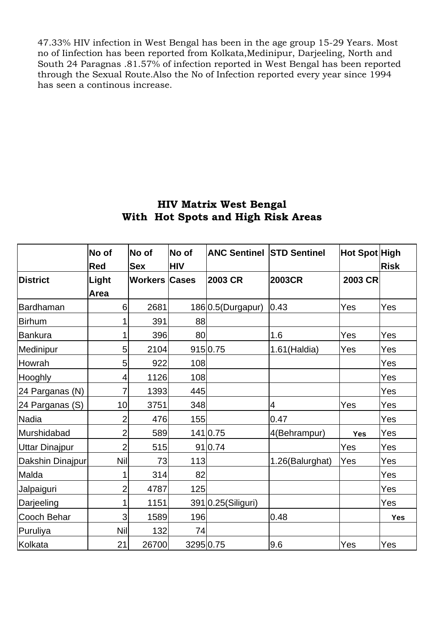47.33% HIV infection in West Bengal has been in the age group 15-29 Years. Most no of Iinfection has been reported from Kolkata,Medinipur, Darjeeling, North and South 24 Paragnas .81.57% of infection reported in West Bengal has been reported through the Sexual Route.Also the No of Infection reported every year since 1994 has seen a continous increase.

## **HIV Matrix West Bengal With Hot Spots and High Risk Areas**

|                       | No of<br><b>Red</b> | No of<br><b>Sex</b>  | No of<br><b>HIV</b> | <b>ANC Sentinel STD Sentinel</b> |                 | Hot Spot High | <b>Risk</b> |
|-----------------------|---------------------|----------------------|---------------------|----------------------------------|-----------------|---------------|-------------|
| <b>District</b>       | Light               | <b>Workers Cases</b> |                     | <b>2003 CR</b>                   | <b>2003CR</b>   | 2003 CR       |             |
|                       | Area                |                      |                     |                                  |                 |               |             |
| Bardhaman             | 6                   | 2681                 |                     | 1860.5(Durgapur)                 | 0.43            | Yes           | Yes         |
| <b>Birhum</b>         | 1                   | 391                  | 88                  |                                  |                 |               |             |
| <b>Bankura</b>        | 1                   | 396                  | 80                  |                                  | 1.6             | Yes           | Yes         |
| Medinipur             | 5                   | 2104                 |                     | 915 0.75                         | 1.61(Haldia)    | Yes           | Yes         |
| Howrah                | 5                   | 922                  | 108                 |                                  |                 |               | Yes         |
| Hooghly               | 4                   | 1126                 | 108                 |                                  |                 |               | Yes         |
| 24 Parganas (N)       | 7                   | 1393                 | 445                 |                                  |                 |               | Yes         |
| 24 Parganas (S)       | 10                  | 3751                 | 348                 |                                  | 4               | Yes           | Yes         |
| <b>Nadia</b>          | $\overline{2}$      | 476                  | 155                 |                                  | 0.47            |               | Yes         |
| Murshidabad           | $\overline{2}$      | 589                  |                     | 141 0.75                         | 4(Behrampur)    | <b>Yes</b>    | Yes         |
| <b>Uttar Dinajpur</b> | $\overline{2}$      | 515                  |                     | 91 0.74                          |                 | Yes           | Yes         |
| Dakshin Dinajpur      | Nil                 | 73                   | 113                 |                                  | 1.26(Balurghat) | Yes           | Yes         |
| Malda                 | 1                   | 314                  | 82                  |                                  |                 |               | Yes         |
| Jalpaiguri            | $\overline{2}$      | 4787                 | 125                 |                                  |                 |               | Yes         |
| Darjeeling            | 1                   | 1151                 |                     | 391 0.25 (Siliguri)              |                 |               | Yes         |
| Cooch Behar           | 3                   | 1589                 | 196                 |                                  | 0.48            |               | <b>Yes</b>  |
| Puruliya              | Nil                 | 132                  | 74                  |                                  |                 |               |             |
| Kolkata               | 21                  | 26700                | 3295 0.75           |                                  | 9.6             | Yes           | Yes         |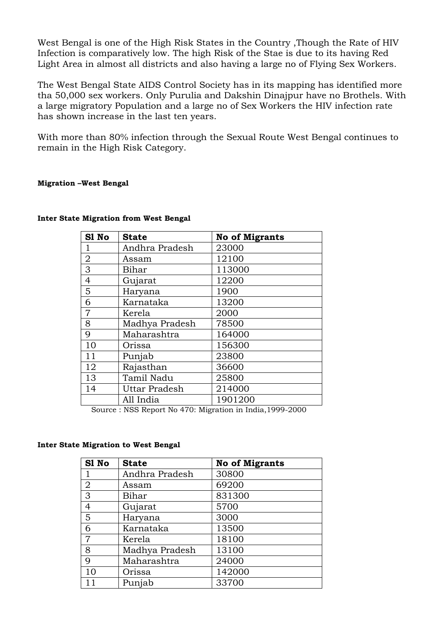West Bengal is one of the High Risk States in the Country ,Though the Rate of HIV Infection is comparatively low. The high Risk of the Stae is due to its having Red Light Area in almost all districts and also having a large no of Flying Sex Workers.

The West Bengal State AIDS Control Society has in its mapping has identified more tha 50,000 sex workers. Only Purulia and Dakshin Dinajpur have no Brothels. With a large migratory Population and a large no of Sex Workers the HIV infection rate has shown increase in the last ten years.

With more than 80% infection through the Sexual Route West Bengal continues to remain in the High Risk Category.

#### **Migration –West Bengal**

| S1 No          | <b>State</b>   | <b>No of Migrants</b> |
|----------------|----------------|-----------------------|
| 1              | Andhra Pradesh | 23000                 |
| $\overline{2}$ | Assam          | 12100                 |
| 3              | Bihar          | 113000                |
| $\overline{4}$ | Gujarat        | 12200                 |
| 5              | Haryana        | 1900                  |
| 6              | Karnataka      | 13200                 |
| $\overline{7}$ | Kerela         | 2000                  |
| 8              | Madhya Pradesh | 78500                 |
| 9              | Maharashtra    | 164000                |
| 10             | Orissa         | 156300                |
| 11             | Punjab         | 23800                 |
| 12             | Rajasthan      | 36600                 |
| 13             | Tamil Nadu     | 25800                 |
| 14             | Uttar Pradesh  | 214000                |
|                | All India      | 1901200               |

#### **Inter State Migration from West Bengal**

Source : NSS Report No 470: Migration in India,1999-2000

#### **Inter State Migration to West Bengal**

| S1 No          | <b>State</b>   | <b>No of Migrants</b> |
|----------------|----------------|-----------------------|
| 1              | Andhra Pradesh | 30800                 |
| $\overline{2}$ | Assam          | 69200                 |
| $\overline{3}$ | Bihar          | 831300                |
| $\overline{4}$ | Gujarat        | 5700                  |
| 5              | Haryana        | 3000                  |
| 6              | Karnataka      | 13500                 |
| $\overline{7}$ | Kerela         | 18100                 |
| 8              | Madhya Pradesh | 13100                 |
| 9              | Maharashtra    | 24000                 |
| 10             | Orissa         | 142000                |
|                | Punjab         | 33700                 |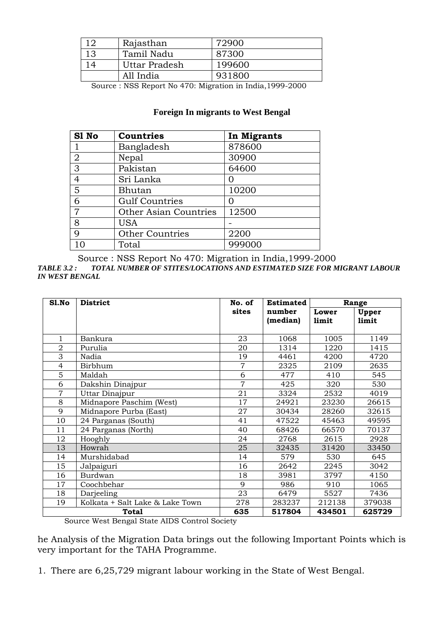|    | Rajasthan     | 72900  |
|----|---------------|--------|
| 13 | Tamil Nadu    | 87300  |
|    | Uttar Pradesh | 199600 |
|    | All India     | 931800 |

Source : NSS Report No 470: Migration in India,1999-2000

## **Foreign In migrants to West Bengal**

| S1 No          | <b>Countries</b>             | In Migrants |
|----------------|------------------------------|-------------|
|                | Bangladesh                   | 878600      |
| $\overline{2}$ | Nepal                        | 30900       |
| 3              | Pakistan                     | 64600       |
| $\overline{4}$ | Sri Lanka                    | ( )         |
| 5              | Bhutan                       | 10200       |
| 6              | <b>Gulf Countries</b>        |             |
| $\overline{7}$ | <b>Other Asian Countries</b> | 12500       |
| 8              | <b>USA</b>                   |             |
| 9              | <b>Other Countries</b>       | 2200        |
| 10             | Total                        | 999000      |

Source : NSS Report No 470: Migration in India,1999-2000 *TABLE 3.2 : TOTAL NUMBER OF STITES/LOCATIONS AND ESTIMATED SIZE FOR MIGRANT LABOUR IN WEST BENGAL* 

| Sl.No          | <b>District</b><br>No. of                              |                | <b>Estimated</b> |        | Range  |
|----------------|--------------------------------------------------------|----------------|------------------|--------|--------|
|                |                                                        | sites          | number           | Lower  | Upper  |
|                |                                                        |                | (median)         | limit  | limit  |
|                |                                                        |                |                  |        |        |
| 1              | Bankura                                                | 23             | 1068             | 1005   | 1149   |
| $\overline{2}$ | Purulia                                                | 20             | 1314             | 1220   | 1415   |
| 3              | Nadia                                                  | 19             | 4461             | 4200   | 4720   |
| $\overline{4}$ | Birbhum                                                | 7              | 2325             | 2109   | 2635   |
| 5              | Maldah                                                 | 6              | 477              | 410    | 545    |
| 6              | Dakshin Dinajpur                                       | $\overline{7}$ | 425              | 320    | 530    |
| $\overline{7}$ | Uttar Dinajpur                                         | 21             | 3324             | 2532   | 4019   |
| 8              | Midnapore Paschim (West)                               | 17             | 24921            | 23230  | 26615  |
| 9              | Midnapore Purba (East)                                 | 27             | 30434            | 28260  | 32615  |
| 10             | 24 Parganas (South)                                    | 41             | 47522            | 45463  | 49595  |
| 11             | 24 Parganas (North)                                    | 40             | 68426            | 66570  | 70137  |
| 12             | Hooghly                                                | 24             | 2768             | 2615   | 2928   |
| 13             | Howrah                                                 | 25             | 32435            | 31420  | 33450  |
| 14             | Murshidabad                                            | 14             | 579              | 530    | 645    |
| 15             | Jalpaiguri                                             | 16             | 2642             | 2245   | 3042   |
| 16             | <b>Burdwan</b>                                         | 18             | 3981             | 3797   | 4150   |
| 17             | Coochbehar                                             | $\mathbf Q$    | 986              | 910    | 1065   |
| 18             | Darjeeling                                             | 23             | 6479             | 5527   | 7436   |
| 19             | Kolkata + Salt Lake & Lake Town                        | 278            | 283237           | 212138 | 379038 |
|                | <b>Total</b><br>$W_{i}$ in $10i$ in $0.00$ in $10i$ in | 635            | 517804           | 434501 | 625729 |

Source West Bengal State AIDS Control Society

he Analysis of the Migration Data brings out the following Important Points which is very important for the TAHA Programme.

1. There are 6,25,729 migrant labour working in the State of West Bengal.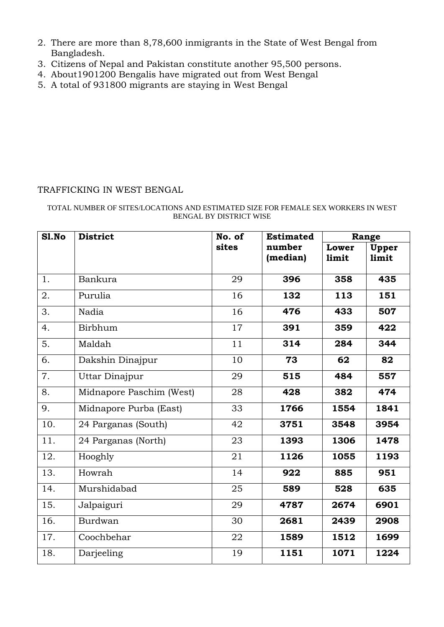- 2. There are more than 8,78,600 inmigrants in the State of West Bengal from Bangladesh.
- 3. Citizens of Nepal and Pakistan constitute another 95,500 persons.
- 4. About1901200 Bengalis have migrated out from West Bengal
- 5. A total of 931800 migrants are staying in West Bengal

#### TRAFFICKING IN WEST BENGAL

#### TOTAL NUMBER OF SITES/LOCATIONS AND ESTIMATED SIZE FOR FEMALE SEX WORKERS IN WEST BENGAL BY DISTRICT WISE

| <b>S1.No</b> | <b>District</b>          | No. of | <b>Estimated</b>   |                | Range          |
|--------------|--------------------------|--------|--------------------|----------------|----------------|
|              |                          | sites  | number<br>(median) | Lower<br>limit | Upper<br>limit |
| 1.           | Bankura                  | 29     | 396                | 358            | 435            |
| 2.           | Purulia                  | 16     | 132                | 113            | 151            |
| 3.           | Nadia                    | 16     | 476                | 433            | 507            |
| 4.           | Birbhum                  | 17     | 391                | 359            | 422            |
| 5.           | Maldah                   | 11     | 314                | 284            | 344            |
| 6.           | Dakshin Dinajpur         | 10     | 73                 | 62             | 82             |
| 7.           | Uttar Dinajpur           | 29     | 515                | 484            | 557            |
| 8.           | Midnapore Paschim (West) | 28     | 428                | 382            | 474            |
| 9.           | Midnapore Purba (East)   | 33     | 1766               | 1554           | 1841           |
| 10.          | 24 Parganas (South)      | 42     | 3751               | 3548           | 3954           |
| 11.          | 24 Parganas (North)      | 23     | 1393               | 1306           | 1478           |
| 12.          | Hooghly                  | 21     | 1126               | 1055           | 1193           |
| 13.          | Howrah                   | 14     | 922                | 885            | 951            |
| 14.          | Murshidabad              | 25     | 589                | 528            | 635            |
| 15.          | Jalpaiguri               | 29     | 4787               | 2674           | 6901           |
| 16.          | Burdwan                  | 30     | 2681               | 2439           | 2908           |
| 17.          | Coochbehar               | 22     | 1589               | 1512           | 1699           |
| 18.          | Darjeeling               | 19     | 1151               | 1071           | 1224           |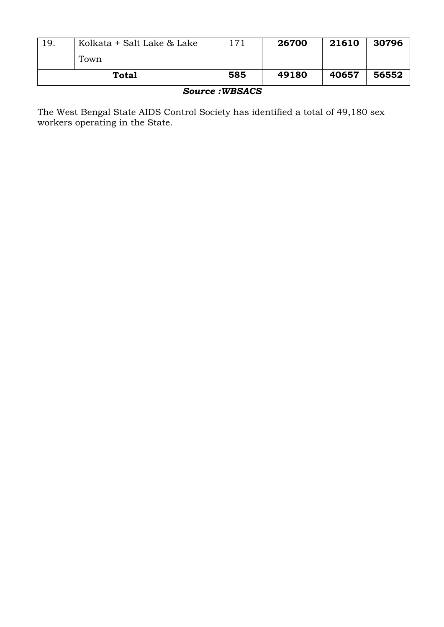| Total |                            | 585 | 49180 | 40657 | 56552 |
|-------|----------------------------|-----|-------|-------|-------|
|       | Town                       |     |       |       |       |
| 19.   | Kolkata + Salt Lake & Lake | 171 | 26700 | 21610 | 30796 |

*Source :WBSACS* 

The West Bengal State AIDS Control Society has identified a total of 49,180 sex workers operating in the State.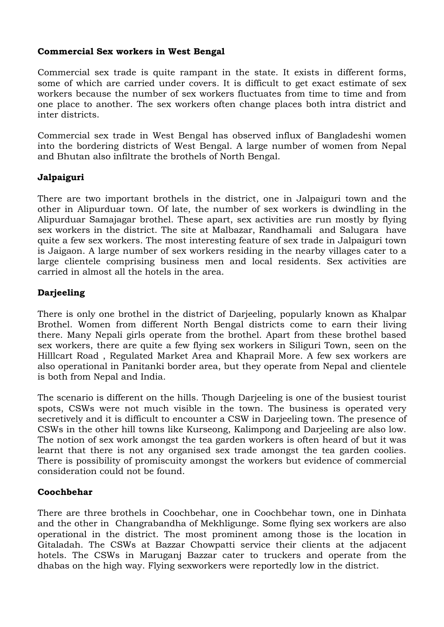#### **Commercial Sex workers in West Bengal**

Commercial sex trade is quite rampant in the state. It exists in different forms, some of which are carried under covers. It is difficult to get exact estimate of sex workers because the number of sex workers fluctuates from time to time and from one place to another. The sex workers often change places both intra district and inter districts.

Commercial sex trade in West Bengal has observed influx of Bangladeshi women into the bordering districts of West Bengal. A large number of women from Nepal and Bhutan also infiltrate the brothels of North Bengal.

## **Jalpaiguri**

There are two important brothels in the district, one in Jalpaiguri town and the other in Alipurduar town. Of late, the number of sex workers is dwindling in the Alipurduar Samajagar brothel. These apart, sex activities are run mostly by flying sex workers in the district. The site at Malbazar, Randhamali and Salugara have quite a few sex workers. The most interesting feature of sex trade in Jalpaiguri town is Jaigaon. A large number of sex workers residing in the nearby villages cater to a large clientele comprising business men and local residents. Sex activities are carried in almost all the hotels in the area.

## **Darjeeling**

There is only one brothel in the district of Darjeeling, popularly known as Khalpar Brothel. Women from different North Bengal districts come to earn their living there. Many Nepali girls operate from the brothel. Apart from these brothel based sex workers, there are quite a few flying sex workers in Siliguri Town, seen on the Hilllcart Road , Regulated Market Area and Khaprail More. A few sex workers are also operational in Panitanki border area, but they operate from Nepal and clientele is both from Nepal and India.

The scenario is different on the hills. Though Darjeeling is one of the busiest tourist spots, CSWs were not much visible in the town. The business is operated very secretively and it is difficult to encounter a CSW in Darjeeling town. The presence of CSWs in the other hill towns like Kurseong, Kalimpong and Darjeeling are also low. The notion of sex work amongst the tea garden workers is often heard of but it was learnt that there is not any organised sex trade amongst the tea garden coolies. There is possibility of promiscuity amongst the workers but evidence of commercial consideration could not be found.

#### **Coochbehar**

There are three brothels in Coochbehar, one in Coochbehar town, one in Dinhata and the other in Changrabandha of Mekhligunge. Some flying sex workers are also operational in the district. The most prominent among those is the location in Gitaladah. The CSWs at Bazzar Chowpatti service their clients at the adjacent hotels. The CSWs in Maruganj Bazzar cater to truckers and operate from the dhabas on the high way. Flying sexworkers were reportedly low in the district.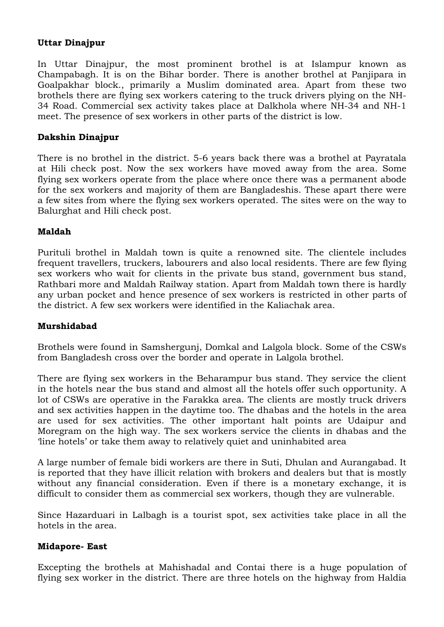#### **Uttar Dinajpur**

In Uttar Dinajpur, the most prominent brothel is at Islampur known as Champabagh. It is on the Bihar border. There is another brothel at Panjipara in Goalpakhar block., primarily a Muslim dominated area. Apart from these two brothels there are flying sex workers catering to the truck drivers plying on the NH-34 Road. Commercial sex activity takes place at Dalkhola where NH-34 and NH-1 meet. The presence of sex workers in other parts of the district is low.

## **Dakshin Dinajpur**

There is no brothel in the district. 5-6 years back there was a brothel at Payratala at Hili check post. Now the sex workers have moved away from the area. Some flying sex workers operate from the place where once there was a permanent abode for the sex workers and majority of them are Bangladeshis. These apart there were a few sites from where the flying sex workers operated. The sites were on the way to Balurghat and Hili check post.

#### **Maldah**

Purituli brothel in Maldah town is quite a renowned site. The clientele includes frequent travellers, truckers, labourers and also local residents. There are few flying sex workers who wait for clients in the private bus stand, government bus stand, Rathbari more and Maldah Railway station. Apart from Maldah town there is hardly any urban pocket and hence presence of sex workers is restricted in other parts of the district. A few sex workers were identified in the Kaliachak area.

#### **Murshidabad**

Brothels were found in Samshergunj, Domkal and Lalgola block. Some of the CSWs from Bangladesh cross over the border and operate in Lalgola brothel.

There are flying sex workers in the Beharampur bus stand. They service the client in the hotels near the bus stand and almost all the hotels offer such opportunity. A lot of CSWs are operative in the Farakka area. The clients are mostly truck drivers and sex activities happen in the daytime too. The dhabas and the hotels in the area are used for sex activities. The other important halt points are Udaipur and Moregram on the high way. The sex workers service the clients in dhabas and the 'line hotels' or take them away to relatively quiet and uninhabited area

A large number of female bidi workers are there in Suti, Dhulan and Aurangabad. It is reported that they have illicit relation with brokers and dealers but that is mostly without any financial consideration. Even if there is a monetary exchange, it is difficult to consider them as commercial sex workers, though they are vulnerable.

Since Hazarduari in Lalbagh is a tourist spot, sex activities take place in all the hotels in the area.

#### **Midapore- East**

Excepting the brothels at Mahishadal and Contai there is a huge population of flying sex worker in the district. There are three hotels on the highway from Haldia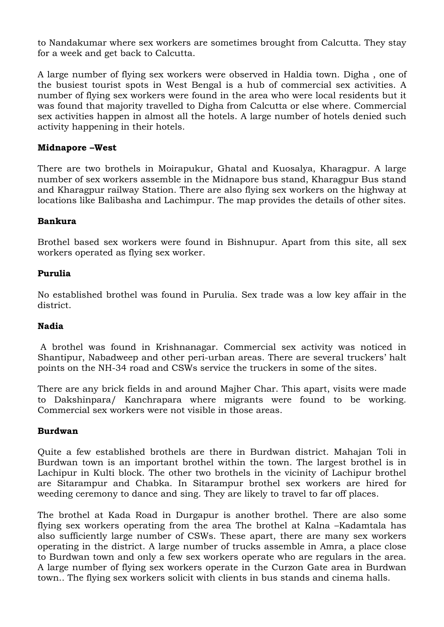to Nandakumar where sex workers are sometimes brought from Calcutta. They stay for a week and get back to Calcutta.

A large number of flying sex workers were observed in Haldia town. Digha , one of the busiest tourist spots in West Bengal is a hub of commercial sex activities. A number of flying sex workers were found in the area who were local residents but it was found that majority travelled to Digha from Calcutta or else where. Commercial sex activities happen in almost all the hotels. A large number of hotels denied such activity happening in their hotels.

#### **Midnapore –West**

There are two brothels in Moirapukur, Ghatal and Kuosalya, Kharagpur. A large number of sex workers assemble in the Midnapore bus stand, Kharagpur Bus stand and Kharagpur railway Station. There are also flying sex workers on the highway at locations like Balibasha and Lachimpur. The map provides the details of other sites.

## **Bankura**

Brothel based sex workers were found in Bishnupur. Apart from this site, all sex workers operated as flying sex worker.

## **Purulia**

No established brothel was found in Purulia. Sex trade was a low key affair in the district.

#### **Nadia**

 A brothel was found in Krishnanagar. Commercial sex activity was noticed in Shantipur, Nabadweep and other peri-urban areas. There are several truckers' halt points on the NH-34 road and CSWs service the truckers in some of the sites.

There are any brick fields in and around Majher Char. This apart, visits were made to Dakshinpara/ Kanchrapara where migrants were found to be working. Commercial sex workers were not visible in those areas.

#### **Burdwan**

Quite a few established brothels are there in Burdwan district. Mahajan Toli in Burdwan town is an important brothel within the town. The largest brothel is in Lachipur in Kulti block. The other two brothels in the vicinity of Lachipur brothel are Sitarampur and Chabka. In Sitarampur brothel sex workers are hired for weeding ceremony to dance and sing. They are likely to travel to far off places.

The brothel at Kada Road in Durgapur is another brothel. There are also some flying sex workers operating from the area The brothel at Kalna –Kadamtala has also sufficiently large number of CSWs. These apart, there are many sex workers operating in the district. A large number of trucks assemble in Amra, a place close to Burdwan town and only a few sex workers operate who are regulars in the area. A large number of flying sex workers operate in the Curzon Gate area in Burdwan town.. The flying sex workers solicit with clients in bus stands and cinema halls.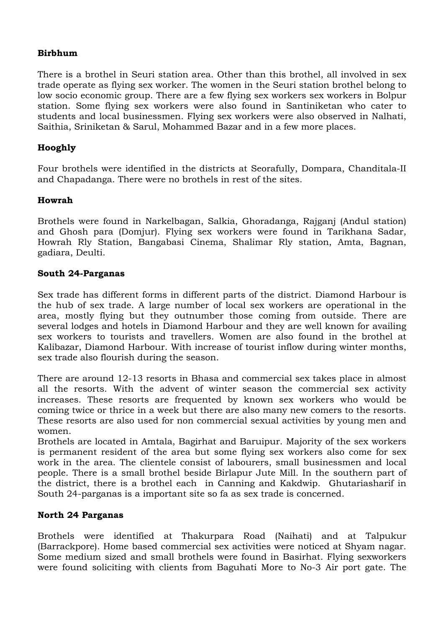## **Birbhum**

There is a brothel in Seuri station area. Other than this brothel, all involved in sex trade operate as flying sex worker. The women in the Seuri station brothel belong to low socio economic group. There are a few flying sex workers sex workers in Bolpur station. Some flying sex workers were also found in Santiniketan who cater to students and local businessmen. Flying sex workers were also observed in Nalhati, Saithia, Sriniketan & Sarul, Mohammed Bazar and in a few more places.

## **Hooghly**

Four brothels were identified in the districts at Seorafully, Dompara, Chanditala-II and Chapadanga. There were no brothels in rest of the sites.

#### **Howrah**

Brothels were found in Narkelbagan, Salkia, Ghoradanga, Rajganj (Andul station) and Ghosh para (Domjur). Flying sex workers were found in Tarikhana Sadar, Howrah Rly Station, Bangabasi Cinema, Shalimar Rly station, Amta, Bagnan, gadiara, Deulti.

#### **South 24-Parganas**

Sex trade has different forms in different parts of the district. Diamond Harbour is the hub of sex trade. A large number of local sex workers are operational in the area, mostly flying but they outnumber those coming from outside. There are several lodges and hotels in Diamond Harbour and they are well known for availing sex workers to tourists and travellers. Women are also found in the brothel at Kalibazar, Diamond Harbour. With increase of tourist inflow during winter months, sex trade also flourish during the season.

There are around 12-13 resorts in Bhasa and commercial sex takes place in almost all the resorts. With the advent of winter season the commercial sex activity increases. These resorts are frequented by known sex workers who would be coming twice or thrice in a week but there are also many new comers to the resorts. These resorts are also used for non commercial sexual activities by young men and women.

Brothels are located in Amtala, Bagirhat and Baruipur. Majority of the sex workers is permanent resident of the area but some flying sex workers also come for sex work in the area. The clientele consist of labourers, small businessmen and local people. There is a small brothel beside Birlapur Jute Mill. In the southern part of the district, there is a brothel each in Canning and Kakdwip. Ghutariasharif in South 24-parganas is a important site so fa as sex trade is concerned.

#### **North 24 Parganas**

Brothels were identified at Thakurpara Road (Naihati) and at Talpukur (Barrackpore). Home based commercial sex activities were noticed at Shyam nagar. Some medium sized and small brothels were found in Basirhat. Flying sexworkers were found soliciting with clients from Baguhati More to No-3 Air port gate. The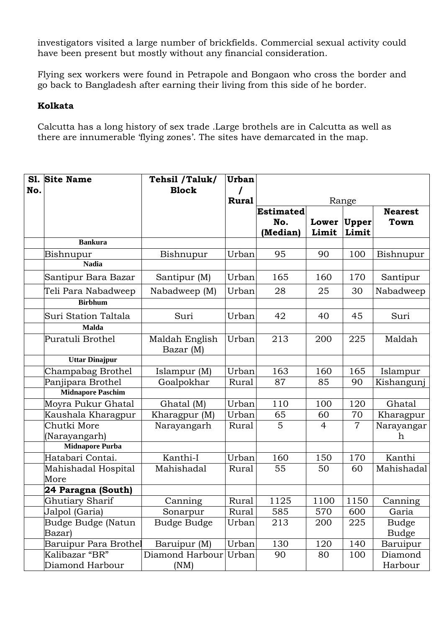investigators visited a large number of brickfields. Commercial sexual activity could have been present but mostly without any financial consideration.

Flying sex workers were found in Petrapole and Bongaon who cross the border and go back to Bangladesh after earning their living from this side of he border.

#### **Kolkata**

Calcutta has a long history of sex trade .Large brothels are in Calcutta as well as there are innumerable 'flying zones'. The sites have demarcated in the map.

| S1. | <b>Site Name</b>         | Tehsil /Taluk/              | Urban        |                  |                |                |                |
|-----|--------------------------|-----------------------------|--------------|------------------|----------------|----------------|----------------|
| No. |                          | <b>Block</b>                | $\prime$     |                  |                |                |                |
|     |                          |                             | <b>Rural</b> |                  |                | Range          |                |
|     |                          |                             |              | <b>Estimated</b> |                |                | <b>Nearest</b> |
|     |                          |                             |              | No.              | Lower          | Upper          | <b>Town</b>    |
|     |                          |                             |              | (Median)         | Limit          | Limit          |                |
|     | <b>Bankura</b>           |                             |              |                  |                |                |                |
|     | Bishnupur                | Bishnupur                   | Urban        | 95               | 90             | 100            | Bishnupur      |
|     | <b>Nadia</b>             |                             |              |                  |                |                |                |
|     | Santipur Bara Bazar      | Santipur (M)                | Urban        | 165              | 160            | 170            | Santipur       |
|     | Teli Para Nabadweep      | Nabadweep (M)               | Urban        | 28               | 25             | 30             | Nabadweep      |
|     | <b>Birbhum</b>           |                             |              |                  |                |                |                |
|     | Suri Station Taltala     | Suri                        | Urban        | 42               | 40             | 45             | Suri           |
|     | <b>Malda</b>             |                             |              |                  |                |                |                |
|     | Puratuli Brothel         | Maldah English<br>Bazar (M) | Urban        | 213              | 200            | 225            | Maldah         |
|     | <b>Uttar Dinajpur</b>    |                             |              |                  |                |                |                |
|     | Champabag Brothel        | Islampur $(M)$              | Urban        | 163              | 160            | 165            | Islampur       |
|     | Panjipara Brothel        | Goalpokhar                  | Rural        | 87               | 85             | 90             | Kishangunj     |
|     | <b>Midnapore Paschim</b> |                             |              |                  |                |                |                |
|     | Moyra Pukur Ghatal       | Ghatal (M)                  | Urban        | 110              | 100            | 120            | Ghatal         |
|     | Kaushala Kharagpur       | Kharagpur (M)               | Urban        | 65               | 60             | 70             | Kharagpur      |
|     | Chutki More              | Narayangarh                 | Rural        | $\overline{5}$   | $\overline{4}$ | $\overline{7}$ | Narayangar     |
|     | (Narayangarh)            |                             |              |                  |                |                | h              |
|     | <b>Midnapore Purba</b>   |                             |              |                  |                |                |                |
|     | Hatabari Contai.         | Kanthi-I                    | Urban        | 160              | 150            | 170            | Kanthi         |
|     | Mahishadal Hospital      | Mahishadal                  | Rural        | 55               | 50             | 60             | Mahishadal     |
|     | More                     |                             |              |                  |                |                |                |
|     | 24 Paragna (South)       |                             |              |                  |                |                |                |
|     | Ghutiary Sharif          | Canning                     | Rural        | 1125             | 1100           | 1150           | Canning        |
|     | Jalpol (Garia)           | Sonarpur                    | Rural        | 585              | 570            | 600            | Garia          |
|     | Budge Budge (Natun       | Budge Budge                 | Urban        | 213              | 200            | 225            | <b>Budge</b>   |
|     | Bazar)                   |                             |              |                  |                |                | <b>Budge</b>   |
|     | Baruipur Para Brothel    | Baruipur (M)                | Urban        | 130              | 120            | 140            | Baruipur       |
|     | Kalibazar "BR"           | Diamond Harbour             | Urban        | 90               | 80             | 100            | Diamond        |
|     | Diamond Harbour          | (NM)                        |              |                  |                |                | Harbour        |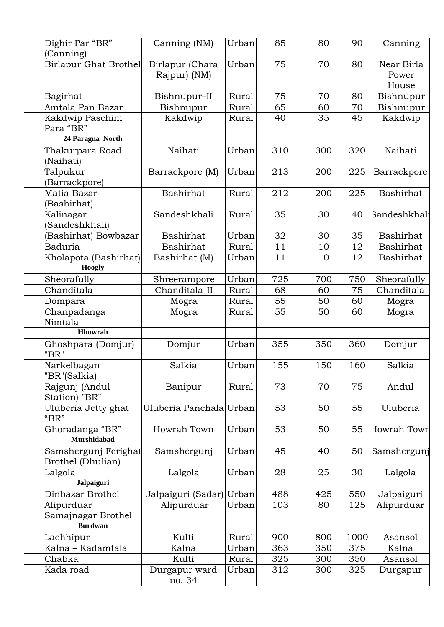| (Canning)                   | Dighir Par "BR"                           | Canning (NM)                    | Urban | 85  | 80  | 90   | Canning                      |
|-----------------------------|-------------------------------------------|---------------------------------|-------|-----|-----|------|------------------------------|
|                             | Birlapur Ghat Brothel                     | Birlapur (Chara<br>Rajpur) (NM) | Urban | 75  | 70  | 80   | Near Birla<br>Power<br>House |
| Bagirhat                    |                                           | Bishnupur-II                    | Rural | 75  | 70  | 80   | Bishnupur                    |
|                             | Amtala Pan Bazar                          | Bishnupur                       | Rural | 65  | 60  | 70   | Bishnupur                    |
| Para "BR"                   | Kakdwip Paschim                           | Kakdwip                         | Rural | 40  | 35  | 45   | Kakdwip                      |
|                             | 24 Paragna North                          |                                 |       |     |     |      |                              |
| (Naihati)                   | Thakurpara Road                           | Naihati                         | Urban | 310 | 300 | 320  | Naihati                      |
| Talpukur<br>(Barrackpore)   |                                           | Barrackpore (M)                 | Urban | 213 | 200 | 225  | Barrackpore                  |
| Matia Bazar<br>(Bashirhat)  |                                           | Bashirhat                       | Rural | 212 | 200 | 225  | Bashirhat                    |
| Kalinagar                   |                                           | Sandeshkhali                    | Rural | 35  | 30  | 40   | Sandeshkhali                 |
|                             | (Sandeshkhali)                            |                                 |       |     |     |      |                              |
|                             | (Bashirhat) Bowbazar                      | <b>Bashirhat</b>                | Urban | 32  | 30  | 35   | Bashirhat                    |
| <b>Baduria</b>              |                                           | Bashirhat                       | Rural | 11  | 10  | 12   | <b>Bashirhat</b>             |
|                             | Kholapota (Bashirhat)                     | Bashirhat (M)                   | Urban | 11  | 10  | 12   | Bashirhat                    |
|                             | <b>Hoogly</b>                             |                                 |       |     |     |      |                              |
| Sheorafully                 |                                           | Shreerampore                    | Urban | 725 | 700 | 750  | Sheorafully                  |
| Chanditala                  |                                           | Chanditala-II                   | Rural | 68  | 60  | 75   | Chanditala                   |
| Dompara                     |                                           | Mogra                           | Rural | 55  | 50  | 60   | Mogra                        |
| Nimtala                     | Chanpadanga                               | Mogra                           | Rural | 55  | 50  | 60   | Mogra                        |
|                             | Hhowrah                                   |                                 |       |     |     |      |                              |
| "BR"                        | Ghoshpara (Domjur)                        | Domjur                          | Urban | 355 | 350 | 360  | Domjur                       |
| Narkelbagan<br>"BR"(Salkia) |                                           | Salkia                          | Urban | 155 | 150 | 160  | Salkia                       |
| Station) "BR"               | Rajgunj (Andul                            | Banipur                         | Rural | 73  | 70  | 75   | Andul                        |
| "BR"                        | Uluberia Jetty ghat                       | Uluberia Panchala               | Urban | 53  | 50  | 55   | Uluberia                     |
|                             | Ghoradanga "BR"<br><b>Murshidabad</b>     | Howrah Town                     | Urban | 53  | 50  | 55   | Iowrah Town                  |
|                             | Samshergunj Ferighat<br>Brothel (Dhulian) | Samshergunj                     | Urban | 45  | 40  | 50   | Samshergunj                  |
| Lalgola                     |                                           | Lalgola                         | Urban | 28  | 25  | 30   | Lalgola                      |
|                             | <b>Jalpaiguri</b>                         |                                 |       |     |     |      |                              |
|                             | Dinbazar Brothel                          | Jalpaiguri (Sadar)              | Urban | 488 | 425 | 550  | Jalpaiguri                   |
| Alipurduar                  |                                           | Alipurduar                      | Urban | 103 | 80  | 125  | Alipurduar                   |
|                             | Samajnagar Brothel                        |                                 |       |     |     |      |                              |
|                             | <b>Burdwan</b>                            |                                 |       |     |     |      |                              |
| Lachhipur                   |                                           | Kulti                           | Rural | 900 | 800 | 1000 | Asansol                      |
|                             | Kalna - Kadamtala                         | Kalna                           | Urban | 363 | 350 | 375  | Kalna                        |
| Chabka                      |                                           | Kulti                           | Rural | 325 | 300 | 350  | Asansol                      |
| Kada road                   |                                           | Durgapur ward<br>no. 34         | Urban | 312 | 300 | 325  | Durgapur                     |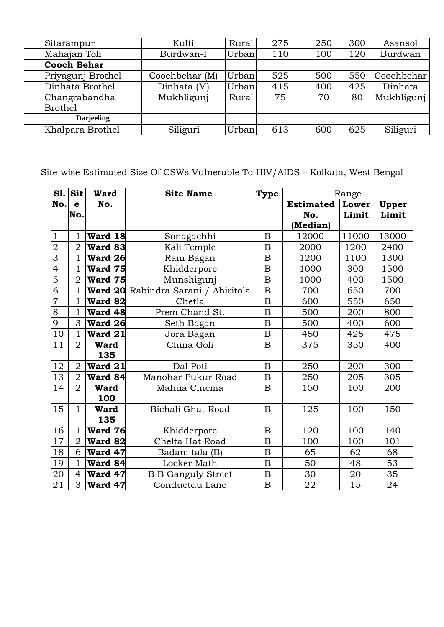| Sitarampur         | Kulti          | Rural | 275 | 250 | 300 | Asansol    |
|--------------------|----------------|-------|-----|-----|-----|------------|
| Mahajan Toli       | Burdwan-I      | Urban | 110 | 100 | 120 | Burdwan    |
| <b>Cooch Behar</b> |                |       |     |     |     |            |
| Priyagunj Brothel  | Coochbehar (M) | Urban | 525 | 500 | 550 | Coochbehar |
| Dinhata Brothel    | Dinhata (M)    | Urban | 415 | 400 | 425 | Dinhata    |
| Changrabandha      | Mukhligunj     | Rural | 75  | 70  | 80  | Mukhligunj |
| <b>Brothel</b>     |                |       |     |     |     |            |
| <b>Darjeeling</b>  |                |       |     |     |     |            |
| Khalpara Brothel   | Siliguri       | Urban | 613 | 600 | 625 | Siliguri   |

Site-wise Estimated Size Of CSWs Vulnerable To HIV/AIDS – Kolkata, West Bengal

| <b>S1.</b>     | Sit            | <b>Ward</b>    | <b>Site Name</b>                    | <b>Type</b>      | Range            |       |       |
|----------------|----------------|----------------|-------------------------------------|------------------|------------------|-------|-------|
| No.            | e              | No.            |                                     |                  | <b>Estimated</b> | Lower | Upper |
|                | No.            |                |                                     |                  | No.              | Limit | Limit |
|                |                |                |                                     |                  | (Median)         |       |       |
| $\mathbf{1}$   | 1              | Ward 18        | Sonagachhi                          | B                | 12000            | 11000 | 13000 |
| $\overline{2}$ | $\overline{2}$ | Ward 83        | Kali Temple                         | B                | 2000             | 1200  | 2400  |
| $\overline{3}$ | 1              | Ward 26        | Ram Bagan                           | $\overline{B}$   | 1200             | 1100  | 1300  |
| $\overline{4}$ | 1              | Ward 75        | Khidderpore                         | $\mathbf B$      | 1000             | 300   | 1500  |
| $\overline{5}$ | $\overline{2}$ | Ward 75        | Munshigunj                          | $\overline{B}$   | 1000             | 400   | 1500  |
| $\overline{6}$ | $\mathbf{1}$   |                | Ward 20 Rabindra Sarani / Ahiritola | $\boldsymbol{B}$ | 700              | 650   | 700   |
| 7              | 1              | Ward 82        | Chetla                              | $\boldsymbol{B}$ | 600              | 550   | 650   |
| 8              | 1              | <b>Ward 48</b> | Prem Chand St.                      | $\boldsymbol{B}$ | 500              | 200   | 800   |
| 9              | 3              | Ward 26        | Seth Bagan                          | $\boldsymbol{B}$ | 500              | 400   | 600   |
| 10             |                | Ward 21        | Jora Bagan                          | $\boldsymbol{B}$ | 450              | 425   | 475   |
| 11             | $\overline{2}$ | <b>Ward</b>    | China Goli                          | $\mathbf B$      | 375              | 350   | 400   |
|                |                | 135            |                                     |                  |                  |       |       |
| 12             | $\overline{2}$ | Ward 21        | Dal Poti                            | $\mathbf B$      | 250              | 200   | 300   |
| 13             | $\overline{2}$ | Ward 84        | Manohar Pukur Road                  | $\boldsymbol{B}$ | 250              | 205   | 305   |
| 14             | $\overline{2}$ | <b>Ward</b>    | Mahua Cinema                        | $\mathbf B$      | 150              | 100   | 200   |
|                |                | 100            |                                     |                  |                  |       |       |
| 15             | 1              | <b>Ward</b>    | Bichali Ghat Road                   | $\boldsymbol{B}$ | 125              | 100   | 150   |
|                |                | 135            |                                     |                  |                  |       |       |
| 16             | 1              | Ward 76        | Khidderpore                         | $\boldsymbol{B}$ | 120              | 100   | 140   |
| 17             | $\overline{2}$ | Ward 82        | Chelta Hat Road                     | $\mathbf B$      | 100              | 100   | 101   |
| 18             | 6              | Ward 47        | Badam tala (B)                      | $\mathbf B$      | 65               | 62    | 68    |
| 19             | 1              | Ward 84        | Locker Math                         | $\boldsymbol{B}$ | 50               | 48    | 53    |
| 20             | $\overline{4}$ | Ward 47        | <b>B B Ganguly Street</b>           | $\boldsymbol{B}$ | 30               | 20    | 35    |
| 21             | 3              | Ward 47        | Conductdu Lane                      | $\mathbf B$      | 22               | 15    | 24    |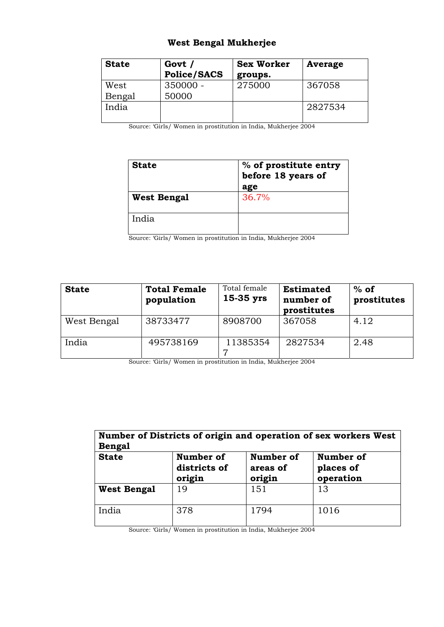## **West Bengal Mukherjee**

| <b>State</b> | Govt /<br><b>Police/SACS</b> | <b>Sex Worker</b><br>groups. | Average |
|--------------|------------------------------|------------------------------|---------|
| West         | $350000 -$                   | 275000                       | 367058  |
| Bengal       | 50000                        |                              |         |
| India        |                              |                              | 2827534 |

Source: 'Girls/ Women in prostitution in India, Mukherjee 2004

| <b>State</b>       | % of prostitute entry<br>before 18 years of<br>age |  |  |
|--------------------|----------------------------------------------------|--|--|
| <b>West Bengal</b> | 36.7%                                              |  |  |
| India              |                                                    |  |  |

Source: 'Girls/ Women in prostitution in India, Mukherjee 2004

| <b>State</b> | <b>Total Female</b><br>population | Total female<br>$15-35$ yrs | <b>Estimated</b><br>number of<br>prostitutes | $%$ of<br>prostitutes |
|--------------|-----------------------------------|-----------------------------|----------------------------------------------|-----------------------|
| West Bengal  | 38733477                          | 8908700                     | 367058                                       | 4.12                  |
| India        | 495738169                         | 11385354                    | 2827534                                      | 2.48                  |

Source: 'Girls/ Women in prostitution in India, Mukherjee 2004

| Number of Districts of origin and operation of sex workers West<br><b>Bengal</b> |                                     |                                 |                                     |  |  |  |
|----------------------------------------------------------------------------------|-------------------------------------|---------------------------------|-------------------------------------|--|--|--|
| <b>State</b>                                                                     | Number of<br>districts of<br>origin | Number of<br>areas of<br>origin | Number of<br>places of<br>operation |  |  |  |
| <b>West Bengal</b>                                                               | 19                                  | 151                             | 13                                  |  |  |  |
| India                                                                            | 378                                 | 1794                            | 1016                                |  |  |  |

Source: 'Girls/ Women in prostitution in India, Mukherjee 2004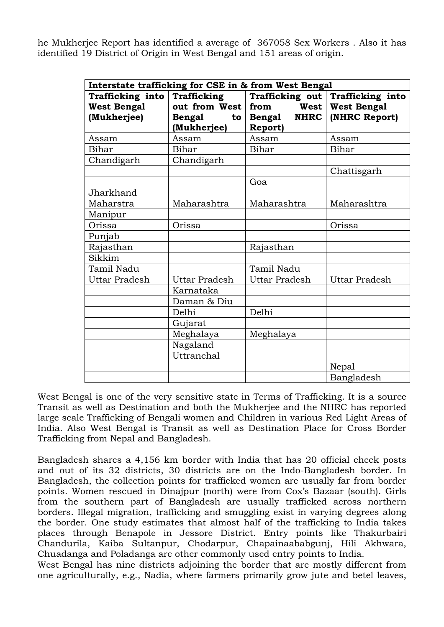he Mukherjee Report has identified a average of 367058 Sex Workers . Also it has identified 19 District of Origin in West Bengal and 151 areas of origin.

|                      |                       | Interstate trafficking for CSE in & from West Bengal |                      |  |
|----------------------|-----------------------|------------------------------------------------------|----------------------|--|
| Trafficking into     | Trafficking           | Trafficking out                                      | Trafficking into     |  |
| <b>West Bengal</b>   | out from West         | from<br>West                                         | <b>West Bengal</b>   |  |
| (Mukherjee)          | <b>Bengal</b><br>to l | <b>Bengal</b><br><b>NHRC</b>                         | (NHRC Report)        |  |
|                      | (Mukherjee)           | <b>Report)</b>                                       |                      |  |
| Assam                | Assam                 | Assam                                                | Assam                |  |
| Bihar                | Bihar                 | Bihar                                                | Bihar                |  |
| Chandigarh           | Chandigarh            |                                                      |                      |  |
|                      |                       |                                                      | Chattisgarh          |  |
|                      |                       | Goa                                                  |                      |  |
| Jharkhand            |                       |                                                      |                      |  |
| Maharstra            | Maharashtra           | Maharashtra                                          | Maharashtra          |  |
| Manipur              |                       |                                                      |                      |  |
| Orissa               | Orissa                |                                                      | Orissa               |  |
| Punjab               |                       |                                                      |                      |  |
| Rajasthan            |                       | Rajasthan                                            |                      |  |
| Sikkim               |                       |                                                      |                      |  |
| Tamil Nadu           |                       | Tamil Nadu                                           |                      |  |
| <b>Uttar Pradesh</b> | <b>Uttar Pradesh</b>  | <b>Uttar Pradesh</b>                                 | <b>Uttar Pradesh</b> |  |
|                      | Karnataka             |                                                      |                      |  |
|                      | Daman & Diu           |                                                      |                      |  |
|                      | Delhi                 | Delhi                                                |                      |  |
|                      | Gujarat               |                                                      |                      |  |
|                      | Meghalaya             | Meghalaya                                            |                      |  |
|                      | Nagaland              |                                                      |                      |  |
|                      | Uttranchal            |                                                      |                      |  |
|                      |                       |                                                      | Nepal                |  |
|                      |                       |                                                      | Bangladesh           |  |

West Bengal is one of the very sensitive state in Terms of Trafficking. It is a source Transit as well as Destination and both the Mukherjee and the NHRC has reported large scale Trafficking of Bengali women and Children in various Red Light Areas of India. Also West Bengal is Transit as well as Destination Place for Cross Border Trafficking from Nepal and Bangladesh.

Bangladesh shares a 4,156 km border with India that has 20 official check posts and out of its 32 districts, 30 districts are on the Indo-Bangladesh border. In Bangladesh, the collection points for trafficked women are usually far from border points. Women rescued in Dinajpur (north) were from Cox's Bazaar (south). Girls from the southern part of Bangladesh are usually trafficked across northern borders. Illegal migration, trafficking and smuggling exist in varying degrees along the border. One study estimates that almost half of the trafficking to India takes places through Benapole in Jessore District. Entry points like Thakurbairi Chandurila, Kaiba Sultanpur, Chodarpur, Chapainaababgunj, Hili Akhwara, Chuadanga and Poladanga are other commonly used entry points to India.

West Bengal has nine districts adjoining the border that are mostly different from one agriculturally, e.g., Nadia, where farmers primarily grow jute and betel leaves,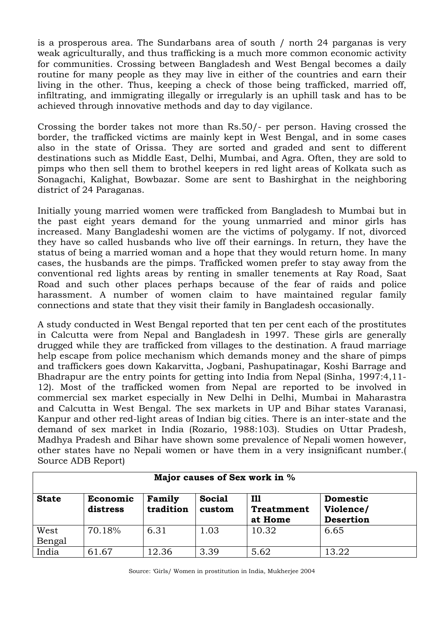is a prosperous area. The Sundarbans area of south / north 24 parganas is very weak agriculturally, and thus trafficking is a much more common economic activity for communities. Crossing between Bangladesh and West Bengal becomes a daily routine for many people as they may live in either of the countries and earn their living in the other. Thus, keeping a check of those being trafficked, married off, infiltrating, and immigrating illegally or irregularly is an uphill task and has to be achieved through innovative methods and day to day vigilance.

Crossing the border takes not more than Rs.50/- per person. Having crossed the border, the trafficked victims are mainly kept in West Bengal, and in some cases also in the state of Orissa. They are sorted and graded and sent to different destinations such as Middle East, Delhi, Mumbai, and Agra. Often, they are sold to pimps who then sell them to brothel keepers in red light areas of Kolkata such as Sonagachi, Kalighat, Bowbazar. Some are sent to Bashirghat in the neighboring district of 24 Paraganas.

Initially young married women were trafficked from Bangladesh to Mumbai but in the past eight years demand for the young unmarried and minor girls has increased. Many Bangladeshi women are the victims of polygamy. If not, divorced they have so called husbands who live off their earnings. In return, they have the status of being a married woman and a hope that they would return home. In many cases, the husbands are the pimps. Trafficked women prefer to stay away from the conventional red lights areas by renting in smaller tenements at Ray Road, Saat Road and such other places perhaps because of the fear of raids and police harassment. A number of women claim to have maintained regular family connections and state that they visit their family in Bangladesh occasionally.

A study conducted in West Bengal reported that ten per cent each of the prostitutes in Calcutta were from Nepal and Bangladesh in 1997. These girls are generally drugged while they are trafficked from villages to the destination. A fraud marriage help escape from police mechanism which demands money and the share of pimps and traffickers goes down Kakarvitta, Jogbani, Pashupatinagar, Koshi Barrage and Bhadrapur are the entry points for getting into India from Nepal (Sinha, 1997:4,11- 12). Most of the trafficked women from Nepal are reported to be involved in commercial sex market especially in New Delhi in Delhi, Mumbai in Maharastra and Calcutta in West Bengal. The sex markets in UP and Bihar states Varanasi, Kanpur and other red-light areas of Indian big cities. There is an inter-state and the demand of sex market in India (Rozario, 1988:103). Studies on Uttar Pradesh, Madhya Pradesh and Bihar have shown some prevalence of Nepali women however, other states have no Nepali women or have them in a very insignificant number.( Source ADB Report)

| Major causes of Sex work in % |                      |                     |                         |                                            |                                                  |
|-------------------------------|----------------------|---------------------|-------------------------|--------------------------------------------|--------------------------------------------------|
| <b>State</b>                  | Economic<br>distress | Family<br>tradition | <b>Social</b><br>custom | <b>I11</b><br><b>Treatmment</b><br>at Home | <b>Domestic</b><br>Violence/<br><b>Desertion</b> |
| West<br>Bengal                | 70.18%               | 6.31                | 1.03                    | 10.32                                      | 6.65                                             |
| India                         | 61.67                | 12.36               | 3.39                    | 5.62                                       | 13.22                                            |

Source: 'Girls/ Women in prostitution in India, Mukherjee 2004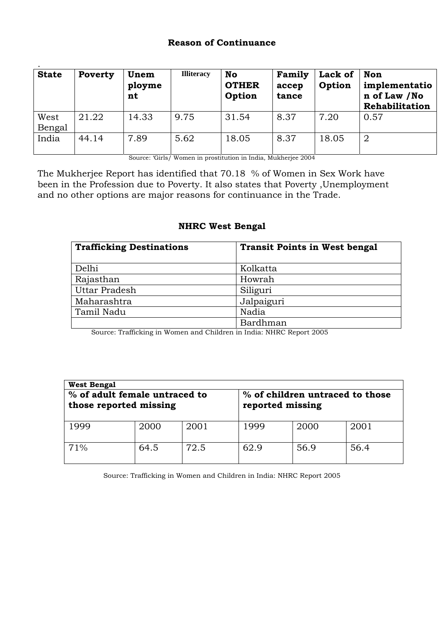#### **Reason of Continuance**

| <b>State</b>   | Poverty | Unem<br>ployme<br>nt | <b>Illiteracy</b> | <b>No</b><br><b>OTHER</b><br>Option | Family<br>accep<br>tance | Lack of<br>Option | <b>Non</b><br>implementatio<br>n of Law /No<br>Rehabilitation |
|----------------|---------|----------------------|-------------------|-------------------------------------|--------------------------|-------------------|---------------------------------------------------------------|
| West<br>Bengal | 21.22   | 14.33                | 9.75              | 31.54                               | 8.37                     | 7.20              | 0.57                                                          |
| India          | 44.14   | 7.89                 | 5.62              | 18.05                               | 8.37                     | 18.05             | $\overline{2}$                                                |

Source: 'Girls/ Women in prostitution in India, Mukherjee 2004

The Mukherjee Report has identified that 70.18 % of Women in Sex Work have been in the Profession due to Poverty. It also states that Poverty ,Unemployment and no other options are major reasons for continuance in the Trade.

#### **NHRC West Bengal**

| <b>Trafficking Destinations</b> | <b>Transit Points in West bengal</b> |
|---------------------------------|--------------------------------------|
| Delhi                           | Kolkatta                             |
| Rajasthan                       | Howrah                               |
| Uttar Pradesh                   | Siliguri                             |
| Maharashtra                     | Jalpaiguri                           |
| Tamil Nadu                      | Nadia                                |
|                                 | Bardhman                             |

Source: Trafficking in Women and Children in India: NHRC Report 2005

| <b>West Bengal</b>                                      |      |      |                                                     |      |      |  |
|---------------------------------------------------------|------|------|-----------------------------------------------------|------|------|--|
| % of adult female untraced to<br>those reported missing |      |      | % of children untraced to those<br>reported missing |      |      |  |
| 1999                                                    | 2000 | 2001 | 1999                                                | 2000 | 2001 |  |
| 71%                                                     | 64.5 | 72.5 | 62.9                                                | 56.9 | 56.4 |  |

Source: Trafficking in Women and Children in India: NHRC Report 2005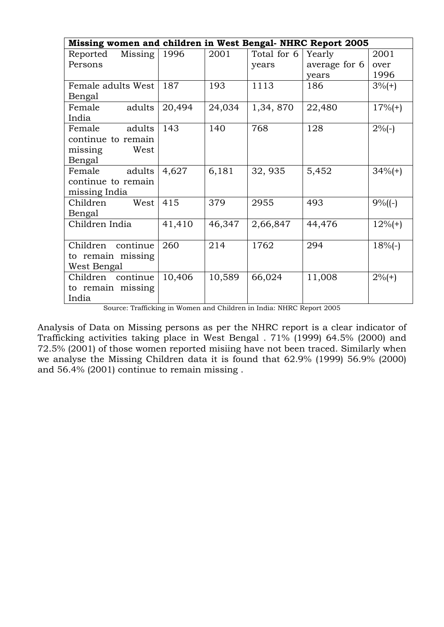| Missing women and children in West Bengal-NHRC Report 2005 |        |        |             |               |            |
|------------------------------------------------------------|--------|--------|-------------|---------------|------------|
| Missing<br>Reported                                        | 1996   | 2001   | Total for 6 | Yearly        | 2001       |
| Persons                                                    |        |        | years       | average for 6 | over       |
|                                                            |        |        |             | years         | 1996       |
| Female adults West                                         | 187    | 193    | 1113        | 186           | $3\%$ (+)  |
| Bengal                                                     |        |        |             |               |            |
| adults<br>Female                                           | 20,494 | 24,034 | 1,34,870    | 22,480        | $17%(+)$   |
| India                                                      |        |        |             |               |            |
| Female<br>adults                                           | 143    | 140    | 768         | 128           | $2\%(-)$   |
| continue to remain                                         |        |        |             |               |            |
| missing<br>West                                            |        |        |             |               |            |
| Bengal                                                     |        |        |             |               |            |
| adults<br>Female                                           | 4,627  | 6,181  | 32, 935     | 5,452         | $34\%$ (+) |
| continue to remain                                         |        |        |             |               |            |
| missing India                                              |        |        |             |               |            |
| Children<br>West                                           | 415    | 379    | 2955        | 493           | $9\%(-)$   |
| Bengal                                                     |        |        |             |               |            |
| Children India                                             | 41,410 | 46,347 | 2,66,847    | 44,476        | $12%(+)$   |
|                                                            |        |        |             |               |            |
| continue<br>Children                                       | 260    | 214    | 1762        | 294           | $18%(-)$   |
| to remain missing                                          |        |        |             |               |            |
| West Bengal                                                |        |        |             |               |            |
| Children continue                                          | 10,406 | 10,589 | 66,024      | 11,008        | $2\%$ (+)  |
| to remain missing                                          |        |        |             |               |            |
| India                                                      |        |        |             |               |            |

Source: Trafficking in Women and Children in India: NHRC Report 2005

Analysis of Data on Missing persons as per the NHRC report is a clear indicator of Trafficking activities taking place in West Bengal . 71% (1999) 64.5% (2000) and 72.5% (2001) of those women reported misiing have not been traced. Similarly when we analyse the Missing Children data it is found that 62.9% (1999) 56.9% (2000) and 56.4% (2001) continue to remain missing .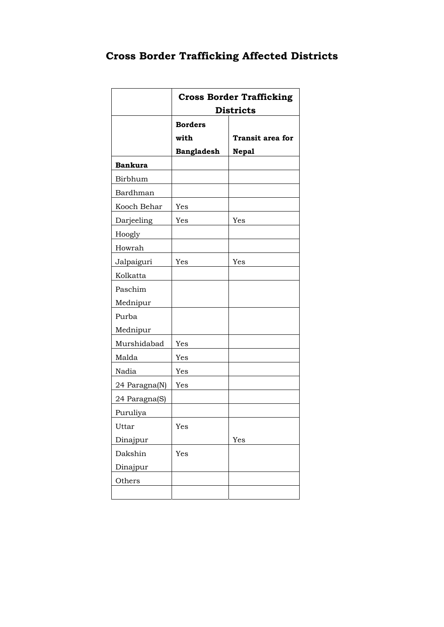|  |  | <b>Cross Border Trafficking Affected Districts</b> |  |  |
|--|--|----------------------------------------------------|--|--|
|--|--|----------------------------------------------------|--|--|

|                | <b>Cross Border Trafficking</b><br><b>Districts</b> |                         |  |  |  |
|----------------|-----------------------------------------------------|-------------------------|--|--|--|
|                |                                                     |                         |  |  |  |
|                | <b>Borders</b>                                      |                         |  |  |  |
|                | with                                                | <b>Transit area for</b> |  |  |  |
|                | <b>Bangladesh</b>                                   | <b>Nepal</b>            |  |  |  |
| <b>Bankura</b> |                                                     |                         |  |  |  |
| Birbhum        |                                                     |                         |  |  |  |
| Bardhman       |                                                     |                         |  |  |  |
| Kooch Behar    | Yes                                                 |                         |  |  |  |
| Darjeeling     | Yes                                                 | Yes                     |  |  |  |
| Hoogly         |                                                     |                         |  |  |  |
| Howrah         |                                                     |                         |  |  |  |
| Jalpaiguri     | Yes                                                 | Yes                     |  |  |  |
| Kolkatta       |                                                     |                         |  |  |  |
| Paschim        |                                                     |                         |  |  |  |
| Mednipur       |                                                     |                         |  |  |  |
| Purba          |                                                     |                         |  |  |  |
| Mednipur       |                                                     |                         |  |  |  |
| Murshidabad    | Yes                                                 |                         |  |  |  |
| Malda          | Yes                                                 |                         |  |  |  |
| Nadia          | Yes                                                 |                         |  |  |  |
| 24 Paragna(N)  | Yes                                                 |                         |  |  |  |
| 24 Paragna(S)  |                                                     |                         |  |  |  |
| Puruliya       |                                                     |                         |  |  |  |
| Uttar          | Yes                                                 |                         |  |  |  |
| Dinajpur       |                                                     | Yes                     |  |  |  |
| Dakshin        | Yes                                                 |                         |  |  |  |
| Dinajpur       |                                                     |                         |  |  |  |
| Others         |                                                     |                         |  |  |  |
|                |                                                     |                         |  |  |  |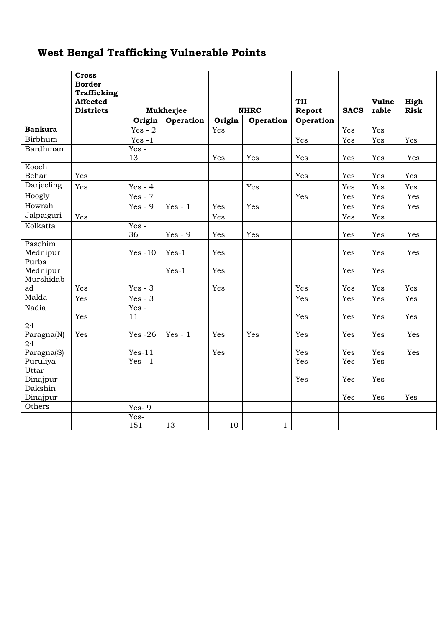# **West Bengal Trafficking Vulnerable Points**

|                     | <b>Cross</b><br><b>Border</b><br><b>Trafficking</b> |               |           |        |              |           |             |       |             |
|---------------------|-----------------------------------------------------|---------------|-----------|--------|--------------|-----------|-------------|-------|-------------|
|                     | Affected                                            |               |           |        |              | TII       |             | Vulne | High        |
|                     | <b>Districts</b>                                    |               | Mukherjee |        | <b>NHRC</b>  | Report    | <b>SACS</b> | rable | <b>Risk</b> |
|                     |                                                     | Origin        | Operation | Origin | Operation    | Operation |             |       |             |
| <b>Bankura</b>      |                                                     | Yes - $2$     |           | Yes    |              |           | Yes         | Yes   |             |
| Birbhum             |                                                     | $Yes -1$      |           |        |              | Yes       | Yes         | Yes   | Yes         |
| Bardhman            |                                                     | $Yes -$<br>13 |           | Yes    | Yes          | Yes       | Yes         | Yes   | Yes         |
| Kooch<br>Behar      | Yes                                                 |               |           |        |              | Yes       | Yes         | Yes   | Yes         |
| Darjeeling          | Yes                                                 | $Yes - 4$     |           |        | Yes          |           | Yes         | Yes   | Yes         |
| Hoogly              |                                                     | $Yes - 7$     |           |        |              | Yes       | Yes         | Yes   | Yes         |
| Howrah              |                                                     | $Yes - 9$     | $Yes - 1$ | Yes    | Yes          |           | Yes         | Yes   | Yes         |
| Jalpaiguri          | Yes                                                 |               |           | Yes    |              |           | Yes         | Yes   |             |
| Kolkatta            |                                                     | Yes -<br>36   | $Yes - 9$ | Yes    | Yes          |           | Yes         | Yes   | Yes         |
| Paschim<br>Mednipur |                                                     | $Yes -10$     | $Yes-1$   | Yes    |              |           | Yes         | Yes   | Yes         |
| Purba<br>Mednipur   |                                                     |               | $Yes-1$   | Yes    |              |           | Yes         | Yes   |             |
| Murshidab           |                                                     |               |           |        |              |           |             |       |             |
| ad                  | Yes                                                 | $Yes - 3$     |           | Yes    |              | Yes       | Yes         | Yes   | Yes         |
| Malda               | Yes                                                 | $Yes - 3$     |           |        |              | Yes       | Yes         | Yes   | Yes         |
| Nadia               | Yes                                                 | Yes -<br>11   |           |        |              | Yes       | Yes         | Yes   | Yes         |
| 24                  |                                                     |               |           |        |              |           |             |       |             |
| Paragna(N)          | Yes                                                 | Yes $-26$     | $Yes - 1$ | Yes    | Yes          | Yes       | Yes         | Yes   | Yes         |
| 24                  |                                                     |               |           |        |              |           |             |       |             |
| Paragna(S)          |                                                     | $Yes-11$      |           | Yes    |              | Yes       | Yes         | Yes   | Yes         |
| Puruliya<br>Uttar   |                                                     | $Yes - 1$     |           |        |              | Yes       | Yes         | Yes   |             |
| Dinajpur            |                                                     |               |           |        |              | Yes       | Yes         | Yes   |             |
| Dakshin<br>Dinajpur |                                                     |               |           |        |              |           | Yes         | Yes   | Yes         |
| Others              |                                                     | $Yes-9$       |           |        |              |           |             |       |             |
|                     |                                                     | Yes-<br>151   | 13        | 10     | $\mathbf{1}$ |           |             |       |             |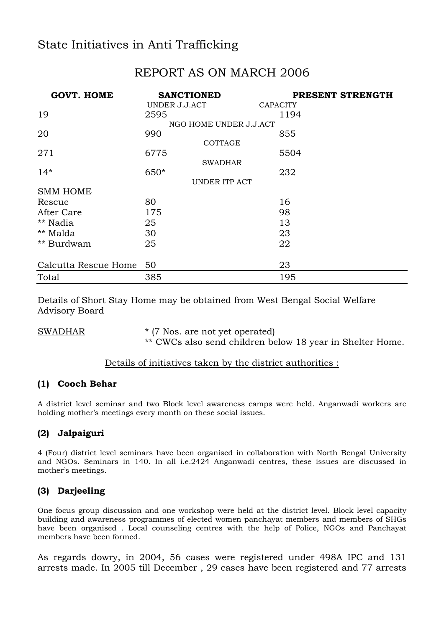# State Initiatives in Anti Trafficking

## REPORT AS ON MARCH 2006

| <b>GOVT. HOME</b>    | <b>SANCTIONED</b>      | PRESENT STRENGTH |
|----------------------|------------------------|------------------|
|                      | UNDER J.J.ACT          | <b>CAPACITY</b>  |
| 19                   | 2595                   | 1194             |
|                      | NGO HOME UNDER J.J.ACT |                  |
| 20                   | 990                    | 855              |
|                      | COTTAGE                |                  |
| 271                  | 6775                   | 5504             |
|                      | <b>SWADHAR</b>         |                  |
| $14*$                | 650*                   | 232              |
|                      | UNDER ITP ACT          |                  |
| <b>SMM HOME</b>      |                        |                  |
| Rescue               | 80                     | 16               |
| After Care           | 175                    | 98               |
| ** Nadia             | 25                     | 13               |
| ** Malda             | 30                     | 23               |
| ** Burdwam           | 25                     | 22               |
|                      |                        |                  |
| Calcutta Rescue Home | 50                     | 23               |
| Total                | 385                    | 195              |

Details of Short Stay Home may be obtained from West Bengal Social Welfare Advisory Board

SWADHAR \* (7 Nos. are not yet operated)

\*\* CWCs also send children below 18 year in Shelter Home.

#### Details of initiatives taken by the district authorities :

#### **(1) Cooch Behar**

A district level seminar and two Block level awareness camps were held. Anganwadi workers are holding mother's meetings every month on these social issues.

## **(2) Jalpaiguri**

4 (Four) district level seminars have been organised in collaboration with North Bengal University and NGOs. Seminars in 140. In all i.e.2424 Anganwadi centres, these issues are discussed in mother's meetings.

## **(3) Darjeeling**

One focus group discussion and one workshop were held at the district level. Block level capacity building and awareness programmes of elected women panchayat members and members of SHGs have been organised . Local counseling centres with the help of Police, NGOs and Panchayat members have been formed.

As regards dowry, in 2004, 56 cases were registered under 498A IPC and 131 arrests made. In 2005 till December , 29 cases have been registered and 77 arrests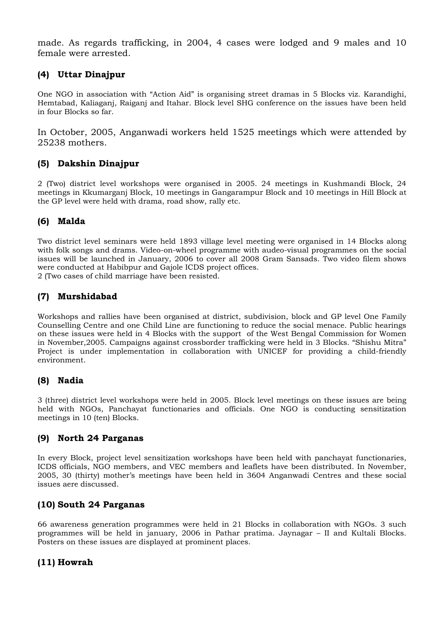made. As regards trafficking, in 2004, 4 cases were lodged and 9 males and 10 female were arrested.

## **(4) Uttar Dinajpur**

One NGO in association with "Action Aid" is organising street dramas in 5 Blocks viz. Karandighi, Hemtabad, Kaliaganj, Raiganj and Itahar. Block level SHG conference on the issues have been held in four Blocks so far.

In October, 2005, Anganwadi workers held 1525 meetings which were attended by 25238 mothers.

## **(5) Dakshin Dinajpur**

2 (Two) district level workshops were organised in 2005. 24 meetings in Kushmandi Block, 24 meetings in Kkumarganj Block, 10 meetings in Gangarampur Block and 10 meetings in Hill Block at the GP level were held with drama, road show, rally etc.

#### **(6) Malda**

Two district level seminars were held 1893 village level meeting were organised in 14 Blocks along with folk songs and drams. Video-on-wheel programme with audeo-visual programmes on the social issues will be launched in January, 2006 to cover all 2008 Gram Sansads. Two video filem shows were conducted at Habibpur and Gajole ICDS project offices.

2 (Two cases of child marriage have been resisted.

#### **(7) Murshidabad**

Workshops and rallies have been organised at district, subdivision, block and GP level One Family Counselling Centre and one Child Line are functioning to reduce the social menace. Public hearings on these issues were held in 4 Blocks with the support of the West Bengal Commission for Women in November,2005. Campaigns against crossborder trafficking were held in 3 Blocks. "Shishu Mitra" Project is under implementation in collaboration with UNICEF for providing a child-friendly environment.

#### **(8) Nadia**

3 (three) district level workshops were held in 2005. Block level meetings on these issues are being held with NGOs, Panchayat functionaries and officials. One NGO is conducting sensitization meetings in 10 (ten) Blocks.

#### **(9) North 24 Parganas**

In every Block, project level sensitization workshops have been held with panchayat functionaries, ICDS officials, NGO members, and VEC members and leaflets have been distributed. In November, 2005, 30 (thirty) mother's meetings have been held in 3604 Anganwadi Centres and these social issues aere discussed.

#### **(10) South 24 Parganas**

66 awareness generation programmes were held in 21 Blocks in collaboration with NGOs. 3 such programmes will be held in january, 2006 in Pathar pratima. Jaynagar – II and Kultali Blocks. Posters on these issues are displayed at prominent places.

#### **(11) Howrah**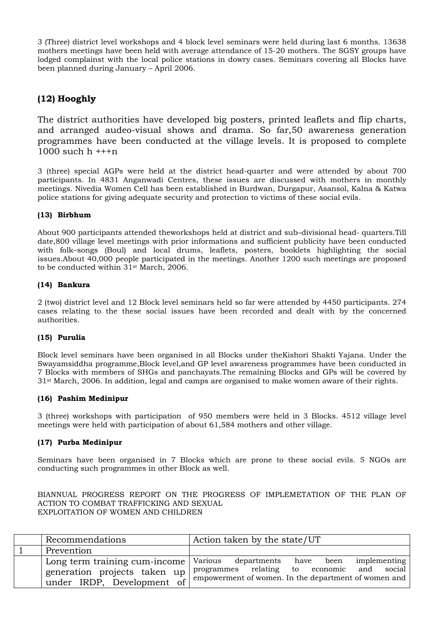3 (Three) district level workshops and 4 block level seminars were held during last 6 months. 13638 mothers meetings have been held with average attendance of 15-20 mothers. The SGSY groups have lodged complainst with the local police stations in dowry cases. Seminars covering all Blocks have been planned during January – April 2006.

## **(12) Hooghly**

The district authorities have developed big posters, printed leaflets and flip charts, and arranged audeo-visual shows and drama. So far,50 awareness generation programmes have been conducted at the village levels. It is proposed to complete 1000 such  $h + +n$ 

3 (three) special AGPs were held at the district head-quarter and were attended by about 700 participants. In 4831 Anganwadi Centres, these issues are discussed with mothers in monthly meetings. Nivedia Women Cell has been established in Burdwan, Durgapur, Asansol, Kalna & Katwa police stations for giving adequate security and protection to victims of these social evils.

#### **(13) Birbhum**

About 900 participants attended theworkshops held at district and sub–divisional head- quarters.Till date,800 village level meetings with prior informations and sufficient publicity have been conducted with folk–songs (Boul) and local drums, leaflets, posters, booklets highlighting the social issues.About 40,000 people participated in the meetings. Another 1200 such meetings are proposed to be conducted within 31st March, 2006.

#### **(14) Bankura**

2 (two) district level and 12 Block level seminars held so far were attended by 4450 participants. 274 cases relating to the these social issues have been recorded and dealt with by the concerned authorities.

#### **(15) Purulia**

Block level seminars have been organised in all Blocks under theKishori Shakti Yajana. Under the Swayamsiddha programme,Block level,and GP level awareness programmes have been conducted in 7 Blocks with members of SHGs and panchayats.The remaining Blocks and GPs will be covered by 31st March, 2006. In addition, legal and camps are organised to make women aware of their rights.

#### **(16) Pashim Medinipur**

3 (three) workshops with participation of 950 members were held in 3 Blocks. 4512 village level meetings were held with participation of about 61,584 mothers and other village.

#### **(17) Purba Medinipur**

Seminars have been organised in 7 Blocks which are prone to these social evils. 5 NGOs are conducting such programmes in other Block as well.

BIANNUAL PROGRESS REPORT ON THE PROGRESS OF IMPLEMETATION OF THE PLAN OF ACTION TO COMBAT TRAFFICKING AND SEXUAL EXPLOITATION OF WOMEN AND CHILDREN

| Recommendations                                                                                    | Action taken by the state/UT                                                                                                                                     |
|----------------------------------------------------------------------------------------------------|------------------------------------------------------------------------------------------------------------------------------------------------------------------|
| Prevention                                                                                         |                                                                                                                                                                  |
| Long term training cum-income   Various<br>generation projects taken up<br>under IRDP, Development | implementing<br>departments<br>have<br>been<br>social<br>programmes relating to economic<br>and<br>$\sigma$ empowerment of women. In the department of women and |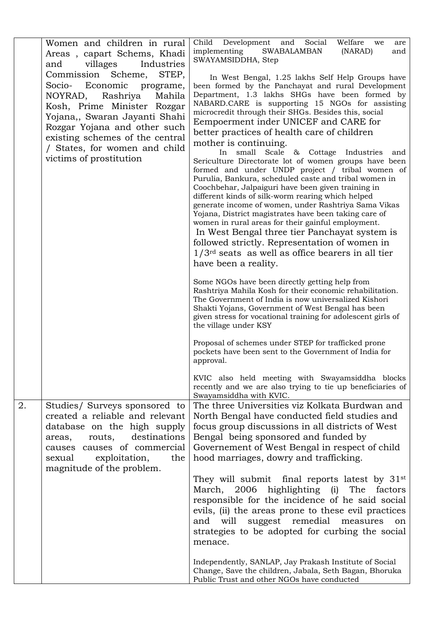|    | Women and children in rural<br>Areas, capart Schems, Khadi<br>villages<br>Industries<br>and                                                                                                                                                                                                 | Social<br>Welfare<br>Child Development and<br>we<br>are<br>implementing<br><b>SWABALAMBAN</b><br>(NARAD)<br>and<br>SWAYAMSIDDHA, Step                                                                                                                                                                                                                                                                                                                                                                                                                                                                                                                                                                                                                                                                                                                                                                                                                                                                                                                                                  |
|----|---------------------------------------------------------------------------------------------------------------------------------------------------------------------------------------------------------------------------------------------------------------------------------------------|----------------------------------------------------------------------------------------------------------------------------------------------------------------------------------------------------------------------------------------------------------------------------------------------------------------------------------------------------------------------------------------------------------------------------------------------------------------------------------------------------------------------------------------------------------------------------------------------------------------------------------------------------------------------------------------------------------------------------------------------------------------------------------------------------------------------------------------------------------------------------------------------------------------------------------------------------------------------------------------------------------------------------------------------------------------------------------------|
|    | Commission Scheme,<br>STEP,<br>Socio- Economic<br>programe,<br>Rashriya<br>Mahila<br>NOYRAD,<br>Kosh, Prime Minister Rozgar<br>Yojana,, Swaran Jayanti Shahi<br>Rozgar Yojana and other such<br>existing schemes of the central<br>/ States, for women and child<br>victims of prostitution | In West Bengal, 1.25 lakhs Self Help Groups have<br>been formed by the Panchayat and rural Development<br>Department, 1.3 lakhs SHGs have been formed by<br>NABARD.CARE is supporting 15 NGOs for assisting<br>microcredit through their SHGs. Besides this, social<br>Eempoerment inder UNICEF and CARE for<br>better practices of health care of children<br>mother is continuing.<br>In small Scale & Cottage Industries<br>and<br>Sericulture Directorate lot of women groups have been<br>formed and under UNDP project / tribal women of<br>Purulia, Bankura, scheduled caste and tribal women in<br>Coochbehar, Jalpaiguri have been given training in<br>different kinds of silk-worm rearing which helped<br>generate income of women, under Rashtriya Sama Vikas<br>Yojana, District magistrates have been taking care of<br>women in rural areas for their gainful employment.<br>In West Bengal three tier Panchayat system is<br>followed strictly. Representation of women in<br>$1/3$ <sup>rd</sup> seats as well as office bearers in all tier<br>have been a reality. |
|    |                                                                                                                                                                                                                                                                                             | Some NGOs have been directly getting help from<br>Rashtriya Mahila Kosh for their economic rehabilitation.<br>The Government of India is now universalized Kishori<br>Shakti Yojans, Government of West Bengal has been<br>given stress for vocational training for adolescent girls of<br>the village under KSY                                                                                                                                                                                                                                                                                                                                                                                                                                                                                                                                                                                                                                                                                                                                                                       |
|    |                                                                                                                                                                                                                                                                                             | Proposal of schemes under STEP for trafficked prone<br>pockets have been sent to the Government of India for<br>approval.                                                                                                                                                                                                                                                                                                                                                                                                                                                                                                                                                                                                                                                                                                                                                                                                                                                                                                                                                              |
|    |                                                                                                                                                                                                                                                                                             | KVIC also held meeting with Swayamsiddha blocks<br>recently and we are also trying to tie up beneficiaries of<br>Swayamsiddha with KVIC.                                                                                                                                                                                                                                                                                                                                                                                                                                                                                                                                                                                                                                                                                                                                                                                                                                                                                                                                               |
| 2. | Studies/Surveys sponsored to<br>created a reliable and relevant<br>database on the high supply<br>destinations<br>routs,<br>areas,<br>causes causes of commercial<br>exploitation,<br>the<br>sexual<br>magnitude of the problem.                                                            | The three Universities viz Kolkata Burdwan and<br>North Bengal have conducted field studies and<br>focus group discussions in all districts of West<br>Bengal being sponsored and funded by<br>Governement of West Bengal in respect of child<br>hood marriages, dowry and trafficking.                                                                                                                                                                                                                                                                                                                                                                                                                                                                                                                                                                                                                                                                                                                                                                                                |
|    |                                                                                                                                                                                                                                                                                             | They will submit final reports latest by 31 <sup>st</sup><br>March, 2006<br>highlighting<br>The<br>(i)<br>factors<br>responsible for the incidence of he said social<br>evils, (ii) the areas prone to these evil practices<br>suggest remedial<br>will<br>measures<br>and<br>on<br>strategies to be adopted for curbing the social<br>menace.                                                                                                                                                                                                                                                                                                                                                                                                                                                                                                                                                                                                                                                                                                                                         |
|    |                                                                                                                                                                                                                                                                                             | Independently, SANLAP, Jay Prakash Institute of Social<br>Change, Save the children, Jabala, Seth Bagan, Bhoruka<br>Public Trust and other NGOs have conducted                                                                                                                                                                                                                                                                                                                                                                                                                                                                                                                                                                                                                                                                                                                                                                                                                                                                                                                         |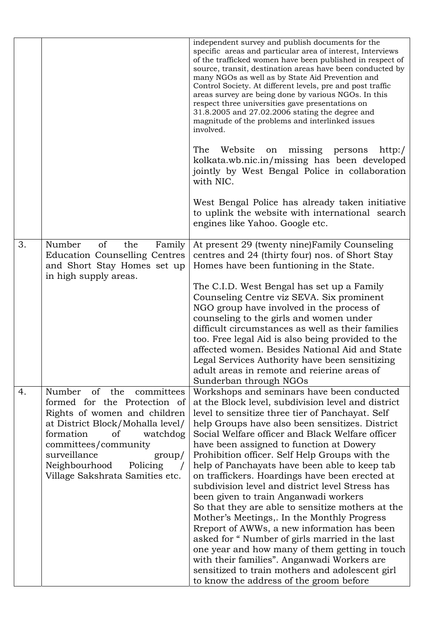|    |                                                                                                                        | independent survey and publish documents for the<br>specific areas and particular area of interest, Interviews<br>of the trafficked women have been published in respect of<br>source, transit, destination areas have been conducted by<br>many NGOs as well as by State Aid Prevention and<br>Control Society. At different levels, pre and post traffic<br>areas survey are being done by various NGOs. In this<br>respect three universities gave presentations on<br>31.8.2005 and 27.02.2006 stating the degree and<br>magnitude of the problems and interlinked issues<br>involved. |
|----|------------------------------------------------------------------------------------------------------------------------|--------------------------------------------------------------------------------------------------------------------------------------------------------------------------------------------------------------------------------------------------------------------------------------------------------------------------------------------------------------------------------------------------------------------------------------------------------------------------------------------------------------------------------------------------------------------------------------------|
|    |                                                                                                                        | The<br>Website<br>missing<br>persons<br>on<br>http://<br>kolkata.wb.nic.in/missing has been developed<br>jointly by West Bengal Police in collaboration<br>with NIC.                                                                                                                                                                                                                                                                                                                                                                                                                       |
|    |                                                                                                                        | West Bengal Police has already taken initiative<br>to uplink the website with international search<br>engines like Yahoo. Google etc.                                                                                                                                                                                                                                                                                                                                                                                                                                                      |
| 3. | Number<br>of<br>the<br>Family<br>Education Counselling Centres<br>and Short Stay Homes set up<br>in high supply areas. | At present 29 (twenty nine)Family Counseling<br>centres and 24 (thirty four) nos. of Short Stay<br>Homes have been funtioning in the State.                                                                                                                                                                                                                                                                                                                                                                                                                                                |
|    |                                                                                                                        | The C.I.D. West Bengal has set up a Family<br>Counseling Centre viz SEVA. Six prominent                                                                                                                                                                                                                                                                                                                                                                                                                                                                                                    |
|    |                                                                                                                        | NGO group have involved in the process of                                                                                                                                                                                                                                                                                                                                                                                                                                                                                                                                                  |
|    |                                                                                                                        | counseling to the girls and women under                                                                                                                                                                                                                                                                                                                                                                                                                                                                                                                                                    |
|    |                                                                                                                        | difficult circumstances as well as their families<br>too. Free legal Aid is also being provided to the                                                                                                                                                                                                                                                                                                                                                                                                                                                                                     |
|    |                                                                                                                        | affected women. Besides National Aid and State                                                                                                                                                                                                                                                                                                                                                                                                                                                                                                                                             |
|    |                                                                                                                        | Legal Services Authority have been sensitizing<br>adult areas in remote and reierine areas of                                                                                                                                                                                                                                                                                                                                                                                                                                                                                              |
|    |                                                                                                                        | Sunderban through NGOs                                                                                                                                                                                                                                                                                                                                                                                                                                                                                                                                                                     |
| 4. | of the<br>Number<br>committees<br>formed for the Protection of                                                         | Workshops and seminars have been conducted<br>at the Block level, subdivision level and district                                                                                                                                                                                                                                                                                                                                                                                                                                                                                           |
|    | Rights of women and children                                                                                           | level to sensitize three tier of Panchayat. Self                                                                                                                                                                                                                                                                                                                                                                                                                                                                                                                                           |
|    | at District Block/Mohalla level/<br>formation<br>of<br>watchdog                                                        | help Groups have also been sensitizes. District<br>Social Welfare officer and Black Welfare officer                                                                                                                                                                                                                                                                                                                                                                                                                                                                                        |
|    | committees/community                                                                                                   | have been assigned to function at Dowery                                                                                                                                                                                                                                                                                                                                                                                                                                                                                                                                                   |
|    | surveillance<br>$\gamma$                                                                                               | Prohibition officer. Self Help Groups with the                                                                                                                                                                                                                                                                                                                                                                                                                                                                                                                                             |
|    | Neighbourhood<br>Policing<br>Village Sakshrata Samities etc.                                                           | help of Panchayats have been able to keep tab<br>on traffickers. Hoardings have been erected at                                                                                                                                                                                                                                                                                                                                                                                                                                                                                            |
|    |                                                                                                                        | subdivision level and district level Stress has                                                                                                                                                                                                                                                                                                                                                                                                                                                                                                                                            |
|    |                                                                                                                        | been given to train Anganwadi workers                                                                                                                                                                                                                                                                                                                                                                                                                                                                                                                                                      |
|    |                                                                                                                        | So that they are able to sensitize mothers at the<br>Mother's Meetings,. In the Monthly Progress                                                                                                                                                                                                                                                                                                                                                                                                                                                                                           |
|    |                                                                                                                        | Rreport of AWWs, a new information has been                                                                                                                                                                                                                                                                                                                                                                                                                                                                                                                                                |
|    |                                                                                                                        | asked for "Number of girls married in the last                                                                                                                                                                                                                                                                                                                                                                                                                                                                                                                                             |
|    |                                                                                                                        | one year and how many of them getting in touch<br>with their families". Anganwadi Workers are                                                                                                                                                                                                                                                                                                                                                                                                                                                                                              |
|    |                                                                                                                        | sensitized to train mothers and adolescent girl                                                                                                                                                                                                                                                                                                                                                                                                                                                                                                                                            |
|    |                                                                                                                        | to know the address of the groom before                                                                                                                                                                                                                                                                                                                                                                                                                                                                                                                                                    |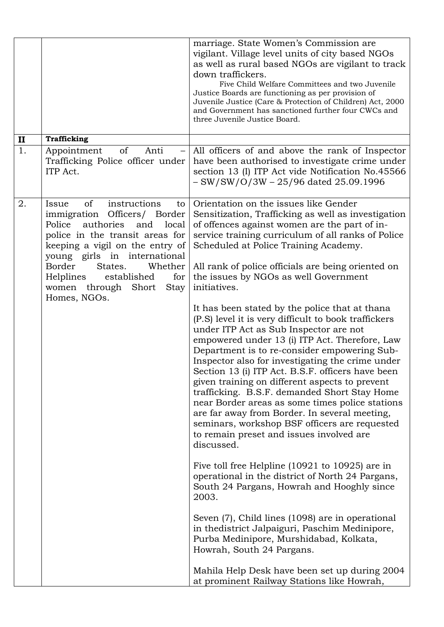|              |                                                                                                                                                                                                                                                                                                                                          | marriage. State Women's Commission are<br>vigilant. Village level units of city based NGOs<br>as well as rural based NGOs are vigilant to track<br>down traffickers.<br>Five Child Welfare Committees and two Juvenile<br>Justice Boards are functioning as per provision of<br>Juvenile Justice (Care & Protection of Children) Act, 2000<br>and Government has sanctioned further four CWCs and<br>three Juvenile Justice Board.                                                                                                                                                                                                                                           |
|--------------|------------------------------------------------------------------------------------------------------------------------------------------------------------------------------------------------------------------------------------------------------------------------------------------------------------------------------------------|------------------------------------------------------------------------------------------------------------------------------------------------------------------------------------------------------------------------------------------------------------------------------------------------------------------------------------------------------------------------------------------------------------------------------------------------------------------------------------------------------------------------------------------------------------------------------------------------------------------------------------------------------------------------------|
| $\mathbf{I}$ | <b>Trafficking</b>                                                                                                                                                                                                                                                                                                                       |                                                                                                                                                                                                                                                                                                                                                                                                                                                                                                                                                                                                                                                                              |
| 1.           | Appointment<br>of<br>Anti<br>Trafficking Police officer under<br>ITP Act.                                                                                                                                                                                                                                                                | All officers of and above the rank of Inspector<br>have been authorised to investigate crime under<br>section 13 (I) ITP Act vide Notification No.45566<br>$-SW/SW/O/3W - 25/96$ dated 25.09.1996                                                                                                                                                                                                                                                                                                                                                                                                                                                                            |
| 2.           | <sub>of</sub><br>instructions<br>Issue<br>to<br>immigration Officers/ Border<br>Police<br>authories<br>local<br>and<br>police in the transit areas for<br>keeping a vigil on the entry of<br>young girls in international<br>Border<br>Whether<br>States.<br>Helplines established<br>for<br>women through Short<br>Stay<br>Homes, NGOs. | Orientation on the issues like Gender<br>Sensitization, Trafficking as well as investigation<br>of offences against women are the part of in-<br>service training curriculum of all ranks of Police<br>Scheduled at Police Training Academy.<br>All rank of police officials are being oriented on<br>the issues by NGOs as well Government<br>initiatives.                                                                                                                                                                                                                                                                                                                  |
|              |                                                                                                                                                                                                                                                                                                                                          | It has been stated by the police that at thana<br>(P.S) level it is very difficult to book traffickers<br>under ITP Act as Sub Inspector are not<br>empowered under 13 (i) ITP Act. Therefore, Law<br>Department is to re-consider empowering Sub-<br>Inspector also for investigating the crime under<br>Section 13 (i) ITP Act. B.S.F. officers have been<br>given training on different aspects to prevent<br>trafficking. B.S.F. demanded Short Stay Home<br>near Border areas as some times police stations<br>are far away from Border. In several meeting,<br>seminars, workshop BSF officers are requested<br>to remain preset and issues involved are<br>discussed. |
|              |                                                                                                                                                                                                                                                                                                                                          | Five toll free Helpline $(10921$ to $10925)$ are in<br>operational in the district of North 24 Pargans,<br>South 24 Pargans, Howrah and Hooghly since<br>2003.                                                                                                                                                                                                                                                                                                                                                                                                                                                                                                               |
|              |                                                                                                                                                                                                                                                                                                                                          | Seven (7), Child lines (1098) are in operational<br>in the district Jalpaiguri, Paschim Medinipore,<br>Purba Medinipore, Murshidabad, Kolkata,<br>Howrah, South 24 Pargans.                                                                                                                                                                                                                                                                                                                                                                                                                                                                                                  |
|              |                                                                                                                                                                                                                                                                                                                                          | Mahila Help Desk have been set up during 2004<br>at prominent Railway Stations like Howrah,                                                                                                                                                                                                                                                                                                                                                                                                                                                                                                                                                                                  |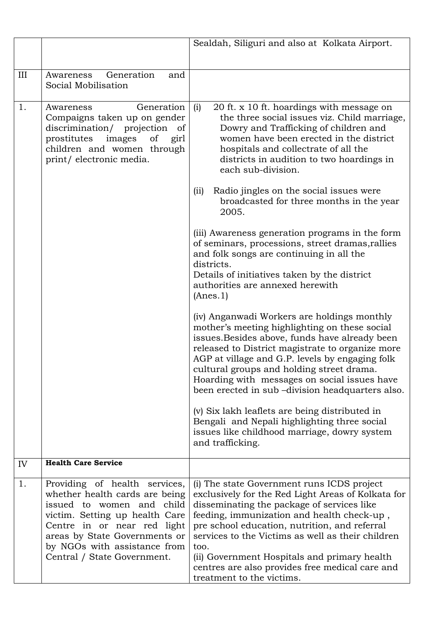|     |                                                                                                                                                                                                                                                               | Sealdah, Siliguri and also at Kolkata Airport.                                                                                                                                                                                                                                                                                                                                                                                             |  |  |  |  |  |  |
|-----|---------------------------------------------------------------------------------------------------------------------------------------------------------------------------------------------------------------------------------------------------------------|--------------------------------------------------------------------------------------------------------------------------------------------------------------------------------------------------------------------------------------------------------------------------------------------------------------------------------------------------------------------------------------------------------------------------------------------|--|--|--|--|--|--|
|     |                                                                                                                                                                                                                                                               |                                                                                                                                                                                                                                                                                                                                                                                                                                            |  |  |  |  |  |  |
| III | Generation<br>Awareness<br>and<br>Social Mobilisation                                                                                                                                                                                                         |                                                                                                                                                                                                                                                                                                                                                                                                                                            |  |  |  |  |  |  |
| 1.  | Generation<br>Awareness<br>Compaigns taken up on gender<br>discrimination/ projection of<br>prostitutes<br>images<br>of<br>girl<br>children and women through<br>print/electronic media.                                                                      | (i)<br>20 ft. x 10 ft. hoardings with message on<br>the three social issues viz. Child marriage,<br>Dowry and Trafficking of children and<br>women have been erected in the district<br>hospitals and collectrate of all the<br>districts in audition to two hoardings in<br>each sub-division.                                                                                                                                            |  |  |  |  |  |  |
|     |                                                                                                                                                                                                                                                               | Radio jingles on the social issues were<br>(i)<br>broadcasted for three months in the year<br>2005.                                                                                                                                                                                                                                                                                                                                        |  |  |  |  |  |  |
|     |                                                                                                                                                                                                                                                               | (iii) Awareness generation programs in the form<br>of seminars, processions, street dramas, rallies<br>and folk songs are continuing in all the<br>districts.                                                                                                                                                                                                                                                                              |  |  |  |  |  |  |
|     |                                                                                                                                                                                                                                                               | Details of initiatives taken by the district<br>authorities are annexed herewith<br>(Anes.1)                                                                                                                                                                                                                                                                                                                                               |  |  |  |  |  |  |
|     |                                                                                                                                                                                                                                                               | (iv) Anganwadi Workers are holdings monthly<br>mother's meeting highlighting on these social<br>issues. Besides above, funds have already been<br>released to District magistrate to organize more<br>AGP at village and G.P. levels by engaging folk<br>cultural groups and holding street drama.<br>Hoarding with messages on social issues have<br>been erected in sub-division headquarters also.                                      |  |  |  |  |  |  |
|     |                                                                                                                                                                                                                                                               | (v) Six lakh leaflets are being distributed in<br>Bengali and Nepali highlighting three social<br>issues like childhood marriage, dowry system<br>and trafficking.                                                                                                                                                                                                                                                                         |  |  |  |  |  |  |
| IV  | <b>Health Care Service</b>                                                                                                                                                                                                                                    |                                                                                                                                                                                                                                                                                                                                                                                                                                            |  |  |  |  |  |  |
| 1.  | Providing of health services,<br>whether health cards are being<br>issued to women and child<br>victim. Setting up health Care<br>Centre in or near red light<br>areas by State Governments or<br>by NGOs with assistance from<br>Central / State Government. | (i) The state Government runs ICDS project<br>exclusively for the Red Light Areas of Kolkata for<br>disseminating the package of services like<br>feeding, immunization and health check-up,<br>pre school education, nutrition, and referral<br>services to the Victims as well as their children<br>too.<br>(ii) Government Hospitals and primary health<br>centres are also provides free medical care and<br>treatment to the victims. |  |  |  |  |  |  |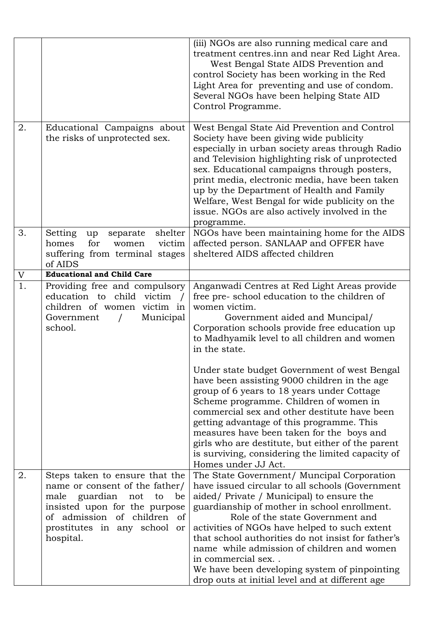|    |                                                                                                                                                                                                                   | (iii) NGOs are also running medical care and<br>treatment centres.inn and near Red Light Area.<br>West Bengal State AIDS Prevention and<br>control Society has been working in the Red<br>Light Area for preventing and use of condom.<br>Several NGOs have been helping State AID<br>Control Programme.                                                                                                                                                                                                     |
|----|-------------------------------------------------------------------------------------------------------------------------------------------------------------------------------------------------------------------|--------------------------------------------------------------------------------------------------------------------------------------------------------------------------------------------------------------------------------------------------------------------------------------------------------------------------------------------------------------------------------------------------------------------------------------------------------------------------------------------------------------|
| 2. | Educational Campaigns about<br>the risks of unprotected sex.                                                                                                                                                      | West Bengal State Aid Prevention and Control<br>Society have been giving wide publicity<br>especially in urban society areas through Radio<br>and Television highlighting risk of unprotected<br>sex. Educational campaigns through posters,<br>print media, electronic media, have been taken<br>up by the Department of Health and Family<br>Welfare, West Bengal for wide publicity on the<br>issue. NGOs are also actively involved in the<br>programme.                                                 |
| 3. | shelter<br>Setting<br>separate<br>up<br>victim<br>homes<br>for<br>women<br>suffering from terminal stages<br>of AIDS                                                                                              | NGOs have been maintaining home for the AIDS<br>affected person. SANLAAP and OFFER have<br>sheltered AIDS affected children                                                                                                                                                                                                                                                                                                                                                                                  |
| V  | <b>Educational and Child Care</b>                                                                                                                                                                                 |                                                                                                                                                                                                                                                                                                                                                                                                                                                                                                              |
| 1. | Providing free and compulsory<br>education to child victim<br>children of women victim in<br>Municipal<br>Government<br>$\sqrt{2}$<br>school.                                                                     | Anganwadi Centres at Red Light Areas provide<br>free pre-school education to the children of<br>women victim.<br>Government aided and Muncipal/<br>Corporation schools provide free education up<br>to Madhyamik level to all children and women<br>in the state.                                                                                                                                                                                                                                            |
|    |                                                                                                                                                                                                                   | Under state budget Government of west Bengal<br>have been assisting 9000 children in the age<br>group of 6 years to 18 years under Cottage<br>Scheme programme. Children of women in<br>commercial sex and other destitute have been<br>getting advantage of this programme. This<br>measures have been taken for the boys and<br>girls who are destitute, but either of the parent<br>is surviving, considering the limited capacity of<br>Homes under JJ Act.                                              |
| 2. | Steps taken to ensure that the<br>name or consent of the father/<br>male guardian<br>not<br>to<br>be<br>insisted upon for the purpose<br>of admission of children of<br>prostitutes in any school or<br>hospital. | The State Government/ Muncipal Corporation<br>have issued circular to all schools (Government<br>aided/ Private / Municipal) to ensure the<br>guardianship of mother in school enrollment.<br>Role of the state Government and<br>activities of NGOs have helped to such extent<br>that school authorities do not insist for father's<br>name while admission of children and women<br>in commercial sex<br>We have been developing system of pinpointing<br>drop outs at initial level and at different age |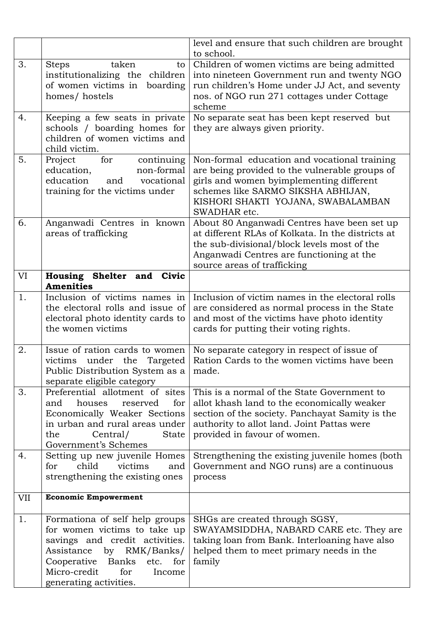|     |                                                                                                                                                                                                                                   | level and ensure that such children are brought<br>to school.                                                                                                                                                                          |
|-----|-----------------------------------------------------------------------------------------------------------------------------------------------------------------------------------------------------------------------------------|----------------------------------------------------------------------------------------------------------------------------------------------------------------------------------------------------------------------------------------|
| 3.  | taken<br><b>Steps</b><br>to<br>institutionalizing the children<br>of women victims in<br>boarding<br>homes/hostels                                                                                                                | Children of women victims are being admitted<br>into nineteen Government run and twenty NGO<br>run children's Home under JJ Act, and seventy<br>nos. of NGO run 271 cottages under Cottage<br>scheme                                   |
| 4.  | Keeping a few seats in private<br>schools / boarding homes for<br>children of women victims and<br>child victim.                                                                                                                  | No separate seat has been kept reserved but<br>they are always given priority.                                                                                                                                                         |
| 5.  | Project<br>for<br>continuing<br>education,<br>non-formal<br>education<br>and<br>vocational<br>training for the victims under                                                                                                      | Non-formal education and vocational training<br>are being provided to the vulnerable groups of<br>girls and women byimplementing different<br>schemes like SARMO SIKSHA ABHIJAN,<br>KISHORI SHAKTI YOJANA, SWABALAMBAN<br>SWADHAR etc. |
| 6.  | Anganwadi Centres in known<br>areas of trafficking                                                                                                                                                                                | About 80 Anganwadi Centres have been set up<br>at different RLAs of Kolkata. In the districts at<br>the sub-divisional/block levels most of the<br>Anganwadi Centres are functioning at the<br>source areas of trafficking             |
| VI  | Housing Shelter and Civic<br><b>Amenities</b>                                                                                                                                                                                     |                                                                                                                                                                                                                                        |
| 1.  | Inclusion of victims names in<br>the electoral rolls and issue of<br>electoral photo identity cards to<br>the women victims                                                                                                       | Inclusion of victim names in the electoral rolls<br>are considered as normal process in the State<br>and most of the victims have photo identity<br>cards for putting their voting rights.                                             |
| 2.  | Issue of ration cards to women<br>victims under the Targeted<br>Public Distribution System as a<br>separate eligible category                                                                                                     | No separate category in respect of issue of<br>Ration Cards to the women victims have been<br>made.                                                                                                                                    |
| 3.  | Preferential allotment of sites<br>for<br>and<br>houses<br>reserved<br>Economically Weaker Sections<br>in urban and rural areas under<br>the<br>Central/<br><b>State</b><br>Government's Schemes                                  | This is a normal of the State Government to<br>allot khash land to the economically weaker<br>section of the society. Panchayat Samity is the<br>authority to allot land. Joint Pattas were<br>provided in favour of women.            |
| 4.  | Setting up new juvenile Homes<br>child<br>for<br>victims<br>and<br>strengthening the existing ones                                                                                                                                | Strengthening the existing juvenile homes (both<br>Government and NGO runs) are a continuous<br>process                                                                                                                                |
| VII | <b>Economic Empowerment</b>                                                                                                                                                                                                       |                                                                                                                                                                                                                                        |
| 1.  | Formationa of self help groups<br>for women victims to take up<br>savings and credit activities.<br>RMK/Banks/<br>Assistance<br>by<br>Cooperative Banks<br>etc.<br>for<br>Micro-credit<br>for<br>Income<br>generating activities. | SHGs are created through SGSY,<br>SWAYAMSIDDHA, NABARD CARE etc. They are<br>taking loan from Bank. Interloaning have also<br>helped them to meet primary needs in the<br>family                                                       |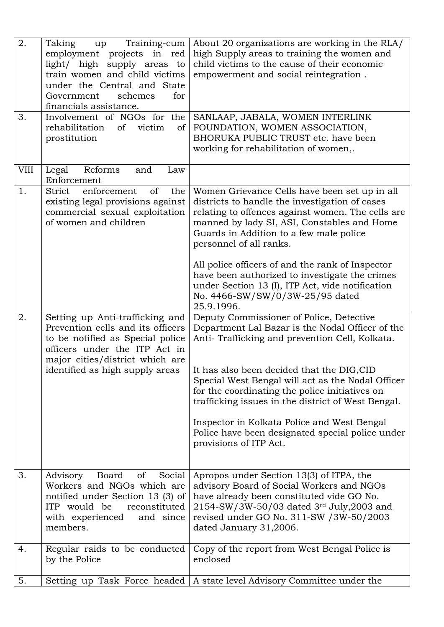| 2.<br>3. | Training-cum<br>Taking<br>up<br>employment projects in red<br>light/ high supply areas to<br>train women and child victims<br>under the Central and State<br>schemes<br>Government<br>for<br>financials assistance.<br>Involvement of NGOs for the<br>rehabilitation<br>victim<br>of<br>of<br>prostitution | About 20 organizations are working in the RLA/<br>high Supply areas to training the women and<br>child victims to the cause of their economic<br>empowerment and social reintegration.<br>SANLAAP, JABALA, WOMEN INTERLINK<br>FOUNDATION, WOMEN ASSOCIATION,<br>BHORUKA PUBLIC TRUST etc. have been<br>working for rehabilitation of women,.                                                                                                                                           |
|----------|------------------------------------------------------------------------------------------------------------------------------------------------------------------------------------------------------------------------------------------------------------------------------------------------------------|----------------------------------------------------------------------------------------------------------------------------------------------------------------------------------------------------------------------------------------------------------------------------------------------------------------------------------------------------------------------------------------------------------------------------------------------------------------------------------------|
| VIII     | Legal<br>Reforms<br>and<br>Law<br>Enforcement                                                                                                                                                                                                                                                              |                                                                                                                                                                                                                                                                                                                                                                                                                                                                                        |
| 1.       | enforcement<br>of<br>the<br>Strict<br>existing legal provisions against<br>commercial sexual exploitation<br>of women and children                                                                                                                                                                         | Women Grievance Cells have been set up in all<br>districts to handle the investigation of cases<br>relating to offences against women. The cells are<br>manned by lady SI, ASI, Constables and Home<br>Guards in Addition to a few male police<br>personnel of all ranks.<br>All police officers of and the rank of Inspector<br>have been authorized to investigate the crimes<br>under Section 13 (I), ITP Act, vide notification<br>No. 4466-SW/SW/0/3W-25/95 dated<br>25.9.1996.   |
| 2.       | Setting up Anti-trafficking and<br>Prevention cells and its officers<br>to be notified as Special police<br>officers under the ITP Act in<br>major cities/district which are<br>identified as high supply areas                                                                                            | Deputy Commissioner of Police, Detective<br>Department Lal Bazar is the Nodal Officer of the<br>Anti- Trafficking and prevention Cell, Kolkata.<br>It has also been decided that the DIG,CID<br>Special West Bengal will act as the Nodal Officer<br>for the coordinating the police initiatives on<br>trafficking issues in the district of West Bengal.<br>Inspector in Kolkata Police and West Bengal<br>Police have been designated special police under<br>provisions of ITP Act. |
| 3.       | Advisory<br>Board<br>Social<br><sub>of</sub><br>Workers and NGOs which are<br>notified under Section 13 (3) of<br>ITP would be<br>reconstituted<br>with experienced<br>and since<br>members.                                                                                                               | Apropos under Section 13(3) of ITPA, the<br>advisory Board of Social Workers and NGOs<br>have already been constituted vide GO No.<br>2154-SW/3W-50/03 dated 3rd July, 2003 and<br>revised under GO No. 311-SW /3W-50/2003<br>dated January 31,2006.                                                                                                                                                                                                                                   |
| 4.       | Regular raids to be conducted<br>by the Police                                                                                                                                                                                                                                                             | Copy of the report from West Bengal Police is<br>enclosed                                                                                                                                                                                                                                                                                                                                                                                                                              |
| 5.       |                                                                                                                                                                                                                                                                                                            | Setting up Task Force headed   A state level Advisory Committee under the                                                                                                                                                                                                                                                                                                                                                                                                              |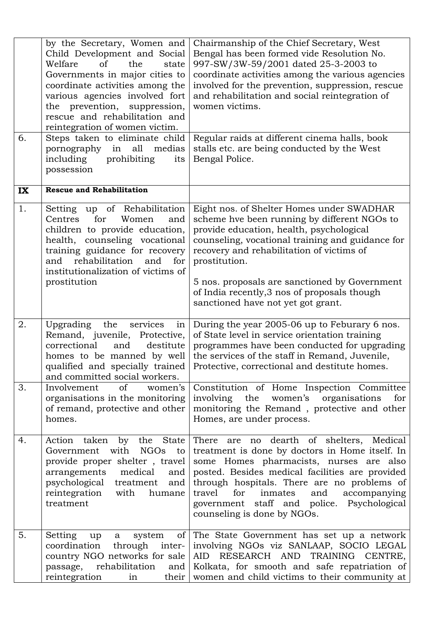| 6. | by the Secretary, Women and<br>Child Development and Social<br>Welfare<br>of<br>the<br>state<br>Governments in major cities to<br>coordinate activities among the<br>various agencies involved fort<br>the prevention, suppression,<br>rescue and rehabilitation and<br>reintegration of women victim.<br>Steps taken to eliminate child<br>pornography<br>in<br>all<br>medias<br>including<br>prohibiting<br>its<br>possession | Chairmanship of the Chief Secretary, West<br>Bengal has been formed vide Resolution No.<br>997-SW/3W-59/2001 dated 25-3-2003 to<br>coordinate activities among the various agencies<br>involved for the prevention, suppression, rescue<br>and rehabilitation and social reintegration of<br>women victims.<br>Regular raids at different cinema halls, book<br>stalls etc. are being conducted by the West<br>Bengal Police. |  |  |  |  |  |
|----|---------------------------------------------------------------------------------------------------------------------------------------------------------------------------------------------------------------------------------------------------------------------------------------------------------------------------------------------------------------------------------------------------------------------------------|-------------------------------------------------------------------------------------------------------------------------------------------------------------------------------------------------------------------------------------------------------------------------------------------------------------------------------------------------------------------------------------------------------------------------------|--|--|--|--|--|
| IX | <b>Rescue and Rehabilitation</b>                                                                                                                                                                                                                                                                                                                                                                                                |                                                                                                                                                                                                                                                                                                                                                                                                                               |  |  |  |  |  |
| 1. | Setting up of Rehabilitation<br>Centres<br>for<br>Women<br>and<br>children to provide education,<br>health, counseling vocational<br>training guidance for recovery<br>rehabilitation<br>and<br>for<br>and<br>institutionalization of victims of<br>prostitution                                                                                                                                                                | Eight nos. of Shelter Homes under SWADHAR<br>scheme hve been running by different NGOs to<br>provide education, health, psychological<br>counseling, vocational training and guidance for<br>recovery and rehabilitation of victims of<br>prostitution.<br>5 nos. proposals are sanctioned by Government<br>of India recently, 3 nos of proposals though<br>sanctioned have not yet got grant.                                |  |  |  |  |  |
| 2. | services<br>Upgrading<br>the<br>in<br>Remand, juvenile, Protective,<br>correctional<br>and<br>destitute<br>homes to be manned by well<br>qualified and specially trained<br>and committed social workers.                                                                                                                                                                                                                       | During the year 2005-06 up to Feburary 6 nos.<br>of State level in service orientation training<br>programmes have been conducted for upgrading<br>the services of the staff in Remand, Juvenile,<br>Protective, correctional and destitute homes.                                                                                                                                                                            |  |  |  |  |  |
| 3. | Involvement<br>of<br>women's<br>organisations in the monitoring<br>of remand, protective and other<br>homes.                                                                                                                                                                                                                                                                                                                    | Constitution of Home Inspection Committee<br>involving the<br>women's<br>organisations<br>for<br>monitoring the Remand, protective and other<br>Homes, are under process.                                                                                                                                                                                                                                                     |  |  |  |  |  |
| 4. | by the State<br>Action taken<br>with<br><b>NGOs</b><br>Government<br>to<br>provide proper shelter, travel<br>arrangements<br>medical<br>and<br>psychological treatment<br>and<br>reintegration<br>with<br>humane<br>treatment                                                                                                                                                                                                   | There are no dearth of shelters, Medical<br>treatment is done by doctors in Home itself. In<br>some Homes pharmacists, nurses are also<br>posted. Besides medical facilities are provided<br>through hospitals. There are no problems of<br>travel<br>for<br>inmates<br>and<br>accompanying<br>government staff and police. Psychological<br>counseling is done by NGOs.                                                      |  |  |  |  |  |
| 5. | Setting<br>of<br>system<br>up<br>$\mathbf{a}$<br>coordination<br>through<br>inter-<br>country NGO networks for sale<br>passage,<br>rehabilitation<br>and<br>reintegration<br>their<br>in                                                                                                                                                                                                                                        | The State Government has set up a network<br>involving NGOs viz SANLAAP, SOCIO LEGAL<br>RESEARCH AND TRAINING CENTRE,<br>AID<br>Kolkata, for smooth and safe repatriation of<br>women and child victims to their community at                                                                                                                                                                                                 |  |  |  |  |  |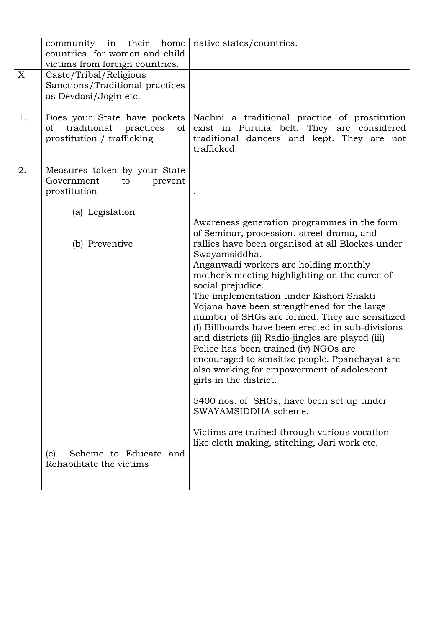|    | community in<br>their<br>home<br>countries for women and child<br>victims from foreign countries.             | native states/countries.                                                                                                                                                                                                                                                                                                                                                                                                                                                                                                                                                                                                                                                                                                                                                                                                                                                   |
|----|---------------------------------------------------------------------------------------------------------------|----------------------------------------------------------------------------------------------------------------------------------------------------------------------------------------------------------------------------------------------------------------------------------------------------------------------------------------------------------------------------------------------------------------------------------------------------------------------------------------------------------------------------------------------------------------------------------------------------------------------------------------------------------------------------------------------------------------------------------------------------------------------------------------------------------------------------------------------------------------------------|
| X  | Caste/Tribal/Religious<br>Sanctions/Traditional practices<br>as Devdasi/Jogin etc.                            |                                                                                                                                                                                                                                                                                                                                                                                                                                                                                                                                                                                                                                                                                                                                                                                                                                                                            |
| 1. | Does your State have pockets<br>traditional<br>οf<br>practices<br><sub>of</sub><br>prostitution / trafficking | Nachni a traditional practice of prostitution<br>exist in Purulia belt. They are considered<br>traditional dancers and kept. They are not<br>trafficked.                                                                                                                                                                                                                                                                                                                                                                                                                                                                                                                                                                                                                                                                                                                   |
| 2. | Measures taken by your State<br>Government<br>prevent<br>to<br>prostitution                                   |                                                                                                                                                                                                                                                                                                                                                                                                                                                                                                                                                                                                                                                                                                                                                                                                                                                                            |
|    | (a) Legislation<br>(b) Preventive<br>Scheme to Educate and<br>(c)                                             | Awareness generation programmes in the form<br>of Seminar, procession, street drama, and<br>rallies have been organised at all Blockes under<br>Swayamsiddha.<br>Anganwadi workers are holding monthly<br>mother's meeting highlighting on the curce of<br>social prejudice.<br>The implementation under Kishori Shakti<br>Yojana have been strengthened for the large<br>number of SHGs are formed. They are sensitized<br>(I) Billboards have been erected in sub-divisions<br>and districts (ii) Radio jingles are played (iii)<br>Police has been trained (iv) NGOs are<br>encouraged to sensitize people. Ppanchayat are<br>also working for empowerment of adolescent<br>girls in the district.<br>5400 nos. of SHGs, have been set up under<br>SWAYAMSIDDHA scheme.<br>Victims are trained through various vocation<br>like cloth making, stitching, Jari work etc. |
|    | Rehabilitate the victims                                                                                      |                                                                                                                                                                                                                                                                                                                                                                                                                                                                                                                                                                                                                                                                                                                                                                                                                                                                            |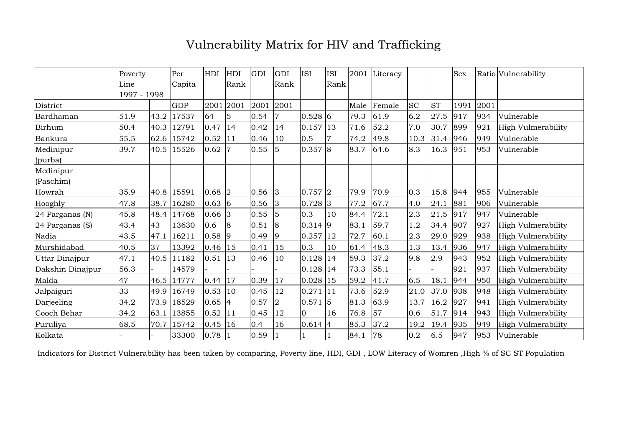# Vulnerability Matrix for HIV and Trafficking

|                  | Poverty     |      | Per        | HDI        | HDI            | GDI  | GDI            | <b>ISI</b> | ISI  | 2001 | Literacy |           |           | <b>Sex</b> |      | Ratio Vulnerability       |
|------------------|-------------|------|------------|------------|----------------|------|----------------|------------|------|------|----------|-----------|-----------|------------|------|---------------------------|
|                  | Line        |      | Capita     |            | Rank           |      | Rank           |            | Rank |      |          |           |           |            |      |                           |
|                  | 1997 - 1998 |      |            |            |                |      |                |            |      |      |          |           |           |            |      |                           |
| District         |             |      | <b>GDP</b> |            | 2001 2001      | 2001 | 2001           |            |      | Male | Female   | <b>SC</b> | <b>ST</b> | 1991       | 2001 |                           |
| Bardhaman        | 51.9        | 43.2 | 17537      | 64         | 5              | 0.54 | 7              | $0.528$ 6  |      | 79.3 | 61.9     | 6.2       | 27.5      | 917        | 934  | Vulnerable                |
| Birhum           | 50.4        | 40.3 | 12791      | 0.47       | 14             | 0.42 | 14             | 0.157      | 13   | 71.6 | 52.2     | 7.0       | 30.7      | 899        | 921  | High Vulmerability        |
| Bankura          | 55.5        | 62.6 | 15742      | $0.52$  11 |                | 0.46 | 10             | 0.5        |      | 74.2 | 49.8     | 10.3      | 31.4      | 946        | 949  | Vulnerable                |
| Medinipur        | 39.7        | 40.5 | 15526      | $0.62$  7  |                | 0.55 | 5              | 0.357 8    |      | 83.7 | 64.6     | 8.3       | 16.3      | 951        | 953  | Vulnerable                |
| (purba)          |             |      |            |            |                |      |                |            |      |      |          |           |           |            |      |                           |
| Medinipur        |             |      |            |            |                |      |                |            |      |      |          |           |           |            |      |                           |
| (Paschim)        |             |      |            |            |                |      |                |            |      |      |          |           |           |            |      |                           |
| Howrah           | 35.9        | 40.8 | 15591      | $0.68$ 2   |                | 0.56 | 3              | $0.757$ 2  |      | 79.9 | 70.9     | 0.3       | 15.8      | 944        | 955  | Vulnerable                |
| Hooghly          | 47.8        | 38.7 | 16280      | 0.63 6     |                | 0.56 | 3              | $0.728$ 3  |      | 77.2 | 67.7     | 4.0       | 24.1      | 881        | 906  | Vulnerable                |
| 24 Parganas (N)  | 45.8        | 48.4 | 14768      | $0.66$ 3   |                | 0.55 | 5              | 0.3        | 10   | 84.4 | 72.1     | 2.3       | 21.5      | 917        | 947  | Vulnerable                |
| 24 Parganas (S)  | 43.4        | 43   | 13630      | 0.6        | $\overline{8}$ | 0.51 | 8              | $0.314$ 9  |      | 83.1 | 59.7     | 1.2       | 34.4      | 907        | 927  | High Vulmerability        |
| Nadia            | 43.5        | 47.1 | 16211      | $0.58$ 9   |                | 0.49 | 9              | 0.257      | 12   | 72.7 | 60.1     | 2.3       | 29.0      | 929        | 938  | <b>High Vulmerability</b> |
| Murshidabad      | 40.5        | 37   | 13392      | $0.46$ 15  |                | 0.41 | 15             | 0.3        | 10   | 61.4 | 48.3     | 1.3       | 13.4      | 936        | 947  | <b>High Vulmerability</b> |
| Uttar Dinajpur   | 47.1        | 40.5 | 11182      | $0.51$  13 |                | 0.46 | 10             | 0.128      | 14   | 59.3 | 37.2     | 9.8       | 2.9       | 943        | 952  | High Vulmerability        |
| Dakshin Dinajpur | 56.3        |      | 14579      |            |                |      |                | 0.128      | 14   | 73.3 | 55.1     |           |           | 921        | 937  | High Vulmerability        |
| Malda            | 47          | 46.5 | 14777      | $0.44$ 17  |                | 0.39 | 17             | 0.028      | 15   | 59.2 | 41.7     | 6.5       | 18.1      | 944        | 950  | <b>High Vulmerability</b> |
| Jalpaiguri       | 33          | 49.9 | 16749      | 0.53 10    |                | 0.45 | 12             | 0.271      | 11   | 73.6 | 52.9     | 21.0      | 37.0      | 938        | 948  | High Vulmerability        |
| Darjeeling       | 34.2        | 73.9 | 18529      | $0.65$ 4   |                | 0.57 | $\overline{2}$ | 0.571      | 5    | 81.3 | 63.9     | 13.7      | 16.2      | 927        | 941  | High Vulmerability        |
| Cooch Behar      | 34.2        | 63.1 | 13855      | $0.52$  11 |                | 0.45 | 12             | $\Omega$   | 16   | 76.8 | 57       | 0.6       | 51.7      | 914        | 943  | High Vulmerability        |
| Puruliya         | 68.5        | 70.7 | 15742      | 0.45 16    |                | 0.4  | 16             | $0.614$ 4  |      | 85.3 | 37.2     | 19.2      | 19.4      | 935        | 949  | High Vulmerability        |
| Kolkata          |             |      | 33300      | 0.78       |                | 0.59 |                |            |      | 84.1 | 78       | 0.2       | 6.5       | 947        | 953  | Vulnerable                |

Indicators for District Vulnerability has been taken by comparing, Poverty line, HDI, GDI , LOW Literacy of Womren ,High % of SC ST Population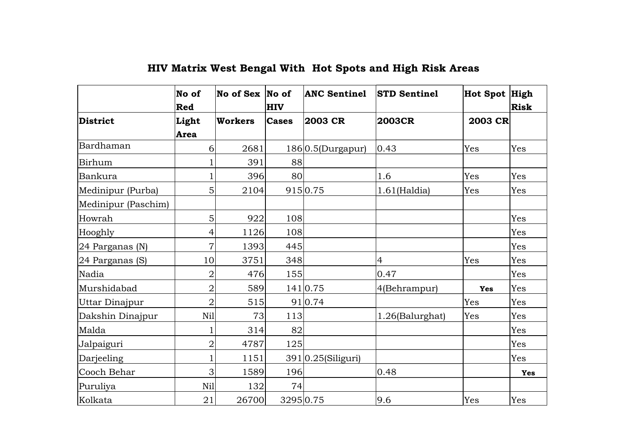|                     | No of<br>Red         | $\overline{\text{No}}$ of Sex $\overline{\text{No}}$ of | <b>HIV</b>   | <b>ANC Sentinel</b>   | <b>STD Sentinel</b> | Hot Spot High | <b>Risk</b> |
|---------------------|----------------------|---------------------------------------------------------|--------------|-----------------------|---------------------|---------------|-------------|
| District            | Light<br><b>Area</b> | <b>Workers</b>                                          | <b>Cases</b> | 2003 CR               | <b>2003CR</b>       | 2003 CR       |             |
| Bardhaman           | 6                    | 2681                                                    |              | 186 0.5(Durgapur)     | 0.43                | Yes           | Yes         |
| Birhum              |                      | 391                                                     | 88           |                       |                     |               |             |
| Bankura             |                      | 396                                                     | 80           |                       | 1.6                 | Yes           | Yes         |
| Medinipur (Purba)   | 5                    | 2104                                                    |              | 9150.75               | $1.61$ (Haldia)     | Yes           | Yes         |
| Medinipur (Paschim) |                      |                                                         |              |                       |                     |               |             |
| Howrah              | 5                    | 922                                                     | 108          |                       |                     |               | Yes         |
| Hooghly             | 4                    | 1126                                                    | 108          |                       |                     |               | Yes         |
| 24 Parganas (N)     | $\overline{7}$       | 1393                                                    | 445          |                       |                     |               | Yes         |
| 24 Parganas (S)     | 10                   | 3751                                                    | 348          |                       | 4                   | Yes           | Yes         |
| Nadia               | $\overline{2}$       | 476                                                     | 155          |                       | 0.47                |               | Yes         |
| Murshidabad         | $\overline{2}$       | 589                                                     |              | 141 0.75              | 4(Behrampur)        | <b>Yes</b>    | Yes         |
| Uttar Dinajpur      | $\overline{2}$       | 515                                                     |              | 910.74                |                     | Yes           | Yes         |
| Dakshin Dinajpur    | Nil                  | 73                                                      | 113          |                       | 1.26(Balurghat)     | Yes           | Yes         |
| Malda               |                      | 314                                                     | 82           |                       |                     |               | Yes         |
| Jalpaiguri          | $\overline{2}$       | 4787                                                    | 125          |                       |                     |               | Yes         |
| Darjeeling          |                      | 1151                                                    |              | $391 0.25$ (Siliguri) |                     |               | Yes         |
| Cooch Behar         | 3                    | 1589                                                    | 196          |                       | 0.48                |               | Yes         |
| Puruliya            | Nil                  | 132                                                     | 74           |                       |                     |               |             |
| Kolkata             | 21                   | 26700                                                   | 32950.75     |                       | 9.6                 | Yes           | Yes         |

# **HIV Matrix West Bengal With Hot Spots and High Risk Areas**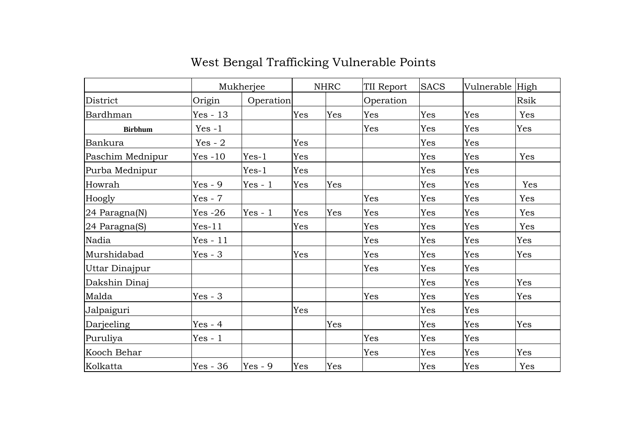|                  |            | Mukherjee |     | <b>NHRC</b> | TII Report | <b>SACS</b> | Vulnerable High |      |
|------------------|------------|-----------|-----|-------------|------------|-------------|-----------------|------|
| District         | Origin     | Operation |     |             | Operation  |             |                 | Rsik |
| Bardhman         | $Yes - 13$ |           | Yes | Yes         | Yes        | Yes         | Yes             | Yes  |
| <b>Birbhum</b>   | $Yes -1$   |           |     |             | Yes        | Yes         | Yes             | Yes  |
| Bankura          | Yes - $2$  |           | Yes |             |            | Yes         | Yes             |      |
| Paschim Mednipur | $Yes -10$  | $Yes-1$   | Yes |             |            | Yes         | Yes             | Yes  |
| Purba Mednipur   |            | $Yes-1$   | Yes |             |            | Yes         | Yes             |      |
| Howrah           | $Yes - 9$  | $Yes - 1$ | Yes | Yes         |            | Yes         | Yes             | Yes  |
| Hoogly           | $Yes - 7$  |           |     |             | Yes        | Yes         | Yes             | Yes  |
| 24 Paragna(N)    | $Yes -26$  | $Yes - 1$ | Yes | Yes         | Yes        | Yes         | Yes             | Yes  |
| 24 Paragna(S)    | $Yes-11$   |           | Yes |             | Yes        | Yes         | Yes             | Yes  |
| Nadia            | $Yes - 11$ |           |     |             | Yes        | Yes         | Yes             | Yes  |
| Murshidabad      | $Yes - 3$  |           | Yes |             | Yes        | Yes         | Yes             | Yes  |
| Uttar Dinajpur   |            |           |     |             | Yes        | Yes         | Yes             |      |
| Dakshin Dinaj    |            |           |     |             |            | Yes         | Yes             | Yes  |
| Malda            | $Yes - 3$  |           |     |             | Yes        | Yes         | Yes             | Yes  |
| Jalpaiguri       |            |           | Yes |             |            | Yes         | Yes             |      |
| Darjeeling       | $Yes - 4$  |           |     | Yes         |            | Yes         | Yes             | Yes  |
| Puruliya         | $Yes - 1$  |           |     |             | Yes        | Yes         | Yes             |      |
| Kooch Behar      |            |           |     |             | Yes        | Yes         | Yes             | Yes  |
| Kolkatta         | $Yes - 36$ | $Yes - 9$ | Yes | Yes         |            | Yes         | Yes             | Yes  |

# West Bengal Trafficking Vulnerable Points